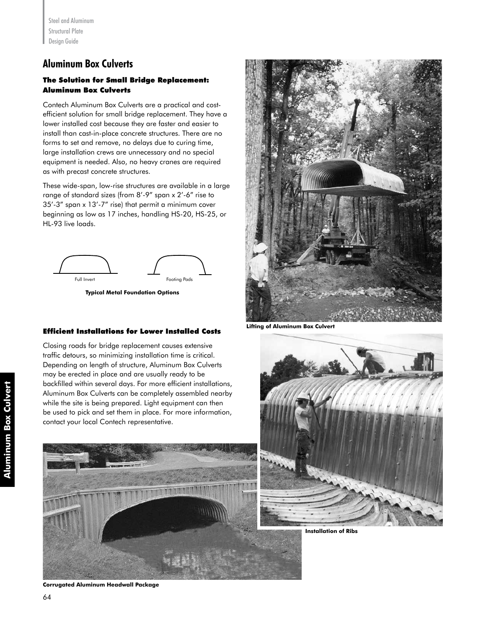# **Aluminum Box Culverts**

## The Solution for Small Bridge Replacement: Aluminum Box Culverts

Contech Aluminum Box Culverts are a practical and costefficient solution for small bridge replacement. They have a lower installed cost because they are faster and easier to install than cast-in-place concrete structures. There are no forms to set and remove, no delays due to curing time, large installation crews are unnecessary and no special equipment is needed. Also, no heavy cranes are required as with precast concrete structures.

These wide-span, low-rise structures are available in a large range of standard sizes (from 8'-9" span x 2'-6" rise to 35'-3" span x 13'-7" rise) that permit a minimum cover beginning as low as 17 inches, handling HS-20, HS-25, or HL-93 live loads.



**Typical Metal Foundation Options**

### Efficient Installations for Lower Installed Costs

Closing roads for bridge replacement causes extensive traffic detours, so minimizing installation time is critical. Depending on length of structure, Aluminum Box Culverts may be erected in place and are usually ready to be backfilled within several days. For more efficient installations, Aluminum Box Culverts can be completely assembled nearby while the site is being prepared. Light equipment can then be used to pick and set them in place. For more information, contact your local Contech representative.





**Lifting of Aluminum Box Culvert**



**Installation of Ribs**

**Corrugated Aluminum Headwall Package**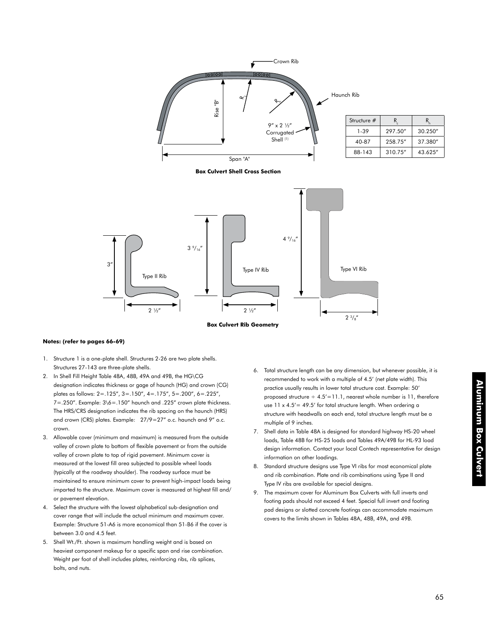

#### **Notes: (refer to pages 66-69)**

- 1. Structure 1 is a one-plate shell. Structures 2-26 are two plate shells. Structures 27-143 are three-plate shells.
- 2. In Shell Fill Height Table 48A, 48B, 49A and 49B, the HG\CG designation indicates thickness or gage of haunch (HG) and crown (CG) plates as follows: 2=.125", 3=.150", 4=.175", 5=.200", 6=.225",  $7 = .250"$ . Example:  $3\6 = .150"$  haunch and .225" crown plate thickness. The HRS/CRS designation indicates the rib spacing on the haunch (HRS) and crown (CRS) plates. Example: 27/9=27" o.c. haunch and 9" o.c. crown.
- 3. Allowable cover (minimum and maximum) is measured from the outside valley of crown plate to bottom of flexible pavement or from the outside valley of crown plate to top of rigid pavement. Minimum cover is measured at the lowest fill area subjected to possible wheel loads (typically at the roadway shoulder). The roadway surface must be maintained to ensure minimum cover to prevent high-impact loads being imparted to the structure. Maximum cover is measured at highest fill and/ or pavement elevation.
- 4. Select the structure with the lowest alphabetical sub-designation and cover range that will include the actual minimum and maximum cover. Example: Structure 51-A6 is more economical than 51-B6 if the cover is between 3.0 and 4.5 feet.
- 5. Shell Wt./Ft. shown is maximum handling weight and is based on heaviest component makeup for a specific span and rise combination. Weight per foot of shell includes plates, reinforcing ribs, rib splices, bolts, and nuts.
- 6. Total structure length can be any dimension, but whenever possible, it is recommended to work with a multiple of 4.5' (net plate width). This practice usually results in lower total structure cost. Example: 50' proposed structure  $\div 4.5'$  = 11.1, nearest whole number is 11, therefore use  $11 \times 4.5' = 49.5'$  for total structure length. When ordering a structure with headwalls on each end, total structure length must be a multiple of 9 inches.
- 7. Shell data in Table 48A is designed for standard highway HS-20 wheel loads, Table 48B for HS-25 loads and Tables 49A/49B for HL-93 load design information. Contact your local Contech representative for design information on other loadings.
- 8. Standard structure designs use Type VI ribs for most economical plate and rib combination. Plate and rib combinations using Type II and Type IV ribs are available for special designs.
- 9. The maximum cover for Aluminum Box Culverts with full inverts and footing pads should not exceed 4 feet. Special full invert and footing pad designs or slotted concrete footings can accommodate maximum covers to the limits shown in Tables 48A, 48B, 49A, and 49B.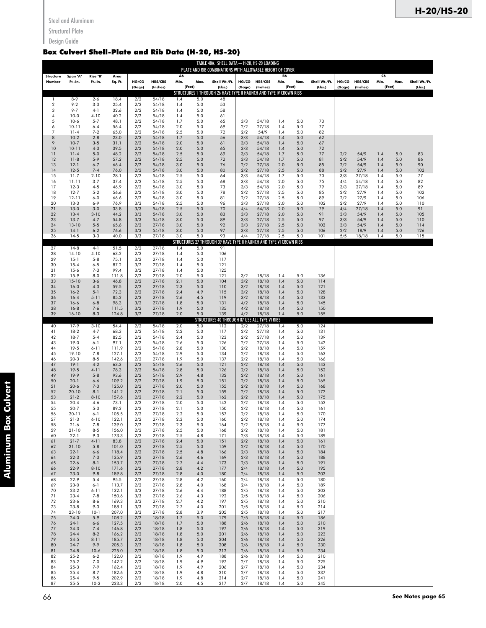Structural Plate

## Design Guide

## Box Culvert Shell-Plate and Rib Data (H-20, HS-20)

|                           |                       |                     |                 |               |                     |            |                | TABLE 48A. SHELL DATA - H-20, HS-20 LOADING<br>PLATE AND RIB COMBINATIONS WITH ALLOWABLE HEIGHT OF COVER |                 |                           |            |            |                         |            |                            |            |            |                         |
|---------------------------|-----------------------|---------------------|-----------------|---------------|---------------------|------------|----------------|----------------------------------------------------------------------------------------------------------|-----------------|---------------------------|------------|------------|-------------------------|------------|----------------------------|------------|------------|-------------------------|
| Structure<br>Number       | Span "A"<br>Ft.-In.   | Rise "B"<br>Ft.-In. | Area<br>Sq. Ft. | HG/CG         | HRS/CRS<br>(Inches) | A6<br>Min. | Max.<br>(Feet) | Shell Wt./Ft.<br>(Lbs.)                                                                                  | HG/CG<br>(Gage) | HRS/CRS<br>(Inches)       | B6<br>Min. | Max.       | Shell Wt./Ft.<br>(Lbs.) | HG/CG      | <b>HRS/CRS</b><br>(Inches) | C6<br>Min. | Max.       | Shell Wt./Ft.<br>(Lbs.) |
| 1                         | $8 - 9$               | $2 - 6$             | 18.4            | (Gage)<br>2/2 | 54/18               | 1.4        | 5.0            | STRUCTURES 1 THROUGH 26 HAVE TYPE II HAUNCH AND TYPE IV CROWN RIBS<br>48                                 |                 |                           |            | (Feet)     |                         | (Gage)     |                            | (Feet)     |            |                         |
| $\boldsymbol{2}$<br>3     | $9 - 2$<br>$9 - 7$    | $3 - 3$<br>$4-1$    | 25.4<br>32.6    | 2/2<br>2/2    | 54/18<br>54/18      | 1.4<br>1.4 | 5.0<br>5.0     | 53<br>58                                                                                                 |                 |                           |            |            |                         |            |                            |            |            |                         |
| $\overline{4}$            | $10-0$                | $4 - 10$            | 40.2            | 2/2           | 54/18               | 1.4        | 5.0            | 61                                                                                                       |                 |                           |            |            |                         |            |                            |            |            |                         |
| 5<br>6                    | $10-6$<br>$10 - 11$   | $5 - 7$<br>$6 - 4$  | 48.1<br>56.4    | 2/2<br>2/2    | 54/18<br>54/18      | 1.7<br>2.0 | 5.0<br>5.0     | 65<br>69                                                                                                 | 3/3<br>2/2      | 54/18<br>27/18            | 1.4<br>1.4 | 5.0<br>5.0 | 73<br>77                |            |                            |            |            |                         |
| $\overline{7}$<br>$\bf 8$ | $11 - 4$<br>$10-2$    | $7 - 2$<br>$2 - 8$  | 65.0<br>23.0    | 2/2<br>2/2    | 54/18<br>54/18      | 2.5<br>1.7 | 5.0<br>5.0     | 72<br>56                                                                                                 | 2/2<br>3/3      | 54/9<br>54/18             | 1.4<br>1.4 | 5.0<br>5.0 | 82<br>62                |            |                            |            |            |                         |
| 9<br>10                   | $10-7$<br>$10 - 11$   | $3 - 5$<br>$4 - 3$  | 31.1<br>39.5    | 2/2<br>2/2    | 54/18<br>54/18      | 2.0<br>2.0 | 5.0<br>5.0     | 61<br>65                                                                                                 | 3/3<br>3/3      | 54/18<br>54/18            | 1.4<br>1.4 | 5.0<br>5.0 | 67<br>72                |            |                            |            |            |                         |
| 11<br>12                  | $11 - 4$<br>$11 - 8$  | $5-0$<br>$5-9$      | 48.2<br>57.2    | 2/2<br>2/2    | 54/18<br>54/18      | 2.5<br>2.5 | 5.0<br>5.0     | 69<br>72                                                                                                 | 3/3<br>3/3      | 54/18<br>54/18            | 1.7<br>1.7 | 5.0<br>5.0 | 77<br>81                | 2/2<br>2/2 | 54/9<br>54/9               | 1.4<br>1.4 | 5.0<br>5.0 | 83<br>86                |
| 13<br>14                  | $12-1$<br>$12-5$      | $6 - 7$<br>$7 - 4$  | 66.4<br>76.0    | 2/2<br>2/2    | 54/18<br>54/18      | 3.0<br>3.0 | 5.0<br>5.0     | 76<br>80                                                                                                 | 2/2<br>2/2      | 27/18<br>27/18            | 2.0<br>2.5 | 5.0<br>5.0 | 85<br>88                | 2/2<br>2/2 | 54/9<br>27/9               | 1.4<br>1.4 | 5.0<br>5.0 | 90<br>102               |
| 15<br>16                  | $11 - 7$<br>11-11     | $2 - 10$<br>$3 - 7$ | 28.1<br>37.4    | 2/2<br>2/2    | 54/18<br>54/18      | 2.5<br>2.5 | 5.0<br>5.0     | 64<br>68                                                                                                 | 3/3<br>3/3      | 54/18<br>54/18            | 1.7<br>2.0 | 5.0<br>5.0 | 70<br>75                | 3/3<br>4/4 | 27/18<br>54/18             | 1.4<br>1.4 | 5.0<br>5.0 | 77<br>82                |
| 17<br>18                  | $12-3$<br>$12-7$      | $4 - 5$<br>$5 - 2$  | 46.9<br>56.6    | 2/2<br>2/2    | 54/18<br>54/18      | 3.0<br>3.0 | 5.0<br>5.0     | 73<br>78                                                                                                 | 3/3<br>2/2      | 54/18<br>27/18            | 2.0<br>2.5 | 5.0<br>5.0 | 79<br>85                | 3/3<br>2/2 | 27/18<br>27/9              | 1.4<br>1.4 | 5.0<br>5.0 | 89<br>102               |
| 19<br>20                  | $12 - 11$<br>$13-3$   | $6 - 0$<br>$6 - 9$  | 66.6<br>76.9    | 2/2<br>3/3    | 54/18<br>54/18      | 3.0<br>2.5 | 5.0<br>5.0     | 81<br>96                                                                                                 | 2/2<br>3/3      | 27/18<br>27/18            | 2.5<br>2.0 | 5.0<br>5.0 | 89<br>102               | 2/2<br>2/2 | 27/9<br>27/9               | 1.4<br>1.4 | 5.0<br>5.0 | 106<br>110              |
| 21<br>22                  | $13-0$<br>$13 - 4$    | $3 - 0$<br>$3 - 10$ | 33.8<br>44.2    | 3/3<br>3/3    | 54/18<br>54/18      | 2.5<br>3.0 | 5.0<br>5.0     | 70<br>83                                                                                                 | 4/4<br>3/3      | 54/18<br>27/18            | 2.0<br>2.0 | 5.0<br>5.0 | 79<br>91                | 4/4<br>3/3 | 27/18<br>54/9              | 1.4<br>1.4 | 5.0<br>5.0 | 91<br>105               |
| 23<br>24                  | $13-7$<br>13-10       | $4 - 7$<br>$5 - 5$  | 54.8<br>65.6    | 3/3<br>2/2    | 54/18<br>27/18      | 3.0<br>3.0 | 5.0<br>5.0     | 89<br>92                                                                                                 | 3/3<br>3/3      | 27/18<br>27/18            | 2.5<br>2.5 | 5.0<br>5.0 | 97<br>102               | 3/3<br>3/3 | 54/9<br>54/9               | 1.4<br>1.4 | 5.0<br>5.0 | 110<br>114              |
| 25<br>26                  | $14-1$<br>$14-5$      | $6 - 2$<br>$3 - 3$  | 76.6<br>40.0    | 3/3<br>3/3    | 54/18<br>27/18      | 3.0<br>3.0 | 5.0<br>5.0     | 97<br>93                                                                                                 | 3/3<br>4/4      | 27/18<br>27/18            | 2.5<br>2.5 | 5.0<br>5.0 | 106<br>101              | 2/2<br>5/5 | 18/9<br>18/18              | 1.4<br>1.4 | 5.0<br>5.0 | 126<br>115              |
| 27                        | $14-8$                | $4 - 1$             | 51.5            | 2/2           | 27/18               | 1.4        | 5.0            | STRUCTURES 27 THROUGH 39 HAVE TYPE II HAUNCH AND TYPE VI CROWN RIBS<br>91                                |                 |                           |            |            |                         |            |                            |            |            |                         |
| 28<br>29                  | $14-10$<br>$15-1$     | $4 - 10$<br>$5 - 8$ | 63.2<br>75.1    | 2/2<br>3/2    | 27/18<br>27/18      | 1.4<br>1.4 | 5.0<br>5.0     | 106<br>117                                                                                               |                 |                           |            |            |                         |            |                            |            |            |                         |
| 30<br>31                  | $15 - 4$<br>$15-6$    | $6 - 5$<br>$7 - 3$  | 87.2<br>99.4    | 3/2<br>3/2    | 27/18<br>27/18      | 1.4<br>1.4 | 5.0<br>5.0     | 121<br>125                                                                                               |                 |                           |            |            |                         |            |                            |            |            |                         |
| 32<br>33                  | $15-9$<br>$15 - 10$   | $8 - 0$<br>$3 - 6$  | 111.8<br>46.8   | 2/2<br>2/2    | 27/18<br>27/18      | 2.0<br>2.1 | 5.0<br>5.0     | 121<br>104                                                                                               | 3/2<br>3/2      | 18/18<br>18/18            | 1.4<br>1.4 | 5.0<br>5.0 | 136<br>114              |            |                            |            |            |                         |
| 34<br>35                  | $16-0$<br>$16-2$      | $4 - 3$<br>$5 - 1$  | 59.5<br>72.3    | 2/2<br>2/2    | 27/18<br>27/18      | 2.3<br>2.4 | 5.0<br>4.9     | 110<br>115                                                                                               | 3/2<br>3/2      | 18/18<br>18/18            | 1.4<br>1.4 | 5.0<br>5.0 | 121<br>128              |            |                            |            |            |                         |
| 36<br>37                  | $16 - 4$<br>$16-6$    | $5 - 11$<br>$6 - 8$ | 85.2<br>98.3    | 2/2<br>3/2    | 27/18<br>27/18      | 2.6<br>1.8 | 4.5<br>5.0     | 119<br>131                                                                                               | 3/2<br>4/2      | 18/18<br>18/18            | 1.4<br>1.4 | 5.0<br>5.0 | 133<br>145              |            |                            |            |            |                         |
| 38<br>39                  | $16-8$<br>$16-10$     | $7 - 6$<br>$8 - 3$  | 111.5<br>124.8  | 3/2<br>3/2    | 27/18<br>27/18      | 1.9<br>2.0 | 5.0<br>5.0     | 135<br>139                                                                                               | 4/2<br>4/2      | 18/18<br>18/18            | 1.4<br>1.4 | 5.0<br>5.0 | 150<br>155              |            |                            |            |            |                         |
| 40                        | 17-9                  | $3 - 10$            | 54.4            | 2/2           | 54/18               | 2.0        | 5.0            | <b>STRUCTURES 40 THROUGH 87 USE</b><br>112                                                               | 2/2             | ALL TYPE VI RIBS<br>27/18 | 1.4        | 5.0        | 124                     |            |                            |            |            |                         |
| 41<br>42                  | $18-2$<br>$18-7$      | $4 - 7$<br>$5 - 4$  | 68.3<br>82.5    | 2/2<br>2/2    | 54/18<br>54/18      | 2.2<br>2.4 | 5.0<br>5.0     | 117<br>123                                                                                               | 2/2<br>2/2      | 27/18<br>27/18            | 1.4<br>1.4 | 5.0<br>5.0 | 131<br>139              |            |                            |            |            |                         |
| 43<br>44                  | $19-0$<br>$19-5$      | $6 - 1$<br>$6 - 11$ | 97.1<br>111.9   | 2/2<br>2/2    | 54/18<br>54/18      | 2.6<br>2.8 | 5.0<br>5.0     | 126<br>130                                                                                               | 2/2<br>2/2      | 27/18<br>18/18            | 1.4<br>1.4 | 5.0<br>5.0 | 142<br>159              |            |                            |            |            |                         |
| 45<br>46                  | 19-10<br>$20-3$       | $7 - 8$<br>$8 - 5$  | 127.1<br>142.6  | 2/2<br>2/2    | 54/18<br>27/18      | 2.9<br>1.9 | 5.0<br>5.0     | 134<br>137                                                                                               | 2/2<br>2/2      | 18/18<br>18/18            | 1.4<br>1.4 | 5.0<br>5.0 | 163<br>166              |            |                            |            |            |                         |
| 47<br>48                  | $19-1$<br>$19-5$      | $4 - 2$<br>$4 - 11$ | 63.3<br>78.3    | 2/2<br>2/2    | 54/18<br>54/18      | 2.6<br>2.8 | 5.0<br>5.0     | 121<br>126                                                                                               | 2/2<br>2/2      | 18/18<br>18/18            | 1.4<br>1.4 | 5.0<br>5.0 | 143<br>152              |            |                            |            |            |                         |
| 49<br>50                  | 19-9<br>$20 - 1$      | $5 - 8$<br>$6 - 6$  | 93.6<br>109.2   | 2/2<br>2/2    | 54/18<br>27/18      | 2.9<br>1.9 | 4.8<br>5.0     | 132<br>151                                                                                               | 2/2<br>2/2      | 18/18<br>18/18            | 1.4<br>1.4 | 5.0<br>5.0 | 161<br>165              |            |                            |            |            |                         |
| 51<br>52                  | $20 - 6$<br>$20 - 10$ | $7 - 3$<br>$8 - 1$  | 125.0<br>141.2  | 2/2<br>2/2    | 27/18<br>27/18      | 2.0<br>2.1 | 5.0<br>5.0     | 155<br>159                                                                                               | 2/2<br>2/2      | 18/18<br>18/18            | 1.4<br>1.4 | 5.0<br>5.0 | 168<br>172              |            |                            |            |            |                         |
| 53<br>54                  | $21 - 2$<br>$20 - 4$  | $8 - 10$<br>$4-6$   | 157.6<br>73.1   | 2/2<br>2/2    | 27/18<br>27/18      | 2.2<br>2.0 | 5.0<br>5.0     | 162<br>142                                                                                               | 2/2<br>2/2      | 18/18<br>18/18            | 1.4<br>1.4 | 5.0<br>5.0 | 175<br>152              |            |                            |            |            |                         |
| 55<br>56                  | $20 - 7$<br>$20 - 11$ | $5 - 3$<br>$6 - 1$  | 89.2<br>105.5   | 2/2<br>2/2    | 27/18<br>27/18      | 2.1<br>2.2 | 5.0<br>5.0     | 150<br>157                                                                                               | 2/2<br>2/2      | 18/18<br>18/18            | 1.4<br>1.4 | 5.0<br>5.0 | 161<br>170              |            |                            |            |            |                         |
| 57<br>58                  | $21-3$<br>$21 - 6$    | $6 - 10$<br>$7-8$   | 122.1<br>139.0  | 2/2<br>2/2    | 27/18<br>27/18      | 2.3<br>2.3 | 5.0<br>5.0     | 160<br>164                                                                                               | 2/2<br>2/2      | 18/18<br>18/18            | 1.4<br>1.4 | 5.0<br>5.0 | 174<br>177              |            |                            |            |            |                         |
| 59<br>60                  | $21 - 10$<br>$22 - 1$ | $8 - 5$<br>$9 - 3$  | 156.0<br>173.3  | 2/2<br>2/2    | 27/18<br>27/18      | 2.5<br>2.5 | 5.0<br>4.8     | 168<br>171                                                                                               | 2/2<br>2/3      | 18/18<br>18/18            | 1.4<br>1.4 | 5.0<br>5.0 | 181<br>189              |            |                            |            |            |                         |
| 61<br>62                  | $21 - 7$<br>$21 - 10$ | $4 - 11$<br>$5 - 8$ | 83.8<br>101.0   | 2/2<br>2/2    | 27/18<br>27/18      | 2.4<br>2.5 | 5.0<br>5.0     | 151<br>159                                                                                               | 2/2<br>2/2      | 18/18<br>18/18            | 1.4<br>1.4 | 5.0<br>5.0 | 161<br>170              |            |                            |            |            |                         |
| 63<br>64                  | $22 - 1$<br>$22-3$    | $6 - 6$<br>$7 - 3$  | 118.4<br>135.9  | 2/2<br>2/2    | 27/18<br>27/18      | 2.5<br>2.6 | 4.8<br>4.6     | 166<br>169                                                                                               | 2/3<br>2/3      | 18/18<br>18/18            | 1.4<br>1.4 | 5.0<br>5.0 | 184<br>188              |            |                            |            |            |                         |
| 65<br>66                  | $22 - 6$<br>$22-9$    | $8 - 1$<br>$8 - 10$ | 153.7<br>171.6  | 2/2<br>2/2    | 27/18<br>27/18      | 2.7<br>2.8 | 4.4<br>4.2     | 173<br>177                                                                                               | 2/3<br>2/4      | 18/18<br>18/18            | 1.4<br>1.4 | 5.0<br>5.0 | 191<br>195              |            |                            |            |            |                         |
| 67<br>68                  | $23-0$<br>$22-9$      | $9 - 8$<br>$5 - 4$  | 189.8<br>95.5   | 2/2<br>2/2    | 27/18<br>27/18      | 2.8<br>2.8 | 4.0<br>4.2     | 180<br>160                                                                                               | 2/4<br>2/4      | 18/18<br>18/18            | 1.4<br>1.4 | 5.0<br>5.0 | 203<br>180              |            |                            |            |            |                         |
| 69<br>70                  | $23-0$<br>$23-2$      | $6 - 1$<br>$6 - 11$ | 113.7<br>132.1  | 2/2<br>3/3    | 27/18<br>27/18      | 2.8<br>2.6 | 4.0<br>4.4     | 168<br>188                                                                                               | 2/4<br>2/5      | 18/18<br>18/18            | 1.4<br>1.4 | 5.0<br>5.0 | 189<br>203              |            |                            |            |            |                         |
| 71<br>72                  | $23 - 4$<br>$23 - 6$  | $7 - 8$<br>$8 - 6$  | 150.6<br>169.3  | 3/3<br>3/3    | 27/18<br>27/18      | 2.6<br>2.7 | 4.3<br>4.2     | 192<br>197                                                                                               | 2/5<br>2/5      | 18/18<br>18/18            | 1.4<br>1.4 | 5.0<br>5.0 | 206<br>210              |            |                            |            |            |                         |
| 73<br>74                  | $23 - 8$<br>$23 - 10$ | $9 - 3$<br>$10-1$   | 188.1<br>207.0  | 3/3<br>3/3    | 27/18<br>27/18      | 2.7<br>2.8 | 4.0<br>3.9     | 201<br>205                                                                                               | 2/5<br>2/5      | 18/18<br>18/18            | 1.4<br>1.4 | 5.0<br>5.0 | 214<br>217              |            |                            |            |            |                         |
| 75<br>76                  | $24-0$<br>$24-1$      | $5 - 9$<br>$6 - 6$  | 108.2<br>127.5  | 2/2<br>2/2    | 18/18<br>18/18      | 1.7<br>1.7 | 5.0<br>5.0     | 179<br>188                                                                                               | 2/5<br>2/6      | 18/18<br>18/18            | 1.4<br>1.4 | 5.0<br>5.0 | 186<br>210              |            |                            |            |            |                         |
| 77<br>78                  | $24-3$<br>$24 - 4$    | $7 - 4$<br>$8 - 2$  | 146.8<br>166.2  | 2/2<br>2/2    | 18/18<br>18/18      | 1.8<br>1.8 | 5.0<br>5.0     | 197<br>201                                                                                               | 2/6<br>2/6      | 18/18<br>18/18            | 1.4<br>1.4 | 5.0<br>5.0 | 219<br>223              |            |                            |            |            |                         |
| 79<br>80                  | $24 - 5$<br>$24-7$    | $8 - 11$<br>$9 - 9$ | 185.7<br>205.3  | 2/2<br>2/2    | 18/18<br>18/18      | 1.8<br>1.8 | 5.0<br>5.0     | 204<br>208                                                                                               | 2/6<br>2/6      | 18/18<br>18/18            | 1.4<br>1.4 | 5.0<br>5.0 | 226<br>230              |            |                            |            |            |                         |
| 81<br>82                  | $24 - 8$<br>$25 - 2$  | $10-6$<br>$6 - 2$   | 225.0<br>122.0  | 2/2<br>2/2    | 18/18<br>18/18      | 1.8<br>1.9 | 5.0<br>4.9     | 212<br>188                                                                                               | 2/6<br>2/6      | 18/18<br>18/18            | 1.4<br>1.4 | 5.0<br>5.0 | 234<br>210              |            |                            |            |            |                         |
| 83<br>84                  | $25 - 2$<br>$25-3$    | $7 - 0$<br>$7 - 9$  | 142.2<br>162.4  | 2/2<br>2/2    | 18/18<br>18/18      | 1.9<br>1.9 | 4.9<br>4.9     | 197<br>206                                                                                               | 2/7<br>2/7      | 18/18<br>18/18            | 1.4<br>1.4 | 5.0<br>5.0 | 225<br>234              |            |                            |            |            |                         |
| 85<br>86                  | $25 - 4$<br>$25 - 4$  | $8 - 7$<br>$9 - 5$  | 182.6<br>202.9  | 2/2<br>2/2    | 18/18<br>18/18      | 1.9<br>1.9 | 4.8<br>4.8     | 210<br>214                                                                                               | 2/7<br>2/7      | 18/18<br>18/18            | 1.4<br>1.4 | 5.0<br>5.0 | 237<br>241              |            |                            |            |            |                         |
| 87                        | $25 - 5$              | $10-2$              | 223.3           | 2/2           | 18/18               | $2.0\,$    | 4.5            | 217                                                                                                      | 2/7             | 18/18                     | 1.4        | 5.0        | 245                     |            |                            |            |            |                         |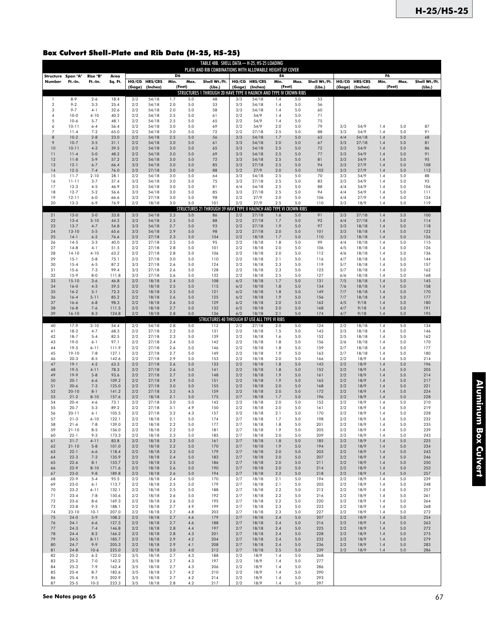## Box Culvert Shell-Plate and Rib Data (H-25, HS-25)

|                              |                      |                     |                 |            |                |                        |                    | TABLE 48B. SHELL DATA - H-25, HS-25 LOADING<br>PLATE AND RIB COMBINATIONS WITH ALLOWABLE HEIGHT OF COVER |            |                    |               |                         |               |            |                 |            |            |               |
|------------------------------|----------------------|---------------------|-----------------|------------|----------------|------------------------|--------------------|----------------------------------------------------------------------------------------------------------|------------|--------------------|---------------|-------------------------|---------------|------------|-----------------|------------|------------|---------------|
| Structure Span "A"<br>Number | Ft.-In.              | Rise "B"<br>Ft.-In. | Area<br>Sq. Ft. |            | HG/CG HRS/CRS  | D <sub>6</sub><br>Min. | Max.               | Shell Wt./Ft.                                                                                            |            | HG/CG HRS/CRS      | E6<br>Min.    | Max.                    | Shell Wt./Ft. |            | HG/CG HRS/CRS   | F6<br>Min. | Max.       | Shell Wt./Ft. |
|                              |                      |                     |                 | (Gage)     | (Inches)       |                        | (Feet)             | (Lbs.)<br>STRUCTURES 1 THROUGH 20 HAVE TYPE II HAUNCH AND TYPE IV CROWN RIBS                             | (Gage)     | (Inches)           |               | (Feet)                  | (Lbs.)        |            | (Gage) (Inches) |            | (Feet)     | (Lbs.)        |
| 1<br>$\overline{a}$          | $8-9$<br>$9 - 2$     | $2 - 6$<br>$3 - 3$  | 18.4<br>25.4    | 2/2<br>2/2 | 54/18<br>54/18 | 1.7<br>2.0             | 5.0<br>5.0         | 48<br>53                                                                                                 | 3/3<br>3/3 | 54/18<br>54/18     | 1.4<br>1.4    | 5.0<br>5.0              | 53<br>56      |            |                 |            |            |               |
| 3<br>4                       | $9 - 7$<br>$10-0$    | $4-1$<br>$4 - 10$   | 32.6<br>40.2    | 2/2<br>2/2 | 54/18<br>54/18 | 2.0<br>2.5             | 5.0<br>5.0         | 58<br>61                                                                                                 | 3/3<br>2/2 | 54/18<br>54/9      | 1.4<br>1.4    | 5.0<br>5.0              | 60<br>71      |            |                 |            |            |               |
| 5<br>6                       | $10-6$<br>$10 - 11$  | $5 - 7$<br>$6 - 4$  | 48.1<br>56.4    | 2/2<br>2/2 | 54/18<br>54/18 | 2.5<br>3.0             | 5.0<br>5.0         | 65<br>69                                                                                                 | 2/2<br>2/2 | 54/9<br>54/9       | 1.4<br>2.0    | 5.0<br>5.0              | 75<br>79      | 3/3        | 54/9            | 1.4        | 5.0        | 87            |
| $\overline{7}$               | $11 - 4$             | $7 - 2$             | 65.0            | 2/2        | 54/18          | 3.0                    | 5.0                | 72                                                                                                       | 2/2        | 27/18              | 2.5           | 5.0                     | 88            | 3/3        | 54/9            | 1.4        | 5.0        | 91            |
| 8                            | $10-2$               | $2 - 8$             | 23.0            | 2/2        | 54/18          | 2.5                    | 5.0                | 56                                                                                                       | 3/3        | 54/18              | 1.7           | 5.0                     | 62            | 4/4        | 54/18           | 1.4        | 5.0        | 68            |
| 9                            | $10-7$               | $3 - 5$             | 31.1            | 2/2        | 54/18          | 3.0                    | 5.0                | 61                                                                                                       | 3/3        | 54/18              | 2.0           | 5.0                     | 67            | 3/3        | 27/18           | 1.4        | 5.0        | 81            |
| 10                           | $10 - 11$            | $4 - 3$             | 39.5            | 2/2        | 54/18          | 3.0                    | 5.0                | 65                                                                                                       | 3/3        | 54/18              | 2.5           | 5.0                     | 72            | 3/3        | 54/9            | 1.4        | 5.0        | 86            |
| 11                           | $11 - 4$             | $5 - 0$             | 48.2            | 2/2        | 54/18          | 3.0                    | 5.0                | 69                                                                                                       | 3/3        | 54/18              | 2.5           | 5.0                     | 77            | 3/3        | 54/9            | 1.4        | 5.0        | 91            |
| 12                           | $11-8$               | $5 - 9$             | 57.2            | 2/2        | 54/18          | 3.0                    | 5.0                | 72                                                                                                       | 3/3        | 54/18              | 2.5           | 5.0                     | 81            | 3/3        | 54/9            | 1.4        | 5.0        | 95            |
| 13                           | $12-1$               | $6 - 7$             | 66.4            | 3/3        | 54/18          | 3.0                    | 5.0                | 85                                                                                                       | 3/3        | 27/18              | 2.5           | 5.0                     | 94            | 3/3        | 27/9            | 1.4        | 5.0        | 108           |
| 14                           | $12-5$               | $7 - 4$             | 76.0            | 2/2        | 27/18          | 3.0                    | 5.0                | 88                                                                                                       | 2/2        | 27/9               | 2.0           | 5.0                     | 102           | 3/3        | 27/9            | 1.4        | 5.0        | 112           |
| 15                           | $11 - 7$             | $2 - 10$            | 28.1            | 2/2        | 54/18          | 3.0                    | 5.0                | 64                                                                                                       | 3/3        | 54/18              | 2.5           | 5.0                     | 70            | 3/3        | 54/9            | 1.4        | 5.0        | 88            |
| 16                           | 11-11                | $3 - 7$             | 37.4            | 3/3        | 54/18          | 3.0                    | 5.0                | 75                                                                                                       | 3/3        | 27/18              | 2.5           | 5.0                     | 83            | 3/3        | 54/9            | 1.4        | 5.0        | 93            |
| 17                           | $12-3$               | $4 - 5$             | 46.9            | 3/3        | 54/18          | 3.0                    | 5.0                | 81                                                                                                       | 4/4        | 54/18              | 2.5           | 5.0                     | 88            | 4/4        | 54/9            | 1.4        | 5.0        | 106           |
| 18                           | $12 - 7$             | $5 - 2$             | 56.6            | 3/3        | 54/18          | 3.0                    | 5.0                | 85                                                                                                       | 3/3        | 27/18              | 2.5           | 5.0                     | 94            | 4/4        | 54/9            | 1.4        | 5.0        | 111           |
| 19                           | $12 - 11$            | $6 - 0$             | 66.6            | 3/3        | 27/18          | 3.0                    | 5.0                | 98                                                                                                       | 2/2        | 27/9               | 2.0           | 5.0                     | 106           | 4/4        | 27/9            | 1.4        | 5.0        | 124           |
| 20                           | $13-3$               | $6 - 9$             | 76.9            | 2/2        | 18/18          | 3.0                    | 5.0<br><b>STRU</b> | 101<br>CTURES 21 THROUGH 39 HAVE TYPE                                                                    | 2/2        | 27/9<br>IAUNCH AND | 2.5<br>TYPE V | 5.0<br><b>ZOWN RIBS</b> | 110           | 3/3        | 18/9            | 1.4        | 5.0        | 119           |
| 21                           | $13-0$               | $3 - 0$             | 33.8            | 3/3        | 54/18          | 2.3                    | 5.0                | 86                                                                                                       | 2/2        | 27/18              | 1.6           | 5.0                     | 91            | 3/3        | 27/18           | 1.4        | 5.0        | 100           |
| 22                           | $13 - 4$             | $3-10$              | 44.2            | 3/3        | 54/18          | 2.5                    | 5.0                | 88                                                                                                       | 2/2        | 27/18              | 1.7           | 5.0                     | 92            | 4/4        | 27/18           | 1.4        | 5.0        | 114           |
| 23                           | $13-7$               | $4 - 7$             | 54.8            | 3/3        | 54/18          | 2.7                    | 5.0                | 93                                                                                                       | 2/2        | 27/18              | 1.9           | 5.0                     | 97            | 3/3        | 18/18           | 1.4        | 5.0        | 118           |
| 24                           | $13 - 10$            | $5 - 5$             | 65.6            | 3/3        | 54/18          | 2.9                    | 5.0                | 98                                                                                                       | 2/2        | 27/18              | 2.0           | 5.0                     | 101           | 3/3        | 18/18           | 1.4        | 5.0        | 122           |
| 25                           | $14-1$               | $6 - 2$             | 76.6            | 2/2        | 27/18          | 2.3                    | 5.0                | 104                                                                                                      | 2/2        | 18/18              | 1.7           | 5.0                     | 110           | 3/3        | 18/18           | 1.4        | 5.0        | 126           |
| 26                           | $14-5$               | $3 - 3$             | 40.0            | 2/2        | 27/18          | 2.5                    | 5.0                | 95                                                                                                       | 2/2        | 18/18              | 1.8           | 5.0                     | 99            | 4/4        | 18/18           | 1.4        | 5.0        | 115           |
| 27                           | $14-8$               | $4-1$               | 51.5            | 2/2        | 27/18          | 2.8                    | 5.0                | 101                                                                                                      | 2/2        | 18/18              | 2.0           | 5.0                     | 106           | 4/5        | 18/18           | 1.4        | 5.0        | 126           |
| 28                           | $14-10$              | $4 - 10$            | 63.2            | 2/2        | 27/18          | 2.8                    | 5.0                | 106                                                                                                      | 2/2        | 18/18              | 2.0           | 5.0                     | 112           | 4/6        | 18/18           | 1.4        | 5.0        | 136           |
| 29                           | $15-1$               | $5 - 8$             | 75.1            | 2/2        | 27/18          | 3.0                    | 5.0                | 110                                                                                                      | 2/2        | 18/18              | 2.1           | 5.0                     | 116           | 4/7        | 18/18           | 1.4        | 5.0        | 144           |
| 30                           | $15 - 4$             | $6 - 5$             | 87.2            | 3/3        | 27/18          | 2.6                    | 5.0                | 124                                                                                                      | 2/2        | 18/18              | 2.3           | 5.0                     | 119           | 5/7        | 18/18           | 1.4        | 5.0        | 157           |
| 31<br>32                     | $15-6$<br>$15-9$     | $7 - 3$<br>$8 - 0$  | 99.4<br>111.8   | 3/3        | 27/18          | 2.6<br>2.6             | 5.0<br>5.0         | 128<br>132                                                                                               | 2/2<br>2/2 | 18/18              | 2.3<br>2.5    | 5.0<br>5.0              | 123<br>127    | 5/7        | 18/18           | 1.4<br>1.4 | 5.0<br>5.0 | 162           |
| 33                           | $15-10$              | $3 - 6$             | 46.8            | 3/3<br>2/2 | 27/18<br>18/18 | 2.4                    | 5.0                | 108                                                                                                      | 6/2        | 18/18<br>18/18     | 1.7           | 5.0                     | 131           | 6/6<br>7/5 | 18/18<br>18/18  | 1.4        | 5.0        | 168<br>145    |
| 34                           | $16-0$               | $4 - 3$             | 59.5            | 2/2        | 18/18          | 2.5                    | 5.0                | 115                                                                                                      | 6/2        | 18/18              | 1.8           | 5.0                     | 134           | 7/6        | 18/18           | 1.4        | 5.0        | 158           |
| 35                           | $16-2$               | $5 - 1$             | 72.3            | 2/2        | 18/18          | 2.5                    | 5.0                | 121                                                                                                      | 6/2        | 18/18              | 1.8           | 5.0                     | 149           | 7/7        | 18/18           | 1.4        | 5.0        | 170           |
| 36                           | $16 - 4$             | $5 - 11$            | 85.2            | 2/2        | 18/18          | 2.6                    | 5.0                | 125                                                                                                      | 6/2        | 18/18              | 1.9           | 5.0                     | 156           | 7/7        | 18/18           | 1.4        | 5.0        | 177           |
| 37                           | $16 - 6$             | $6 - 8$             | 98.3            | 2/2        | 18/18          | 2.6                    | 5.0                | 129                                                                                                      | 6/2        | 18/18              | 2.0           | 5.0                     | 162           | 4/5        | 9/18            | 1.4        | 5.0        | 180           |
| 38                           | $16 - 8$             | $7 - 6$             | 111.5           | 2/2        | 18/18          | 2.7                    | 5.0                | 132                                                                                                      | 6/2        | 18/18              | 2.0           | 5.0                     | 168           | 4/7        | 9/18            | 1.4        | 5.0        | 191           |
| 39                           | $16 - 10$            | $8 - 3$             | 124.8           | 2/2        | 18/18          | 2.8                    | 5.0                | 136                                                                                                      | 6/2        | 18/18              | 2.1           | 5.0                     | 174           | 4/7        | 9/18            | 1.4        | 5.0        | 195           |
| 40                           | $17-9$               | $3 - 10$            | 54.4            | 2/2        | 54/18          | 2.8                    | 5.0                | STRUCTURES 40 THROUGH 87 USE ALL TYPE VI RIBS<br>112                                                     | 2/2        | 27/18              | 2.0           | 5.0                     | 124           | 2/2        | 18/18           | 1.4        | $5.0$      | 134           |
| 41                           | $18-2$               | $4 - 7$             | 68.3            | 2/2        | 27/18          | 2.2                    | 5.0                | 131                                                                                                      | 2/2        | 18/18              | 1.5           | 5.0                     | 143           | 2/3        | 18/18           | 1.4        | 5.0        | 146           |
| 42                           | $18-7$               | $5 - 4$             | 82.5            | 2/2        | 27/18          | 2.3                    | 5.0                | 139                                                                                                      | 2/2        | 18/18              | 1.6           | 5.0                     | 152           | 2/5        | 18/18           | 1.4        | 5.0        | 162           |
| 43                           | $19-0$               | $6 - 1$             | 97.1            | 2/2        | 27/18          | 2.4                    | 5.0                | 142                                                                                                      | 2/2        | 18/18              | 1.8           | 5.0                     | 156           | 2/6        | 18/18           | 1.4        | 5.0        | 170           |
| 44                           | $19-5$               | $6 - 11$            | 111.9           | 2/2        | 27/18          | 2.6                    | 5.0                | 146                                                                                                      | 2/2        | 18/18              | 1.8           | 5.0                     | 159           | 2/7        | 18/18           | 1.4        | 5.0        | 177           |
| 45                           | 19-10                | $7 - 8$             | 127.1           | 2/2        | 27/18          | 2.7                    | 5.0                | 149                                                                                                      | 2/2        | 18/18              | 1.9           | 5.0                     | 163           | 2/7        | 18/18           | 1.4        | 5.0        | 180           |
| 46                           | $20-3$               | $8 - 5$             | 142.6           | 2/2        | 27/18          | 2.9                    | 5.0                | 153                                                                                                      | 2/2        | 18/18              | 2.0           | 5.0                     | 166           | 2/2        | 18/9            | 1.4        | 5.0        | 214           |
| 47                           | $19-1$               | $4 - 2$             | 63.3            | 2/2        | 27/18          | 2.6                    | 5.0                | 133                                                                                                      | 2/2        | 18/18              | 1.8           | 5.0                     | 143           | 2/2        | 18/9            | 1.4        | 5.0        | 196           |
| 48                           | $19-5$               | $4 - 11$            | 78.3            | 2/2        | 27/18          | 2.6                    | 5.0                | 141                                                                                                      | 2/2        | 18/18              | 1.8           | 5.0                     | 152           | 2/2        | 18/9            | 1.4        | 5.0        | 205           |
| 49                           | $19-9$               | $5 - 8$             | 93.6            | 2/2        | 27/18          | 2.7                    | 5.0                | 148                                                                                                      | 2/2        | 18/18              | 1.9           | 5.0                     | 161           | 2/2        | 18/9            | 1.4        | 5.0        | 214           |
| 50                           | $20 - 1$             | $6 - 6$             | 109.2           | 2/2        | 27/18          | 2.9                    | 5.0                | 151                                                                                                      | 2/2        | 18/18              | 1.9           | 5.0                     | 165           | 2/2        | 18/9            | 1.4        | 5.0        | 217           |
| 51                           | $20-6$               | $7 - 3$             | 125.0           | 2/2        | 27/18          | 3.0                    | 5.0                | 155                                                                                                      | 2/2        | 18/18              | 2.0           | 5.0                     | 168           | 2/2        | 18/9            | 1.4        | 5.0        | 221           |
| 52                           | $20 - 10$            | $8 - 1$             | 141.2           | 2/2        | 27/18          | 3.2                    | 4.5                | 159                                                                                                      | 2/2        | 18/18              | 2.0           | 5.0                     | 172           | 2/2        | 18/9            | 1.4        | 5.0        | 224           |
| 53                           | $21 - 2$             | $8 - 10$            | 157.6           | 2/2        | 18/18          | 2.1                    | 5.0                | 175                                                                                                      | 2/7        | 18/18              | 1.7           | 5.0                     | 196           | 2/2        | 18/9            | 1.4        | 5.0        | 228           |
| 54                           | $20 - 4$             | $4 - 6$             | 73.1            | 2/2        | 27/18          | 3.0                    | 5.0                | 142                                                                                                      | 2/2        | 18/18              | 2.0           | 5.0                     | 152           | 2/2        | 18/9            | 1.4        | 5.0        | 210           |
| 55                           | $20 - 7$             | $5 - 3$             | 89.2            | 2/2        | 27/18          | 3.1                    | 4.9                | 150                                                                                                      | 2/2        | 18/18              | 2.0           | 5.0                     | 161           | 2/2        | 18/9            | 1.4        | 5.0        | 219           |
| 56                           | $20 - 11$            | $6 - 1$             | 105.5           | 2/2        | 27/18          | 3.2                    | 4.3                | 157                                                                                                      | 2/2        | 18/18              | 2.1           | 5.0                     | 170           | 2/2        | 18/9            | 1.4        | 5.0        | 228           |
| 57                           | $21-3$               | $6 - 10$            | 122.1           | 2/2        | 18/18          | 2.1                    | 5.0                | 174                                                                                                      | 2/7        | 18/18              | 1.7           | 5.0                     | 198           | 2/2        | 18/9            | 1.4        | 5.0        | 232           |
| 58                           | $21 - 6$             | $7 - 8$             | 139.0           | 2/2        | 18/18          | 2.2                    | 5.0                | 177                                                                                                      | 2/7        | 18/18              | 1.8           | 5.0                     | 201           | 2/2        | 18/9            | 1.4        | 5.0        | 235           |
| 59                           | $21 - 10$            | $8 - 5$             | 156.0           | 2/2        | 18/18          | 2.2                    | 5.0                | 181                                                                                                      | 2/7        | 18/18              | 1.9           | 5.0                     | 205           | 2/2        | 18/9            | 1.4        | 5.0        | 239           |
| 60                           | $22 - 1$             | $9 - 3$             | 173.3           | 2/2        | 18/18          | 2.3                    | 5.0                | 185                                                                                                      | 2/7        | 18/18              | 2.0           | 5.0                     | 209           | 2/2        | 18/9            | 1.4        | 5.0        | 243           |
| 61                           | $21 - 7$             | $4 - 11$            | 83.8            | 2/2        | 18/18          | 2.2                    | 5.0                | 161                                                                                                      | 2/7        | 18/18              | 1.8           | 5.0                     | 185           | 2/2        | 18/9            | 1.4        | $5.0$      | 225           |
| 62                           | $21 - 10$            | $5 - 8$             | 101.0           | 2/2        | 18/18          | 2.2                    | 5.0                | 170                                                                                                      | 2/7        | 18/18              | 1.9           | 5.0                     | 194           | 2/2        | 18/9            | 1.4        | $5.0$      | 234           |
| 63                           | $22 - 1$             | $6 - 6$             | 118.4           | 2/2        | 18/18          | 2.3                    | 5.0                | 179                                                                                                      | 2/7        | 18/18              | 2.0           | 5.0                     | 203           | 2/2        | 18/9            | 1.4        | 5.0        | 243           |
| 64                           | $22-3$               | $7 - 3$             | 135.9           | 2/2        | 18/18          | 2.4                    | 5.0                | 183                                                                                                      | 2/7        | 18/18              | 2.0           | 5.0                     | 207           | 2/2        | 18/9            | 1.4        | 5.0        | 246           |
| 65                           | $22 - 6$             | $8 - 1$             | 153.7           | 2/2        | 18/18          | 2.5                    | 5.0                | 186                                                                                                      | 2/7        | 18/18              | 2.0           | 5.0                     | 211           | 2/2        | 18/9            | 1.4        | $5.0$      | 250           |
| 66                           | $22-9$               | $8 - 10$            | 171.6           | 2/2        | 18/18          | 2.6                    | 5.0                | 190                                                                                                      | 2/7        | 18/18              | 2.0           | 5.0                     | 214           | 2/2        | 18/9            | 1.4        | $5.0$      | 253           |
| 67                           | $23-0$               | $9 - 8$             | 189.8           | 2/2        | 18/18          | 2.6                    | 5.0                | 194                                                                                                      | 2/7        | 18/18              | 2.2           | 5.0                     | 218           | 2/2        | 18/9            | 1.4        | $5.0$      | 257           |
| 68                           | $22 - 9$             | $5 - 4$             | 95.5            | 2/2        | 18/18          | 2.4                    | 5.0                | 170                                                                                                      | 2/7        | 18/18              | 2.1           | 5.0                     | 194           | 2/2        | 18/9            | 1.4        | 5.0        | 239           |
| 69                           | $23-0$               | $6 - 1$             | 113.7           | 2/2        | 18/18          | 2.5                    | 5.0                | 179                                                                                                      | 2/7        | 18/18              | 2.1           | 5.0                     | 203           | 2/2        | 18/9            | 1.4        | 5.0        | 248           |
| 70                           | $23-2$               | $6 - 11$            | 132.1           | 2/2        | 18/18          | 2.5                    | 5.0                | 188                                                                                                      | 2/7        | 18/18              | 2.2           | 5.0                     | 212           | 2/2        | 18/9            | 1.4        | 5.0        | 257           |
| 71                           | $23 - 4$             | $7 - 8$             | 150.6           | 2/2        | 18/18          | 2.6                    | 5.0                | 192                                                                                                      | 2/7        | 18/18              | 2.2           | 5.0                     | 216           | 2/2        | 18/9            | 1.4        | 5.0        | 261           |
| 72                           | $23 - 6$             | $8 - 6$             | 169.3           | 2/2        | 18/18          | 2.6                    | 5.0                | 195                                                                                                      | 2/7        | 18/18              | 2.2           | 5.0                     | 220           | 2/2        | 18/9            | 1.4        | 5.0        | 264           |
| 73                           | $23-8$               | $9 - 3$             | 188.1           | 2/2        | 18/18          | 2.7                    | 4.9                | 199                                                                                                      | 2/7        | 18/18              | 2.3           | 5.0                     | 223           | 2/2        | 18/9            | 1.4        | 5.0        | 268           |
| 74                           | $23 - 10$            | $10-1$              | 207.0           | 2/2        | 18/18          | 2.7                    | 4.8                | 203                                                                                                      | 2/7        | 18/18              | 2.3           | 5.0                     | 227           | 2/2        | 18/9            | 1.4        | 5.0        | 272           |
| 75                           | $24-0$               | $5 - 9$             | 108.2           | 2/2        | 18/18          | 2.7                    | 4.6                | 179                                                                                                      | 2/7        | 18/18              | 2.4           | 5.0                     | 207           | 2/2        | 18/9            | 1.4        | 5.0        | 254           |
| 76                           | $24-1$               | $6 - 6$             | 127.5           | 2/2        | 18/18          | 2.7                    | 4.6                | 188                                                                                                      | 2/7        | 18/18              | 2.4           | 5.0                     | 216           | 2/2        | 18/9            | 1.4        | 5.0        | 263           |
| $77 \,$                      | $24-3$               | $7 - 4$             | 146.8           | 2/2        | 18/18          | 2.8                    | 4.4                | 197                                                                                                      | 2/7        | 18/18              | 2.4           | 5.0                     | 225           | 2/2        | 18/9            | 1.4        | $5.0$      | 272           |
| 78                           | $24 - 4$             | $8 - 2$             | 166.2           | 2/2        | 18/18          | 2.8                    | 4.3                | 201                                                                                                      | 2/7        | 18/18              | 2.4           | 5.0                     | 228           | 2/2        | 18/9            | 1.4        | 5.0        | 275           |
| 79                           | $24-5$               | $8 - 11$            | 185.7           | 2/2        | 18/18          | 2.9                    | 4.2                | 204                                                                                                      | 2/7        | 18/18              | 2.4           | 5.0                     | 232           | 2/2        | 18/9            | 1.4        | 5.0        | 279           |
| 80                           | $24 - 7$             | $9 - 9$             | 205.3           | 2/2        | 18/18          | 2.9                    | 4.1                | 208                                                                                                      | 2/7        | 18/18              | 2.4           | 5.0                     | 236           | 2/2        | 18/9            | 1.4        | $5.0$      | 283           |
| 81<br>82                     | $24 - 8$<br>$25-2$   | $10-6$<br>$6 - 2$   | 225.0<br>122.0  | 2/2<br>3/5 | 18/18<br>18/18 | 3.0<br>2.7             | 4.0<br>4.3         | 212<br>188                                                                                               | 2/7<br>2/2 | 18/18<br>18/9      | 2.5<br>1.4    | 5.0<br>5.0              | 239<br>268    | 2/2        | 18/9            | 1.4        | 5.0        | 286           |
| 83<br>84                     | $25 - 2$<br>$25-3$   | $7 - 0$<br>$7 - 9$  | 142.2<br>162.4  | 3/5<br>3/5 | 18/18<br>18/18 | 2.7<br>2.7             | 4.3<br>4.3         | 197<br>206                                                                                               | 2/2<br>2/2 | 18/9<br>18/9       | 1.4<br>1.4    | 5.0<br>5.0              | 277<br>286    |            |                 |            |            |               |
| 85<br>86                     | $25 - 4$<br>$25 - 4$ | $8 - 7$<br>$9 - 5$  | 182.6<br>202.9  | 3/5<br>3/5 | 18/18<br>18/18 | 2.7<br>2.7             | 4.2<br>4.2         | 210<br>214                                                                                               | 2/2<br>2/2 | 18/9<br>18/9       | 1.4<br>1.4    | 5.0<br>5.0              | 290<br>293    |            |                 |            |            |               |
| 87                           | $25 - 5$             | $10-2$              | 223.3           | 3/5        | 18/18          | 2.8                    | 4.2                | 217                                                                                                      | 2/2        | 18/9               | 1.4           | 5.0                     | 297           |            |                 |            |            |               |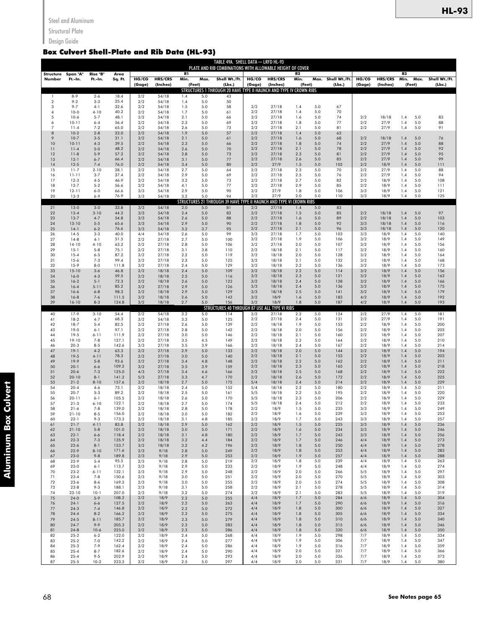Structural Plate

## Design Guide

## Box Culvert Shell-Plate and Rib Data (HL-93)

|                       |                       |                     |                 |            |                |            |              | TABLE 49A. SHELL DATA - LRFD HL-93<br>PLATE AND RIB COMBINATIONS WITH ALLOWABLE HEIGHT OF COVER |            |                |            |              |                    |            |                |                          |               |
|-----------------------|-----------------------|---------------------|-----------------|------------|----------------|------------|--------------|-------------------------------------------------------------------------------------------------|------------|----------------|------------|--------------|--------------------|------------|----------------|--------------------------|---------------|
| Structure<br>Number   | Span "A"<br>Ft.-In.   | Rise "B"<br>Ft.-In. | Area<br>Sq. Ft. | HG/CG      | HRS/CRS        | R1<br>Min. | Max.         | Shell Wt./Ft.                                                                                   | HG/CG      | HRS/CRS        | R2<br>Min. |              | Max. Shell Wt./Ft. | HG/CG      | HRS/CRS        | R3<br>Min.<br>Max.       | Shell Wt./Ft. |
|                       |                       |                     |                 | (Gage)     | (Inches)       |            | (Feet)       | (Lbs.)<br>STRUCTURES 1 THROUGH 20 HAVE TYPE II HAUNCH AND TYPE IV CROWN RIBS                    | (Gage)     | (Inches)       | (Feet)     |              | (Lbs.)             | (Gage)     | (Inches)       | (Feet)                   | (Lbs.)        |
| 1<br>$\boldsymbol{2}$ | $8 - 9$<br>$9 - 2$    | $2 - 6$<br>$3 - 3$  | 18.4<br>25.4    | 2/2<br>2/2 | 54/18<br>54/18 | 1.4<br>1.4 | 5.0<br>5.0   | 43<br>50                                                                                        |            |                |            |              |                    |            |                |                          |               |
| 3<br>$\overline{4}$   | $9 - 7$<br>$10-0$     | $4-1$<br>$4 - 10$   | 32.6<br>40.2    | 2/2<br>2/2 | 54/18<br>54/18 | 1.5<br>1.7 | 5.0<br>5.0   | 58<br>61                                                                                        | 2/2<br>2/2 | 27/18<br>27/18 | 1.4<br>1.4 | 5.0<br>5.0   | 67<br>70           |            |                |                          |               |
| 5                     | $10-6$                | $5 - 7$             | 48.1            | 2/2        | 54/18          | 2.1        | 5.0          | 66                                                                                              | 2/2        | 27/18          | 1.6        | 5.0          | 74                 | 2/2        | 18/18          | 1.4<br>5.0               | 83            |
| 6<br>$\overline{7}$   | $10 - 11$<br>$11 - 4$ | $6 - 4$<br>$7 - 2$  | 56.4<br>65.0    | 2/2<br>2/2 | 54/18<br>54/18 | 2.3<br>2.6 | 5.0<br>5.0   | 69<br>73                                                                                        | 2/2<br>2/2 | 27/18<br>27/18 | 1.8<br>2.1 | 5.0<br>5.0   | 77<br>81           | 2/2<br>2/2 | 27/9<br>27/9   | 5.0<br>1.4<br>5.0<br>1.4 | 88<br>91      |
| 8                     | $10-2$                | $2 - 8$             | 23.0            | 2/2        | 54/18          | 1.9        | 5.0          | 57                                                                                              | 2/2        | 27/18          | 1.4        | 5.0          | 63                 |            |                |                          |               |
| 9<br>10               | $10-7$<br>$10 - 11$   | $3 - 5$<br>$4 - 3$  | 31.1<br>39.5    | 2/2<br>2/2 | 54/18<br>54/18 | 2.1<br>2.3 | 5.0<br>5.0   | 61<br>66                                                                                        | 2/2<br>2/2 | 27/18<br>27/18 | 1.6<br>1.8 | 5.0<br>5.0   | 68<br>74           | 2/2<br>2/2 | 18/18<br>27/9  | 5.0<br>1.4<br>5.0<br>1.4 | 76<br>88      |
| 11<br>12              | $11 - 4$<br>$11-8$    | $5 - 0$<br>$5-9$    | 48.2<br>57.2    | 2/2<br>2/2 | 54/18<br>54/18 | 2.6<br>2.8 | 5.0<br>5.0   | 70<br>73                                                                                        | 2/2<br>2/2 | 27/18<br>27/18 | 2.1<br>2.3 | 5.0<br>5.0   | 78<br>81           | 2/2<br>2/2 | 27/9<br>27/9   | 1.4<br>5.0<br>5.0<br>1.4 | 92<br>95      |
| 13                    | $12-1$                | $6 - 7$             | 66.4            | 2/2        | 54/18          | 3.1        | 5.0          | 77                                                                                              | 2/2        | 27/18          | 2.6        | 5.0          | 85                 | 2/2        | 27/9           | 5.0<br>1.4               | 99            |
| 14<br>15              | $12-5$<br>$11-7$      | $7 - 4$<br>$2 - 10$ | 76.0<br>28.1    | 2/2<br>2/2 | 54/18<br>54/18 | 3.4<br>2.7 | 5.0<br>5.0   | 80<br>64                                                                                        | 2/2<br>2/2 | 27/9<br>27/18  | 1.5<br>2.3 | 5.0<br>5.0   | 102<br>70          | 2/2<br>2/2 | 18/9<br>27/9   | 1.4<br>5.0<br>5.0<br>1.4 | 111<br>88     |
| 16                    | $11 - 11$             | $3 - 7$             | 37.4            | 2/2        | 54/18          | 2.9        | 5.0          | 69                                                                                              | 2/2        | 27/18          | 2.5        | 5.0          | 76                 | 2/2        | 27/9           | 5.0<br>1.4               | 94            |
| 17<br>18              | $12-3$<br>$12-7$      | $4 - 5$<br>$5 - 2$  | 46.9<br>56.6    | 2/2<br>2/2 | 54/18<br>54/18 | 3.2<br>4.1 | 5.0<br>5.0   | 73<br>77                                                                                        | 2/2<br>2/2 | 27/18<br>27/18 | 2.7<br>2.9 | 5.0<br>5.0   | 82<br>85           | 2/2<br>2/2 | 18/9<br>18/9   | 5.0<br>1.4<br>5.0<br>1.4 | 108<br>111    |
| 19<br>20              | $12 - 11$<br>$13-3$   | $6 - 0$<br>$6 - 9$  | 66.6<br>76.9    | 3/3<br>3/3 | 54/18          | 2.9<br>3.2 | 5.0<br>5.0   | 90<br>94                                                                                        | 2/2<br>2/2 | 27/9<br>27/9   | 1.8<br>2.0 | 5.0<br>5.0   | 106<br>110         | 3/3<br>3/3 | 18/9<br>18/9   | 1.4<br>5.0<br>5.0<br>1.4 | 121<br>125    |
|                       |                       |                     |                 |            | 54/18          |            |              | STRUCTURES 21 THROUGH 39 HAVE TYPE II HAUNCH AND TYPE VI CROWN RIBS                             |            |                |            |              |                    |            |                |                          |               |
| 21<br>22              | $13-0$<br>$13 - 4$    | $3 - 0$<br>$3 - 10$ | 33.8<br>44.2    | 3/3<br>3/3 | 54/18<br>54/18 | 2.0<br>2.4 | 5.0<br>5.0   | 81<br>82                                                                                        | 2/2<br>2/2 | 27/18<br>27/18 | 1.4<br>1.5 | $5.0$<br>5.0 | 83<br>85           | 2/2        | 18/18          | 1.4<br>5.0               | 97            |
| 23                    | $13-7$                | $4 - 7$             | 54.8            | 3/3        | 54/18          | 2.6        | 5.0          | 88                                                                                              | 2/2        | 27/18          | 1.6        | 5.0          | 89                 | 2/2        | 18/18          | 1.4<br>5.0               | 103           |
| 24<br>25              | 13-10<br>$14-1$       | $5 - 5$<br>$6 - 2$  | 65.6<br>76.6    | 3/3<br>3/3 | 54/18<br>54/18 | 2.9<br>3.2 | 5.0<br>3.7   | 90<br>95                                                                                        | 2/2<br>2/2 | 27/18<br>27/18 | 1.8<br>2.1 | 5.0<br>5.0   | 92<br>96           | 3/3<br>3/3 | 18/18<br>18/18 | 5.0<br>1.4<br>1.4<br>5.0 | 116<br>120    |
| 26                    | $14-5$                | $3 - 3$             | 40.0            | 4/4        | 54/18          | 2.6        | 5.0          | 99                                                                                              | 3/3        | 27/18          | 1.7        | 5.0          | 103                | 3/3        | 18/9           | 5.0<br>1.4               | 140           |
| 27<br>28              | $14-8$<br>$14-10$     | $4-1$<br>$4 - 10$   | 51.5<br>63.2    | 2/2<br>2/2 | 27/18<br>27/18 | 2.7<br>2.8 | 5.0<br>5.0   | 100<br>106                                                                                      | 3/2<br>3/2 | 27/18<br>27/18 | 1.9<br>2.0 | 5.0<br>5.0   | 106<br>107         | 3/2<br>3/2 | 18/9<br>18/9   | 5.0<br>1.4<br>5.0<br>1.4 | 149<br>156    |
| 29<br>30              | $15-1$<br>$15 - 4$    | $5 - 8$<br>$6 - 5$  | 75.1<br>87.2    | 2/2<br>3/2 | 27/18<br>27/18 | 3.1<br>2.2 | 3.8<br>5.0   | 110<br>119                                                                                      | 2/2<br>3/2 | 18/18<br>18/18 | 2.1<br>2.0 | 5.0<br>5.0   | 117<br>128         | 3/2<br>3/2 | 18/9<br>18/9   | 1.4<br>5.0<br>5.0<br>1.4 | 160           |
| 31                    | $15-6$                | $7 - 3$             | 99.4            | 3/2        | 27/18          | 2.3        | 5.0          | 125                                                                                             | 3/2        | 18/18          | 2.1        | 5.0          | 132                | 3/2        | 18/9           | 5.0<br>1.4               | 164<br>168    |
| 32<br>33              | $15-9$<br>$15-10$     | $8 - 0$<br>$3 - 6$  | 111.8<br>46.8   | 3/2<br>2/2 | 27/18<br>18/18 | 2.4<br>2.4 | 5.0<br>5.0   | 129<br>109                                                                                      | 3/2<br>3/2 | 18/18<br>18/18 | 2.2<br>2.2 | 5.0<br>5.0   | 136<br>114         | 3/2<br>3/2 | 18/9<br>18/9   | 5.0<br>1.4<br>5.0<br>1.4 | 173<br>156    |
| 34                    | $16-0$                | $4 - 3$             | 59.5            | 2/2        | 18/18          | 2.5        | 5.0          | 116                                                                                             | 3/2        | 18/18          | 2.3        | 5.0          | 121                | 3/2        | 18/9           | 1.4<br>5.0               | 163           |
| 35<br>36              | $16-2$<br>$16 - 4$    | $5 - 1$<br>$5 - 11$ | 72.3<br>85.2    | 2/2<br>3/2 | 18/18<br>27/18 | 2.6<br>2.9 | $5.0$<br>5.0 | 122<br>126                                                                                      | 3/2<br>3/3 | 18/18<br>18/18 | 2.4<br>2.4 | 5.0<br>5.0   | 128<br>136         | 3/2<br>3/2 | 18/9<br>18/9   | 5.0<br>1.4<br>5.0<br>1.4 | 166<br>175    |
| 37<br>38              | $16-6$<br>$16-8$      | $6 - 8$<br>$7 - 6$  | 98.3<br>111.5   | 2/2<br>3/2 | 18/18<br>18/18 | 2.9<br>2.6 | 5.0<br>5.0   | 129<br>143                                                                                      | 3/3<br>3/2 | 18/18<br>18/9  | 2.5<br>1.6 | 5.0<br>5.0   | 141<br>183         | 3/2<br>4/2 | 18/9<br>18/9   | 5.0<br>1.4<br>5.0<br>1.4 | 179<br>192    |
| 39                    | $16 - 10$             | $8 - 3$             | 124.8           | 3/2        | 18/18          | 2.7        | 5.0          | 156                                                                                             | 3/2        | 18/9           | 1.8        | 5.0          | 187                | 4/2        | 18/9           | 5.0<br>1.4               | 193           |
| 40                    | 17-9                  | $3-10$              | 54.4            | 2/2        | 54/18          | 3.2        | 5.0          | STRUCTURES 40 THROUGH 87 USE ALL TYPE VI RIBS<br>114                                            | 2/2        | 27/18          | 2.2        | 5.0          | 124                | 2/2        | 27/9           | 1.4<br>5.0               | 181           |
| 41                    | $18-2$                | $4 - 7$             | 68.3            | 3/2        | 54/18          | 3.3        | 5.0          | 125                                                                                             | 2/2        | 27/18          | 2.4        | 5.0          | 131                | 2/2        | 27/9           | 5.0<br>1.4               | 191           |
| 42<br>43              | $18-7$<br>$19-0$      | $5 - 4$<br>$6 - 1$  | 82.5<br>97.1    | 2/2<br>2/2 | 27/18<br>27/18 | 2.6<br>2.8 | 5.0<br>5.0   | 139<br>142                                                                                      | 2/2<br>2/2 | 18/18<br>18/18 | 1.9<br>2.0 | 5.0<br>5.0   | 153<br>156         | 2/2<br>2/2 | 18/9<br>18/9   | 5.0<br>1.4<br>5.0<br>1.4 | 200<br>203    |
| 44<br>45              | 19-5<br>19-10         | $6 - 11$<br>$7 - 8$ | 111.9<br>127.1  | 2/2<br>2/2 | 27/18<br>27/18 | 3.0<br>3.5 | 5.0<br>4.5   | 146<br>149                                                                                      | 2/2<br>2/2 | 18/18<br>18/18 | 2.1<br>2.2 | 5.0<br>5.0   | 160<br>164         | 2/2<br>2/2 | 18/9<br>18/9   | 5.0<br>1.4<br>1.4<br>5.0 | 207<br>210    |
| 46                    | $20-3$                | $8 - 5$             | 142.6           | 3/3        | 27/18          | 3.5        | 3.9          | 166                                                                                             | 2/2        | 18/18          | 2.4        | 5.0          | 167                | 2/2        | 18/9           | 1.4<br>5.0               | 214           |
| 47<br>48              | $19-1$<br>$19-5$      | $4 - 2$<br>$4 - 11$ | 63.3<br>78.3    | 2/2<br>2/2 | 27/18<br>27/18 | 2.9<br>3.0 | 5.0<br>5.0   | 133<br>140                                                                                      | 2/2<br>2/2 | 18/18<br>18/18 | 2.0<br>2.1 | 5.0<br>5.0   | 144<br>153         | 2/2<br>2/2 | 18/9<br>18/9   | 5.0<br>1.4<br>5.0<br>1.4 | 194<br>203    |
| 49                    | 19-9                  | $5 - 8$             | 93.6            | 2/2        | 27/18          | 3.4        | 4.8          | 148                                                                                             | 2/2        | 18/18          | 2.2        | 5.0          | 162                | 2/2        | 18/9           | 5.0<br>1.4               | 211           |
| 50<br>51              | $20-1$<br>$20-6$      | $6 - 6$<br>$7 - 3$  | 109.2<br>125.0  | 3/2<br>4/3 | 27/18<br>27/18 | 3.5<br>3.4 | 3.9<br>4.6   | 159<br>166                                                                                      | 2/2<br>2/2 | 18/18<br>18/18 | 2.3<br>2.5 | 5.0<br>5.0   | 165<br>168         | 2/2<br>2/2 | 18/9<br>18/9   | 5.0<br>1.4<br>5.0<br>1.4 | 218<br>222    |
| 52<br>53              | $20 - 10$<br>$21-2$   | $8 - 1$<br>$8 - 10$ | 141.2<br>157.6  | 5/3<br>2/2 | 27/18<br>18/18 | 3.3<br>2.7 | 4.7<br>5.0   | 170<br>175                                                                                      | 2/2<br>5/4 | 18/18<br>18/18 | 2.6<br>2.4 | 5.0<br>5.0   | 172<br>214         | 2/2<br>2/2 | 18/9<br>18/9   | 1.4<br>5.0<br>5.0<br>1.4 | 225<br>229    |
| 54                    | $20 - 4$              | $4-6$               | 73.1            | 2/2        | 18/18          | 2.4        | 5.0          | 152                                                                                             | 5/4        | 18/18          | 2.2        | 5.0          | 180                | 2/2        | 18/9           | 5.0<br>1.4               | 211           |
| 55<br>56              | $20 - 7$<br>20-11     | $5-3$<br>$6 - 1$    | 89.2<br>105.5   | 2/2<br>2/2 | 18/18<br>18/18 | 2.5<br>2.6 | 5.0<br>5.0   | 161<br>170                                                                                      | 5/5<br>5/5 | 18/18<br>18/18 | 2.2<br>2.3 | 5.0<br>5.0   | 195<br>206         | 2/2<br>2/2 | 18/9<br>18/9   | 1.4<br>5.0<br>5.0<br>1.4 | 220<br>229    |
| 57<br>58              | $21-3$                | $6 - 10$            | 122.1           | 2/2        | 18/18          | 2.7        | 5.0          | 174<br>178                                                                                      | 5/5        | 18/18          | 2.4<br>1.5 | 5.0          | 212<br>235         | 2/2        | 18/9           | 1.4<br>5.0               | 233<br>249    |
| 59                    | $21 - 6$<br>$21 - 10$ | $7 - 8$<br>$8 - 5$  | 139.0<br>156.0  | 2/2<br>2/2 | 18/18<br>18/18 | 2.8<br>3.0 | 5.0<br>5.0   | 182                                                                                             | 2/2<br>2/2 | 18/9<br>18/9   | 1.6        | 5.0<br>5.0   | 239                | 3/3<br>3/3 | 18/9<br>18/9   | 5.0<br>1.4<br>1.4<br>5.0 | 253           |
| 60<br>61              | $22 - 1$<br>$21 - 7$  | $9 - 3$<br>$4 - 11$ | 173.3<br>83.8   | 2/2<br>2/2 | 18/18<br>18/18 | 3.1<br>2.9 | 4.8<br>$5.0$ | 185<br>162                                                                                      | 2/2<br>2/2 | 18/9<br>18/9   | 1.7<br>1.5 | 5.0<br>5.0   | 243<br>225         | 3/3<br>3/3 | 18/9<br>18/9   | 1.4<br>5.0<br>1.4<br>5.0 | 257<br>236    |
| 62                    | $21 - 10$             | $5 - 8$             | 101.0           | 2/2        | 18/18          | 3.0        | 5.0          | 171                                                                                             | 2/2        | 18/9           | 1.6        | 5.0          | 234                | 3/3        | 18/9           | 1.4<br>5.0               | 246           |
| 63<br>64              | $22-1$<br>$22-3$      | $6 - 6$<br>$7 - 3$  | 118.4<br>135.9  | 2/2<br>2/2 | 18/18<br>18/18 | 3.1<br>3.2 | 4.8<br>4.4   | 180<br>184                                                                                      | 2/2<br>2/2 | 18/9<br>18/9   | 1.7<br>1.7 | 5.0<br>5.0   | 243<br>246         | 3/3<br>4/4 | 18/9<br>18/9   | 5.0<br>1.4<br>1.4<br>5.0 | 256<br>273    |
| 65<br>66              | $22-6$<br>$22-9$      | $8 - 1$<br>$8 - 10$ | 153.7<br>171.6  | 3/2<br>2/3 | 18/18<br>9/18  | 3.2<br>2.8 | 4.2<br>5.0   | 196<br>249                                                                                      | 2/2<br>2/2 | 18/9<br>18/9   | 1.8<br>1.8 | 5.0<br>5.0   | 250<br>253         | 4/4<br>4/4 | 18/9<br>18/9   | 5.0<br>1.4<br>1.4<br>5.0 | 278<br>283    |
| 67                    | $23-0$                | $9 - 8$             | 189.8           | 2/3        | 9/18           | 2.9        | 5.0          | 253                                                                                             | 2/2        | 18/9           | 1.9        | 5.0          | 257                | 4/4        | 18/9           | 5.0<br>1.4               | 288           |
| 68<br>69              | $22-9$<br>$23-0$      | $5 - 4$<br>$6 - 1$  | 95.5<br>113.7   | 2/3<br>2/3 | 9/18<br>9/18   | 2.8<br>2.9 | 5.0<br>5.0   | 219<br>233                                                                                      | 2/2<br>2/2 | 18/9<br>18/9   | 1.8<br>1.9 | 5.0<br>5.0   | 239<br>248         | 4/4<br>4/4 | 18/9<br>18/9   | 5.0<br>1.4<br>1.4<br>5.0 | 263<br>274    |
| 70                    | $23-2$                | $6 - 11$            | 132.1           | 2/3        | 9/18           | 2.9        | 5.0          | 248                                                                                             | 2/2        | 18/9           | 2.0        | 5.0          | 266                | 5/5        | 18/9           | 5.0<br>1.4               | 297           |
| 71<br>72              | $23 - 4$<br>$23 - 6$  | $7 - 8$<br>$8 - 6$  | 150.6<br>169.3  | 2/3<br>2/3 | 9/18<br>9/18   | 3.0<br>3.0 | 5.0<br>5.0   | 251<br>255                                                                                      | 2/2<br>2/2 | 18/9<br>18/9   | 2.0<br>2.0 | 5.0<br>5.0   | 270<br>274         | 5/5<br>5/5 | 18/9<br>18/9   | 1.4<br>5.0<br>5.0<br>1.4 | 303<br>308    |
| 73<br>74              | $23 - 8$<br>23-10     | $9 - 3$<br>$10-1$   | 188.1<br>207.0  | 2/3<br>2/3 | 9/18<br>9/18   | 3.1        | 5.0          | 258<br>274                                                                                      | 2/2<br>2/2 | 18/9<br>18/9   | 2.1<br>2.1 | 5.0          | 278<br>283         | 5/5<br>5/5 | 18/9<br>18/9   | 5.0<br>1.4<br>5.0        | 314<br>319    |
| 75                    | $24-0$                | $5 - 9$             | 108.2           | 2/2        | 18/9           | 3.2<br>2.2 | 5.0<br>5.0   | 255                                                                                             | 4/4        | 18/9           | 1.7        | 5.0<br>5.0   | 284                | 6/6        | 18/9           | 1.4<br>1.4<br>5.0        | 304           |
| 76<br>77              | $24-1$<br>$24-3$      | $6 - 6$<br>$7 - 4$  | 127.5<br>146.8  | 2/2<br>2/2 | 18/9<br>18/9   | 2.2<br>2.2 | 5.0<br>5.0   | 263<br>272                                                                                      | 4/4<br>4/4 | 18/9<br>18/9   | 1.7<br>1.8 | 5.0<br>5.0   | 290<br>300         | 6/6<br>6/6 | 18/9<br>18/9   | 5.0<br>1.4<br>1.4<br>5.0 | 316<br>327    |
| 78                    | $24 - 4$              | $8 - 2$             | 166.2           | 2/2        | 18/9           | 2.2        | 5.0          | 275                                                                                             | 4/4        | 18/9           | 1.8        | 5.0          | 305                | 6/6        | 18/9           | 5.0<br>1.4               | 334           |
| 79<br>80              | $24-5$<br>$24 - 7$    | $8 - 11$<br>$9 - 9$ | 185.7<br>205.3  | 2/2<br>2/2 | 18/9<br>18/9   | 2.3<br>2.3 | 5.0<br>5.0   | 279<br>283                                                                                      | 4/4<br>4/4 | 18/9<br>18/9   | 1.8<br>1.8 | 5.0<br>5.0   | 310<br>315         | 6/6<br>6/6 | 18/9<br>18/9   | 5.0<br>1.4<br>1.4<br>5.0 | 340<br>346    |
| 81                    | $24 - 8$              | $10-6$              | 225.0           | 2/2        | 18/9           | 2.3        | 5.0          | 286                                                                                             | 4/4        | 18/9           | 1.8        | 5.0          | 320                | 6/6        | 18/9           | 5.0<br>1.4               | 350           |
| 82<br>83              | $25-2$<br>$25-2$      | $6 - 2$<br>$7 - 0$  | 122.0<br>142.2  | 2/2<br>2/2 | 18/9<br>18/9   | 2.4<br>2.4 | 5.0<br>5.0   | 268<br>277                                                                                      | 4/4<br>4/4 | 18/9<br>18/9   | 1.9<br>1.9 | 5.0<br>5.0   | 298<br>306         | 7/7<br>7/7 | 18/9<br>18/9   | 1.4<br>5.0<br>5.0<br>1.4 | 334<br>347    |
| 84<br>85              | $25-3$<br>$25 - 4$    | $7 - 9$<br>$8 - 7$  | 162.4<br>182.6  | 2/2<br>2/2 | 18/9<br>18/9   | 2.4<br>2.4 | 5.0<br>5.0   | 286<br>290                                                                                      | 4/4<br>4/4 | 18/9<br>18/9   | 1.9<br>2.0 | 5.0<br>5.0   | 316<br>321         | 7/7<br>7/7 | 18/9<br>18/9   | 5.0<br>1.4<br>5.0<br>1.4 | 359<br>366    |
| 86                    | $25 - 4$              | $9 - 5$             | 202.9           | 2/2        | 18/9           | 2.4        | 5.0          | 293                                                                                             | 4/4        | 18/9           | 2.0        | 5.0          | 326                | 7/7        | 18/9           | 5.0<br>1.4               | 373           |
| 87                    | $25 - 5$              | $10-2$              | 223.3           | 2/2        | 18/9           | 2.5        | 5.0          | 297                                                                                             | 4/4        | 18/9           | 2.0        | 5.0          | 331                | 7/7        | 18/9           | 5.0<br>1.4               | 380           |

**Aluminum Box Culvert**

**Aluminum Box Culvert**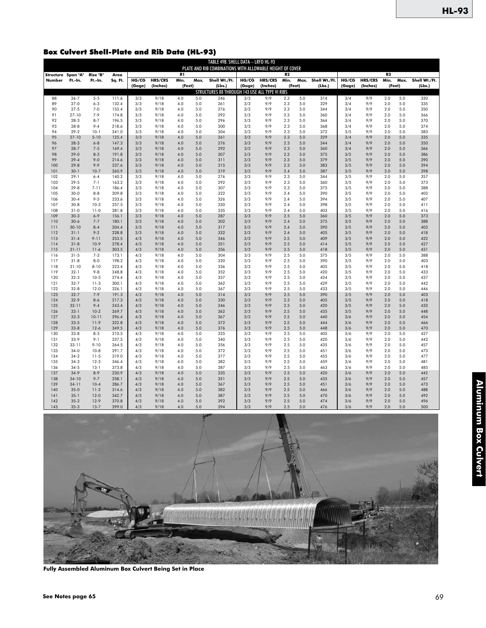## Box Culvert Shell-Plate and Rib Data (HL-93)

|                              |                      |                     |                 |            |                |            |            | TABLE 49B. SHELL DATA - LRFD HL-93                        |              |                |                        |            |               |            |                |                        |            |               |
|------------------------------|----------------------|---------------------|-----------------|------------|----------------|------------|------------|-----------------------------------------------------------|--------------|----------------|------------------------|------------|---------------|------------|----------------|------------------------|------------|---------------|
|                              |                      |                     |                 |            |                |            |            | PLATE AND RIB COMBINATIONS WITH ALLOWABLE HEIGHT OF COVER |              |                |                        |            |               |            |                |                        |            |               |
| Structure Span "A"<br>Number | Ft.-In.              | Rise "B"<br>Ft.-In. | Area<br>Sq. Ft. | HG/CG      | <b>HRS/CRS</b> | R1<br>Min. | Max.       | Shell Wt./Ft.                                             | <b>HG/CG</b> | <b>HRS/CRS</b> | R <sub>2</sub><br>Min. | Max.       | Shell Wt./Ft. | HG/CG      | <b>HRS/CRS</b> | R <sub>3</sub><br>Min. | Max.       | Shell Wt./Ft. |
|                              |                      |                     |                 | (Gage)     | (Inches)       | (Feet)     |            | (Lbs.)                                                    | (Gage)       | (Inches)       | (Feet)                 |            | (Lbs.)        | (Gage)     | (Inches)       |                        | (Feet)     | (Lbs.)        |
|                              |                      |                     |                 |            |                |            |            | STRUCTURES 88 THROUGH 143 USE ALL TYPE VI RIBS            |              |                |                        |            |               |            |                |                        |            |               |
| 88                           | $26 - 7$             | $5 - 5$             | 111.6           | 3/3        | 9/18           | 4.0        | 5.0        | 246                                                       | 3/3          | 9/9            | 2.3                    | 5.0        | 314           | 3/4        | 9/9            | 2.0                    | 5.0        | 320           |
| 89                           | $27-0$               | $6 - 3$             | 132.4           | 3/3        | 9/18           | 4.0        | 5.0        | 261                                                       | 3/3          | 9/9            | 2.3                    | 5.0        | 329           | 3/4        | 9/9            | 2.0                    | 5.0        | 335           |
| 90                           | $27 - 5$             | $7 - 0$             | 153.4           | 3/3        | 9/18           | 4.0        | 5.0        | 276                                                       | 3/3          | 9/9            | 2.3                    | 5.0        | 344           | 3/4        | 9/9            | 2.0                    | 5.0        | 350           |
| 91                           | $27 - 10$            | $7 - 9$             | 174.8           | 3/3        | 9/18           | 4.0        | 5.0        | 292                                                       | 3/3          | 9/9            | 2.3                    | 5.0        | 360           | 3/4        | 9/9            | 2.0                    | 5.0        | 366           |
| 92                           | $28-3$               | $8 - 7$             | 196.5           | 3/3        | 9/18           | 4.0        | 5.0        | 296                                                       | 3/3          | 9/9            | 2.3                    | 5.0        | 364           | 3/4        | 9/9            | 2.0                    | 5.0        | 370           |
| 93                           | $28 - 8$             | $9 - 4$             | 218.6           | 3/3        | 9/18           | 4.0        | 5.0        | 300                                                       | 3/3          | 9/9            | 2.3                    | 5.0        | 368           | 3/4        | 9/9            | 2.0                    | 5.0        | 374           |
| 94<br>95                     | $29-2$<br>$27 - 10$  | $10-1$<br>$5 - 10$  | 241.0<br>125.4  | 3/3<br>3/3 | 9/18<br>9/18   | 4.0<br>4.0 | 5.0<br>5.0 | 304<br>261                                                | 3/3<br>3/3   | 9/9<br>9/9     | 2.3<br>2.3             | 5.0<br>5.0 | 372<br>329    | 3/5<br>3/4 | 9/9<br>9/9     | 2.0<br>2.0             | 5.0<br>5.0 | 383<br>335    |
| 96                           | $28-3$               | $6 - 8$             | 147.3           | 3/3        | 9/18           | 4.0        | 5.0        | 276                                                       | 3/3          | 9/9            | 2.3                    | 5.0        | 344           | 3/4        | 9/9            | 2.0                    | 5.0        | 350           |
| 97                           | $28 - 7$             | $7 - 5$             | 169.4           | 3/3        | 9/18           | 4.0        | 5.0        | 292                                                       | 3/3          | 9/9            | 2.3                    | 5.0        | 360           | 3/4        | 9/9            | 2.0                    | 5.0        | 366           |
| 98                           | $29-0$               | $8 - 3$             | 191.8           | 3/3        | 9/18           | 4.0        | 5.0        | 307                                                       | 3/3          | 9/9            | 2.3                    | 5.0        | 375           | 3/5        | 9/9            | 2.0                    | 5.0        | 386           |
| 99                           | $29 - 4$             | $9 - 0$             | 214.6           | 3/3        | 9/18           | 4.0        | 5.0        | 311                                                       | 3/3          | 9/9            | 2.3                    | 5.0        | 379           | 3/5        | 9/9            | 2.0                    | 5.0        | 390           |
| 100                          | $29 - 8$             | $9 - 9$             | 237.6           | 3/3        | 9/18           | 4.0        | 5.0        | 315                                                       | 3/3          | 9/9            | 2.3                    | 5.0        | 383           | 3/5        | 9/9            | 2.0                    | 5.0        | 394           |
| 101                          | $30-1$               | $10-7$              | 260.9           | 3/3        | 9/18           | 4.0        | 5.0        | 319                                                       | 3/3          | 9/9            | 2.4                    | 5.0        | 387           | 3/5        | 9/9            | 2.0                    | 5.0        | 398           |
| 102                          | $29-1$               | $6 - 4$             | 140.2           | 3/3        | 9/18           | 4.0        | 5.0        | 276                                                       | 3/3          | 9/9            | 2.3                    | 5.0        | 344           | 3/5        | 9/9            | 2.0                    | 5.0        | 357           |
| 103                          | $29 - 5$             | $7 - 1$             | 163.2           | 3/3        | 9/18           | 4.0        | 5.0        | 292                                                       | 3/3          | 9/9            | 2.3                    | 5.0        | 360           | 3/5        | 9/9            | 2.0                    | 5.0        | 373           |
| 104                          | $29 - 8$             | $7 - 11$            | 186.4           | 3/3        | 9/18           | 4.0        | 5.0        | 307                                                       | 3/3          | 9/9            | 2.3                    | 5.0        | 375           | 3/5        | 9/9            | 2.0                    | 5.0        | 388           |
| 105<br>106                   | $30-0$<br>$30 - 4$   | $8 - 8$<br>$9 - 5$  | 209.8<br>233.6  | 3/3<br>3/3 | 9/18<br>9/18   | 4.0<br>4.0 | 5.0<br>5.0 | 322<br>326                                                | 3/3<br>3/3   | 9/9<br>9/9     | 2.4<br>2.4             | 5.0<br>5.0 | 390<br>394    | 3/5<br>3/5 | 9/9<br>9/9     | 2.0<br>2.0             | 5.0<br>5.0 | 403<br>407    |
| 107                          | $30-8$               | $10-3$              | 257.5           | 3/3        | 9/18           | 4.0        | 5.0        | 330                                                       | 3/3          | 9/9            | 2.4                    | 5.0        | 398           | 3/5        | 9/9            | 2.0                    | 5.0        | 411           |
| 108                          | $31 - 0$             | $11-0$              | 281.8           | 3/3        | 9/18           | 4.0        | 5.0        | 335                                                       | 3/3          | 9/9            | 2.4                    | 5.0        | 403           | 3/5        | 9/9            | 2.0                    | 5.0        | 416           |
| 109                          | $30-3$               | $6 - 9$             | 156.1           | 3/3        | 9/18           | 4.0        | 5.0        | 287                                                       | 3/3          | 9/9            | 2.5                    | 5.0        | 360           | 3/5        | 9/9            | 2.0                    | 5.0        | 373           |
| 110                          | $30-6$               | $7 - 7$             | 180.1           | 3/3        | 9/18           | 4.0        | 5.0        | 302                                                       | 3/3          | 9/9            | 2.4                    | 5.0        | 375           | 3/5        | 9/9            | 2.0                    | 5.0        | 388           |
| 111                          | $30-10$              | $8 - 4$             | 204.4           | 3/3        | 9/18           | 4.0        | 5.0        | 317                                                       | 3/3          | 9/9            | 2.4                    | 5.0        | 390           | 3/5        | 9/9            | 2.0                    | 5.0        | 403           |
| 112                          | $31 - 1$             | $9 - 2$             | 228.8           | 3/3        | 9/18           | 4.0        | 5.0        | 332                                                       | 3/3          | 9/9            | 2.4                    | 5.0        | 405           | 3/5        | 9/9            | 2.0                    | 5.0        | 418           |
| 113                          | $31 - 4$             | $9 - 11$            | 253.5           | 4/3        | 9/18           | 4.0        | 5.0        | 346                                                       | 3/3          | 9/9            | 2.5                    | 5.0        | 409           | 3/5        | 9/9            | 2.0                    | 5.0        | 422           |
| 114                          | $31 - 8$             | $10-9$              | 278.4           | 4/3        | 9/18           | 4.0        | 5.0        | 351                                                       | 3/3          | 9/9            | 2.5                    | 5.0        | 414           | 3/5        | 9/9            | 2.0                    | 5.0        | 427           |
| 115                          | $31 - 11$            | $11-6$              | 303.5           | 4/3        | 9/18           | 4.0        | 5.0        | 356                                                       | 3/3          | 9/9            | 2.5                    | 5.0        | 418           | 3/5        | 9/9            | 2.0                    | 5.0        | 431           |
| 116<br>117                   | $31 - 5$<br>$31 - 8$ | $7 - 3$<br>$8 - 0$  | 173.1<br>198.2  | 4/3<br>4/3 | 9/18<br>9/18   | 4.0<br>4.0 | 5.0<br>5.0 | 304<br>320                                                | 3/3<br>3/3   | 9/9<br>9/9     | 2.5<br>2.5             | 5.0<br>5.0 | 375<br>390    | 3/5<br>3/5 | 9/9<br>9/9     | 2.0<br>2.0             | 5.0<br>5.0 | 388<br>403    |
| 118                          | $31 - 10$            | $8 - 10$            | 223.4           | 4/3        | 9/18           | 4.0        | 5.0        | 336                                                       | 3/3          | 9/9            | 2.5                    | 5.0        | 405           | 3/5        | 9/9            | 2.0                    | 5.0        | 418           |
| 119                          | $32-1$               | $9 - 8$             | 248.8           | 4/3        | 9/18           | 4.0        | 5.0        | 352                                                       | 3/3          | 9/9            | 2.5                    | 5.0        | 420           | 3/5        | 9/9            | 2.0                    | 5.0        | 433           |
| 120                          | $32-3$               | $10-5$              | 274.4           | 4/3        | 9/18           | 4.0        | 5.0        | 357                                                       | 3/3          | 9/9            | 2.5                    | 5.0        | 424           | 3/5        | 9/9            | 2.0                    | 5.0        | 437           |
| 121                          | $32 - 7$             | $11-3$              | 300.1           | 4/3        | 9/18           | 4.0        | 5.0        | 362                                                       | 3/3          | 9/9            | 2.5                    | 5.0        | 429           | 3/5        | 9/9            | 2.0                    | 5.0        | 442           |
| 122                          | $32-8$               | $12-0$              | 326.1           | 4/3        | 9/18           | 4.0        | 5.0        | 367                                                       | 3/3          | 9/9            | 2.5                    | 5.0        | 433           | 3/5        | 9/9            | 2.0                    | 5.0        | 446           |
| 123                          | $32 - 7$             | $7 - 9$             | 191.3           | 4/3        | 9/18           | 4.0        | 5.0        | 314                                                       | 3/3          | 9/9            | 2.5                    | 5.0        | 390           | 3/5        | 9/9            | 2.0                    | 5.0        | 403           |
| 124                          | $32-9$               | $8 - 6$             | 217.3           | 4/3        | 9/18           | 4.0        | 5.0        | 330                                                       | 3/3          | 9/9            | 2.5                    | 5.0        | 405           | 3/5        | 9/9            | 2.0                    | 5.0        | 418           |
| 125                          | $32 - 11$            | $9 - 4$             | 243.4           | 4/3        | 9/18           | 4.0        | 5.0        | 346                                                       | 3/3          | 9/9            | 2.5                    | 5.0        | 420           | 3/5        | 9/9            | 2.0                    | 5.0        | 433           |
| 126                          | $33-1$               | $10-2$              | 269.7           | 4/3        | 9/18           | 4.0        | 5.0        | 362                                                       | 3/3          | 9/9            | 2.5                    | 5.0        | 435<br>440    | 3/5        | 9/9            | 2.0                    | 5.0        | 448           |
| 127<br>128                   | $33-3$<br>$33 - 5$   | $10 - 11$<br>$11-9$ | 296.4<br>322.8  | 4/3<br>4/3 | 9/18<br>9/18   | 4.0<br>4.0 | 5.0<br>5.0 | 367<br>372                                                | 3/3<br>3/3   | 9/9<br>9/9     | 2.5<br>2.5             | 5.0<br>5.0 | 444           | 3/6<br>3/6 | 9/9<br>9/9     | 2.0<br>2.0             | 5.0<br>5.0 | 454<br>466    |
| 129                          | $33 - 8$             | $12-6$              | 349.5           | 4/3        | 9/18           | 4.0        | 5.0        | 376                                                       | 3/3          | 9/9            | 2.5                    | 5.0        | 448           | 3/6        | 9/9            | 2.0                    | 5.0        | 470           |
| 130                          | $33-8$               | $8 - 3$             | 210.5           | 4/3        | 9/18           | 4.0        | 5.0        | 325                                                       | 3/3          | 9/9            | 2.5                    | 5.0        | 405           | 3/6        | 9/9            | 2.0                    | 5.0        | 427           |
| 131                          | $33-9$               | $9 - 1$             | 237.5           | 4/3        | 9/18           | 4.0        | 5.0        | 340                                                       | 3/3          | 9/9            | 2.5                    | 5.0        | 420           | 3/6        | 9/9            | 2.0                    | 5.0        | 442           |
| 132                          | $33 - 11$            | $9 - 10$            | 264.5           | 4/3        | 9/18           | 4.0        | 5.0        | 356                                                       | 3/3          | 9/9            | 2.5                    | 5.0        | 435           | 3/6        | 9/9            | 2.0                    | 5.0        | 457           |
| 133                          | $34-0$               | $10-8$              | 291.7           | 4/3        | 9/18           | 4.0        | 5.0        | 372                                                       | 3/3          | 9/9            | 2.5                    | 5.0        | 451           | 3/6        | 9/9            | 2.0                    | 5.0        | 473           |
| 134                          | $34-2$               | $11-5$              | 319.0           | 4/3        | 9/18           | 4.0        | 5.0        | 377                                                       | 3/3          | 9/9            | 2.5                    | 5.0        | 455           | 3/6        | 9/9            | 2.0                    | 5.0        | 477           |
| 135                          | $34-3$               | $12-3$              | 346.4           | 4/3        | 9/18           | 4.0        | 5.0        | 382                                                       | 3/3          | 9/9            | 2.5                    | 5.0        | 459           | 3/6        | 9/9            | 2.0                    | 5.0        | 481           |
| 136                          | $34 - 5$             | $13-1$              | 373.8           | 4/3        | 9/18           | 4.0        | 5.0        | 387                                                       | 3/3          | 9/9            | 2.5                    | 5.0        | 463           | 3/6        | 9/9            | 2.0                    | 5.0        | 485           |
| 137                          | $34-9$               | $8 - 9$             | 230.9           | 4/3        | 9/18           | 4.0        | 5.0        | 335                                                       | 3/3          | 9/9            | 2.5                    | 5.0        | 420           | 3/6        | 9/9            | 2.0                    | 5.0        | 442           |
| 138<br>139                   | $34-10$<br>$34-11$   | $9 - 7$<br>$10 - 4$ | 258.1<br>286.7  | 4/3<br>4/3 | 9/18<br>9/18   | 4.0<br>4.0 | 5.0<br>5.0 | 351<br>367                                                | 3/3<br>3/3   | 9/9<br>9/9     | 2.5<br>2.5             | 5.0<br>5.0 | 435<br>451    | 3/6<br>3/6 | 9/9<br>9/9     | 2.0<br>2.0             | 5.0<br>5.0 | 457<br>473    |
| 140                          | $35-0$               | $11 - 2$            | 314.6           | 4/3        | 9/18           | 4.0        | 5.0        | 382                                                       | 3/3          | 9/9            | 2.5                    | 5.0        | 466           | 3/6        | 9/9            | 2.0                    | 5.0        | 488           |
| 141                          | $35 - 1$             | $12-0$              | 342.7           | 4/3        | 9/18           | 4.0        | 5.0        | 387                                                       | 3/3          | 9/9            | 2.5                    | 5.0        | 470           | 3/6        | 9/9            | 2.0                    | 5.0        | 492           |
| 142                          | $35-2$               | $12-9$              | 370.8           | 4/3        | 9/18           | 4.0        | 5.0        | 392                                                       | 3/3          | 9/9            | 2.5                    | 5.0        | 474           | 3/6        | 9/9            | 2.0                    | 5.0        | 496           |
| 143                          | $35-3$               | $13 - 7$            | 399.0           | 4/3        | 9/18           | 4.0        | 5.0        | 394                                                       | 3/3          | 9/9            | 2.5                    | 5.0        | 476           | 3/6        | 9/9            | 2.0                    | 5.0        | 500           |



**Fully Assembled Aluminum Box Culvert Being Set in Place**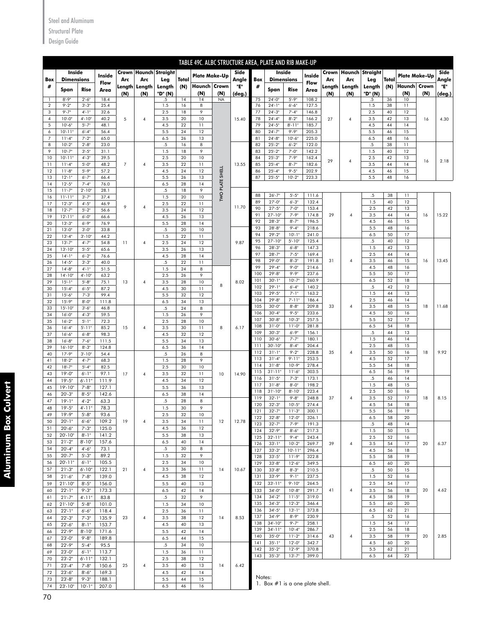### Steel and Aluminum

## Structural Plate

Design Guide

|                     |                           |                             |                |                |                |                           |          | TABLE 49C. ALBC STRUCTURE AREA, PLATE AND RIB MAKE-UP |                        |               |            |                          |                         |                |               |                |                           |          |                      |     |               |
|---------------------|---------------------------|-----------------------------|----------------|----------------|----------------|---------------------------|----------|-------------------------------------------------------|------------------------|---------------|------------|--------------------------|-------------------------|----------------|---------------|----------------|---------------------------|----------|----------------------|-----|---------------|
|                     | Inside                    |                             | Inside         |                |                | Crown   Haunch   Straight |          | <b>Plate Make-Up</b>                                  |                        | Side          |            | Inside                   |                         | Inside         |               |                | Crown   Haunch   Straight |          | <b>Plate Make-Up</b> |     | Side          |
| Box                 | <b>Dimensions</b>         |                             | Flow           | Arc            | Arc            | Leg                       | Total    |                                                       |                        | Angle         | Box        | <b>Dimensions</b>        |                         | Flow           | Arc           | Arc            | Leg                       | Total    |                      |     | Angle         |
| #                   | Span                      | Rise                        | Area           | Length<br>(N)  | Length<br>(N)  | Length<br>"D" (N)         | (N)      | <b>Haunch Crown</b><br>(N)                            | (N)                    | "E"<br>(deg.) | #          | Span                     | Rise                    | Area           | Length<br>(N) | Length<br>(N)  | Length<br>"D" (N)         | (N)      | Haunch Crown<br>(N)  | (N) | "Е"<br>(deg.) |
| 1                   | $8 - 9$ "                 | $2 - 6$                     | 18.4           |                |                | .5                        | 14       | 14                                                    | <b>NA</b>              |               | 75         | $24 - 0$ "               | $5 - 9$ "               | 108.2          |               |                | .5                        | 36       | 10                   |     |               |
| $\sqrt{2}$<br>3     | $9 - 2$ "<br>$9 - 7$ "    | $3 - 3"$<br>$4 - 1$         | 25.4<br>32.6   |                |                | 1.5<br>2.5                | 16<br>18 | 8<br>9                                                |                        |               | 76<br>77   | $24 - 1"$<br>$24 - 3"$   | $6 - 6"$<br>$7 - 4$ "   | 127.5<br>146.8 |               |                | 1.5<br>2.5                | 38<br>40 | 11<br>12             |     |               |
| 4                   | $10 - 0$                  | $4 - 10$                    | 40.2           | 5              | 4              | 3.5                       | 20       | 10                                                    |                        | 15.40         | 78         | $24 - 4"$                | $8 - 2$ "               | 166.2          | 27            | $\overline{4}$ | 3.5                       | 42       | 13                   | 16  | 4.30          |
| 5                   | $10 - 6"$<br>$10 - 11$ "  | $5 - 7"$<br>$6 - 4"$        | 48.1<br>56.4   |                |                | 4.5<br>5.5                | 22<br>24 | 11<br>12                                              |                        |               | 79<br>80   | $24 - 5"$<br>$24 - 7"$   | $8 - 11"$<br>$9 - 9$ "  | 185.7<br>205.3 |               |                | 4.5<br>5.5                | 44<br>46 | 14<br>15             |     |               |
| 6<br>$\overline{7}$ | $11 - 4"$                 | $7 - 2$                     | 65.0           |                |                | 6.5                       | 26       | 13                                                    |                        |               | 81         | $24 - 8$ "               | $10 - 6$ "              | 225.0          |               |                | 6.5                       | 48       | 16                   |     |               |
| 8                   | $10 - 2$                  | $2 - 8$                     | 23.0           |                |                | $.5\,$                    | 16       | 8                                                     |                        |               | 82         | $25 - 2$                 | $6 - 2"$                | 122.0          |               |                | .5                        | 38       | 11                   |     |               |
| 9<br>10             | $10 - 7"$<br>$10 - 11$    | $3 - 5"$<br>$4 - 3$         | 31.1<br>39.5   |                |                | 1.5<br>2.5                | 18<br>20 | 9<br>10                                               |                        |               | 83<br>84   | $25 - 2"$<br>$25 - 3"$   | $7 - 0$ "<br>$7 - 9"$   | 142.2<br>162.4 |               |                | 1.5<br>2.5                | 40<br>42 | 12<br>13             |     |               |
| 11                  | $11 - 4"$                 | $5 - 0$                     | 48.2           | $\overline{7}$ | 4              | 3.5                       | 22       | 11                                                    |                        | 13.55         | 85         | $25 - 4"$                | $8 - 7$                 | 182.6          | 29            | $\overline{4}$ | 3.5                       | 44       | 14                   | 16  | 2.18          |
| 12                  | $11 - 8"$                 | $5 - 9$                     | 57.2           |                |                | 4.5                       | 24       | 12                                                    |                        |               | 86         | $25 - 4"$                | $9 - 5$ "               | 202.9          |               |                | 4.5                       | 46       | 15                   |     |               |
| 13<br>14            | $12 - 1$ "<br>$12 - 5$    | $6 - 7"$<br>$7 - 4$         | 66.4<br>76.0   |                |                | 5.5<br>6.5                | 26<br>28 | 13<br>14                                              | <b>TWO PLATE SHELL</b> |               | 87         | $25 - 5"$                | $10 - 2"$               | 223.3          |               |                | 5.5                       | 48       | 16                   |     |               |
| 15                  | $11 - 7"$                 | $2 - 10$                    | 28.1           |                |                | $.5\,$                    | 18       | 9                                                     |                        |               |            |                          |                         |                |               |                |                           |          |                      |     |               |
| 16<br>17            | $11 - 11$ "<br>$12 - 3"$  | $3' - 7''$<br>$4 - 5"$      | 37.4<br>46.9   |                |                | 1.5<br>2.5                | 20<br>22 | 10<br>11                                              |                        |               | 88<br>89   | $26 - 7"$<br>$27 - 0$ "  | $5 - 5"$<br>$6 - 3"$    | 111.6<br>132.4 |               |                | $.5\,$<br>1.5             | 38<br>40 | 11<br>12             |     |               |
| 18                  | $12 - 7"$                 | $5 - 2$                     | 56.6           | 9              | $\overline{4}$ | 3.5                       | 24       | 12                                                    |                        | 11.70         | 90         | $27 - 5$                 | $7 - 0$ "               | 153.4          |               |                | 2.5                       | 42       | 13                   |     |               |
| 19                  | $12 - 11$ "               | $6 - 0$                     | 66.6           |                |                | 4.5                       | 26       | 13                                                    |                        |               | 91<br>92   | $27 - 10$<br>$28 - 3$    | $7 - 9$ "<br>$8 - 7$ "  | 174.8<br>196.5 | 29            | 4              | 3.5<br>4.5                | 44<br>46 | 14<br>15             | 16  | 15.22         |
| 20<br>21            | $13 - 3"$<br>$13 - 0$ "   | $6 - 9$<br>$3 - 0$ "        | 76.9<br>33.8   |                |                | 5.5<br>$.5\,$             | 28<br>20 | 14<br>10                                              |                        |               | 93         | $28 - 8$                 | $9 - 4$ "               | 218.6          |               |                | 5.5                       | 48       | 16                   |     |               |
| 22                  | $13 - 4$                  | $3 - 10$                    | 44.2           |                |                | 1.5                       | 22       | 11                                                    |                        |               | 94         | $29 - 2$ "               | $10 - 1$ "              | 241.0          |               |                | 6.5                       | 50       | 17                   |     |               |
| 23                  | $13 - 7"$                 | $4 - 7"$                    | 54.8           | 11             | $\pmb{4}$      | 2.5                       | 24       | 12                                                    |                        | 9.87          | 95<br>96   | $27 - 10$<br>$28 - 3$    | $5 - 10$ "<br>$6 - 8"$  | 125.4<br>147.3 |               |                | .5<br>1.5                 | 40<br>42 | 12<br>13             |     |               |
| 24<br>25            | $13 - 10$ "<br>$14 - 1$ " | $5 - 5$<br>$6 - 2$          | 65.6<br>76.6   |                |                | 3.5<br>4.5                | 26<br>28 | 13<br>14                                              |                        |               | 97         | $28 - 7"$                | $7 - 5$                 | 169.4          |               |                | 2.5                       | 44       | 14                   |     |               |
| 26                  | $14 - 5$                  | $3 - 3"$                    | 40.0           |                |                | $.5\,$                    | 22       | 11                                                    |                        |               | 98         | $29 - 0$                 | $8 - 3"$                | 191.8          | 31            | 4              | 3.5                       | 46       | 15                   | 16  | 13.45         |
| 27<br>28            | $14 - 8$<br>$14 - 10$ "   | $4 - 1$<br>$4 - 10$         | 51.5<br>63.2   |                |                | 1.5<br>2.5                | 24<br>26 | 8<br>9                                                |                        |               | 99<br>100  | $29 - 4$<br>$29 - 8$     | $9 - 0$<br>$9 - 9$ "    | 214.6<br>237.6 |               |                | 4.5<br>5.5                | 48<br>50 | 16<br>17             |     |               |
| 29                  | $15 - 1$ "                | $5 - 8$                     | 75.1           | 13             | 4              | 3.5                       | 28       | 10                                                    |                        | 8.02          | 101        | $30 - 1$ "               | $10 - 7"$               | 260.9          |               |                | 6.5                       | 52       | 18                   |     |               |
| 30                  | $15 - 4"$                 | $6 - 5"$                    | 87.2           |                |                | 4.5                       | 30       | 11                                                    | 8                      |               | 102<br>103 | $29 - 1$ "<br>$29 - 5$   | $6 - 4"$<br>$7 - 1$ "   | 140.2<br>163.2 |               |                | $.5\,$<br>1.5             | 42<br>44 | 12<br>13             |     |               |
| 31<br>32            | $15 - 6$<br>$15 - 9$      | $7 - 3'$<br>$8 - 0$         | 99.4<br>111.8  |                |                | 5.5<br>6.5                | 32<br>34 | 12<br>13                                              |                        |               | 104        | $29 - 8$                 | $7 - 11"$               | 186.4          |               |                | 2.5                       | 46       | 14                   |     |               |
| 33                  | $15 - 10$ "               | $3 - 6$                     | 46.8           |                |                | .5                        | 24       | 8                                                     |                        |               | 105        | $30 - 0$                 | $8 - 8$ "               | 209.8          | 33            | 4              | 3.5                       | 48       | 15                   | 18  | 11.68         |
| 34                  | $16 - 0$                  | $4 - 3$                     | 59.5           |                |                | 1.5                       | 26       | 9                                                     |                        |               | 106<br>107 | $30 - 4"$<br>$30 - 8$    | $9 - 5$ "<br>$10 - 3"$  | 233.6<br>257.5 |               |                | 4.5<br>5.5                | 50<br>52 | 16<br>17             |     |               |
| 35<br>36            | $16 - 2$<br>$16 - 4"$     | $5 - 1$<br>$5 - 11$         | 72.3<br>85.2   | 15             | 4              | 2.5<br>3.5                | 28<br>30 | 10<br>11                                              | 8                      | 6.17          | 108        | $31' - 0'$               | $11 - 0$ "              | 281.8          |               |                | 6.5                       | 54       | 18                   |     |               |
| 37                  | $16 - 6"$                 | $6 - 8$                     | 98.3           |                |                | 4.5                       | 32       | 12                                                    |                        |               | 109        | $30 - 3$                 | $6 - 9"$                | 156.1          |               |                | $.5\,$                    | 44       | 13                   |     |               |
| 38<br>39            | $16 - 8$<br>$16 - 10$     | $7 - 6$<br>$8 - 3$          | 111.5<br>124.8 |                |                | 5.5<br>6.5                | 34<br>36 | 13<br>14                                              |                        |               | 110<br>111 | $30 - 6$<br>$30 - 10$    | $7 - 7$<br>$8 - 4$      | 180.1<br>204.4 |               |                | 1.5<br>2.5                | 46<br>48 | 14<br>15             |     |               |
| 40                  | $17 - 9"$                 | $3 - 10$                    | 54.4           |                |                | $.5\,$                    | 26       | 8                                                     |                        |               | 112        | $31 - 1$ "               | $9 - 2$ "               | 228.8          | 35            | 4              | 3.5                       | 50       | 16                   | 18  | 9.92          |
| 41                  | $18 - 2"$                 | $4 - 7"$                    | 68.3           |                |                | 1.5                       | 28       | 9                                                     |                        |               | 113<br>114 | $31 - 4$<br>$31 - 8$     | $9 - 11"$<br>$10 - 9"$  | 253.5<br>278.4 |               |                | 4.5<br>5.5                | 52<br>54 | 17<br>18             |     |               |
| 42<br>43            | $18 - 7"$<br>$19 - 0$ "   | $5 - 4$<br>$6 - 1$ "        | 82.5<br>97.1   | 17             | $\pmb{4}$      | 2.5<br>3.5                | 30<br>32 | 10<br>11                                              | 10                     | 14.90         | 115        | $31' - 11'$              | $11 - 6"$               | 303.5          |               |                | 6.5                       | 56       | 19                   |     |               |
| 44                  | $19 - 5$                  | $6' - 11"$                  | 111.9          |                |                | 4.5                       | 34       | 12                                                    |                        |               | 116        | $31 - 5$                 | $7 - 3$ "               | 173.1          |               |                | $\overline{5}$            | 46       | 14                   |     |               |
| 45                  | $19' - 10''$              | $7 - 8n$                    | 127.1          |                |                | 5.5                       | 36       | 13                                                    |                        |               | 117<br>118 | $31 - 8$<br>$31 - 10$ "  | $8 - 0$ "<br>$8 - 10$   | 198.2<br>223.4 |               |                | 1.5<br>2.5                | 48<br>50 | 15<br>16             |     |               |
| 46<br>47            | $20 - 3"$<br>$19 - 1$ "   | $8 - 5"$<br>$4 - 2$         | 142.6<br>63.3  |                |                | 6.5<br>$.5\,$             | 38<br>28 | 14<br>8                                               |                        |               | 119        | $32 - 1$ "               | $9 - 8$ "               | 248.8          | 37            | $\overline{4}$ | 3.5                       | 52       | 17                   | 18  | 8.15          |
| 48                  | $19 - 5"$                 | 4'-11"                      | 78.3           |                |                | 1.5                       | 30       | 9                                                     |                        |               | 120        | $32 - 3'$                | $10 - 5$                | 274.4          |               |                | 4.5                       | 54       | 18                   |     |               |
| 49                  | $19 - 9"$                 | $5 - 8"$                    | 93.6           |                |                | 2.5                       | 32       | 10                                                    |                        |               | 121<br>122 | $32 - 7"$<br>$32 - 8$    | $11 - 3"$<br>$12 - 0$ " | 300.1<br>326.1 |               |                | 5.5<br>6.5                | 56<br>58 | 19<br>20             |     |               |
| 50<br>51            | $20 - 1"$<br>$20 - 6"$    | $6 - 6"$<br>$7^{\circ}$ -3" | 109.2<br>125.0 | 19             | 4              | 3.5<br>4.5                | 34<br>36 | 11<br>12                                              | 12                     | 12.78         | 123        | $32 - 7"$                | $7 - 9"$                | 191.3          |               |                | $.5\,$                    | 48       | 14                   |     |               |
| 52                  | $20 - 10$                 | $8 - 1"$                    | 141.2          |                |                | 5.5                       | 38       | 13                                                    |                        |               | 124<br>125 | $32 - 9"$<br>$32 - 11"$  | $8 - 6"$<br>$9 - 4"$    | 217.3<br>243.4 |               |                | 1.5<br>2.5                | 50<br>52 | 15<br>16             |     |               |
| 53                  | $21 - 2"$                 | $8 - 10$ "                  | 157.6          |                |                | 6.5                       | 40       | 14                                                    |                        |               | 126        | $33 - 1$ "               | $10 - 2"$               | 269.7          | 39            | 4              | 3.5                       | 54       | 17                   | 20  | 6.37          |
| 54<br>55            | $20 - 4"$<br>$20 - 7"$    | $4 - 6"$<br>$5 - 3"$        | 73.1<br>89.2   |                |                | $.5\,$<br>1.5             | 30<br>32 | 8<br>9                                                |                        |               | 127        | $33 - 3"$                | $10 - 11"$              | 296.4          |               |                | 4.5                       | 56       | 18                   |     |               |
| 56                  | $20' - 11"$               | $6 - 1"$                    | 105.5          |                |                | 2.5                       | 34       | 10                                                    |                        |               | 128<br>129 | $33 - 5$<br>$33 - 8$ "   | $11 - 9"$<br>$12 - 6"$  | 322.8<br>349.5 |               |                | 5.5<br>6.5                | 58<br>60 | 19<br>20             |     |               |
| 57                  | $21 - 3"$                 | $6' - 10"$                  | 122.1          | 21             | 4              | 3.5                       | 36       | 11                                                    | 14                     | 10.67         | 130        | $33 - 8$                 | $8 - 3"$                | 210.5          |               |                | .5                        | 50       | 15                   |     |               |
| 58                  | $21 - 6"$                 | $7 - 8n$                    | 139.0          |                |                | 4.5                       | 38       | 12                                                    |                        |               | 131        | $33 - 9$ "               | $9 - 1$ "               | 237.5          |               |                | 1.5                       | 52       | 16                   |     |               |
| 59<br>60            | $21 - 10$ "<br>$22 - 1"$  | $8 - 5"$<br>$9 - 3$ "       | 156.0<br>173.3 |                |                | 5.5<br>6.5                | 40<br>42 | 13<br>14                                              |                        |               | 132<br>133 | $33 - 11"$<br>$34 - 0$ " | $9 - 10"$<br>$10 - 8"$  | 264.5<br>291.7 | 41            | 4              | 2.5<br>3.5                | 54<br>56 | 17<br>18             | 20  | 4.62          |
| 61                  | $21 - 7"$                 | $4 - 11"$                   | 83.8           |                |                | $.5\,$                    | 32       | 9                                                     |                        |               | 134        | $34 - 2"$                | $11 - 5"$               | 319.0          |               |                | 4.5                       | 58       | 19                   |     |               |
| 62                  | $21 - 10n$                | $5 - 8"$                    | 101.0          |                |                | 1.5                       | 34       | 10                                                    |                        |               | 135        | $34 - 3"$                | $12 - 3"$               | 346.4          |               |                | 5.5                       | 60       | 20                   |     |               |
| 63<br>64            | $22 - 1"$<br>$22 - 3"$    | $6 - 6"$<br>$7 - 3"$        | 118.4<br>135.9 | 23             | $\overline{4}$ | 2.5<br>3.5                | 36<br>38 | 11<br>12                                              | 14                     | 8.53          | 136<br>137 | $34 - 5"$<br>$34 - 9"$   | $13 - 1"$<br>$8 - 9"$   | 373.8<br>230.9 |               |                | 6.5<br>$.5\,$             | 62<br>52 | 21<br>16             |     |               |
| 65                  | $22 - 6"$                 | $8 - 1"$                    | 153.7          |                |                | 4.5                       | 40       | 13                                                    |                        |               | 138        | $34 - 10"$               | 9'.7''                  | 258.1          |               |                | 1.5                       | 54       | 17                   |     |               |
| 66                  | $22 - 9"$                 | $8 - 10'$                   | 171.6          |                |                | 5.5                       | 42       | 14                                                    |                        |               | 139<br>140 | $34 - 11"$<br>$35 - 0$ " | $10 - 4"$<br>$11 - 2"$  | 286.7<br>314.6 | 43            | 4              | 2.5<br>3.5                | 56<br>58 | 18<br>19             | 20  | 2.85          |
| 67<br>68            | $23 - 0$ "<br>$22 - 9"$   | $9 - 8$ "<br>$5 - 4"$       | 189.8<br>95.5  |                |                | 6.5<br>$.5\,$             | 44<br>34 | 15<br>10                                              |                        |               | 141        | $35 - 1$ "               | $12 - 0$ "              | 342.7          |               |                | 4.5                       | 60       | 20                   |     |               |
| 69                  | $23 - 0$ "                | $6 - 1$ "                   | 113.7          |                |                | 1.5                       | 36       | 11                                                    |                        |               | 142        | $35 - 2"$                | $12 - 9"$               | 370.8          |               |                | 5.5                       | 62       | 21                   |     |               |
| 70                  | $23 - 2"$                 | $6' - 11"$                  | 132.1          |                |                | 2.5                       | 38       | 12                                                    |                        |               | 143        | $35 - 3"$                | $13 - 7"$               | 399.0          |               |                | 6.5                       | 64       | 22                   |     |               |
| 71                  | $23 - 4"$<br>$23 - 6"$    | $7 - 8n$<br>$8 - 6"$        | 150.6<br>169.3 | 25             | $\pmb{4}$      | 3.5<br>4.5                | 40       | 13<br>14                                              | 14                     | 6.42          |            |                          |                         |                |               |                |                           |          |                      |     |               |
| 72<br>73            | $23 - 8"$                 | $9 - 3$ "                   | 188.1          |                |                | 5.5                       | 42<br>44 | 15                                                    |                        |               | Notes:     |                          |                         |                |               |                |                           |          |                      |     |               |

1. Box #1 is a one plate shell.

**Aluminum Box Culvert Aluminum Box Culvert**

23'-10" 10'-1" 207.0 6.5 46 16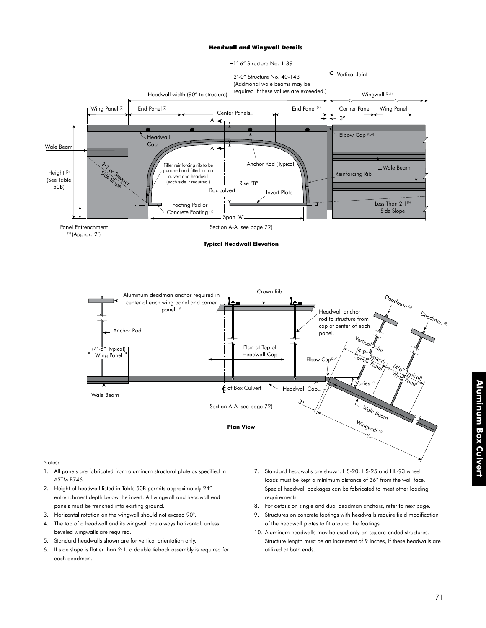#### Headwall and Wingwall Details



**Typical Headwall Elevation**



#### Notes:

- 1. All panels are fabricated from aluminum structural plate as specified in ASTM B746.
- 2. Height of headwall listed in Table 50B permits approximately 24" entrenchment depth below the invert. All wingwall and headwall end panels must be trenched into existing ground.
- 3. Horizontal rotation on the wingwall should not exceed 90°.
- 4. The top of a headwall and its wingwall are always horizontal, unless beveled wingwalls are required.
- 5. Standard headwalls shown are for vertical orientation only.
- 6. If side slope is flatter than 2:1, a double tieback assembly is required for each deadman.
- 7. Standard headwalls are shown. HS-20, HS-25 and HL-93 wheel loads must be kept a minimum distance of 36" from the wall face. Special headwall packages can be fabricated to meet other loading requirements.
- 8. For details on single and dual deadman anchors, refer to next page.
- 9. Structures on concrete footings with headwalls require field modification of the headwall plates to fit around the footings.
- 10. Aluminum headwalls may be used only on square-ended structures. Structure length must be an increment of 9 inches, if these headwalls are utilized at both ends.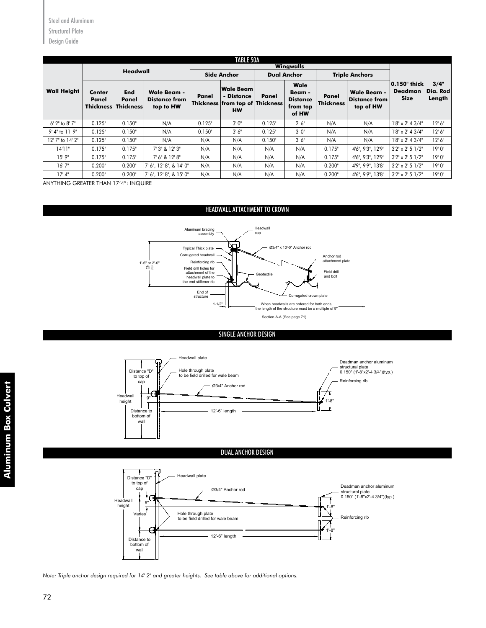|                    |                                               |                     |                                                         |        | <b>TABLE 50A</b>                                                               |        |                                                        |                           |                                                         |                                               |                            |
|--------------------|-----------------------------------------------|---------------------|---------------------------------------------------------|--------|--------------------------------------------------------------------------------|--------|--------------------------------------------------------|---------------------------|---------------------------------------------------------|-----------------------------------------------|----------------------------|
|                    |                                               | <b>Headwall</b>     |                                                         |        |                                                                                |        | Wingwalls                                              |                           |                                                         |                                               |                            |
|                    |                                               |                     |                                                         |        | <b>Side Anchor</b>                                                             |        | <b>Dual Anchor</b>                                     |                           | <b>Triple Anchors</b>                                   |                                               |                            |
| <b>Wall Height</b> | Center<br>Panel<br><b>Thickness Thickness</b> | <b>End</b><br>Panel | <b>Wale Beam -</b><br><b>Distance from</b><br>top to HW | Panel  | <b>Wale Beam</b><br>- Distance<br>Thickness from top of Thickness<br><b>HW</b> | Panel  | Wale<br>Beam -<br><b>Distance</b><br>from top<br>of HW | Panel<br><b>Thickness</b> | <b>Wale Beam -</b><br><b>Distance from</b><br>top of HW | 0.150" thick<br><b>Deadman</b><br><b>Size</b> | 3/4"<br>Dia. Rod<br>Length |
| $6'$ 2" to 8' 7"   | 0.125"                                        | 0.150"              | N/A                                                     | 0.125" | 3'0''                                                                          | 0.125" | 2' 6''                                                 | N/A                       | N/A                                                     | $1'8'' \times 2'$ 4 3/4"                      | 12'6''                     |
| 9' 4" to 11' 9"    | 0.125"                                        | 0.150"              | N/A                                                     | 0.150" | 3'6''                                                                          | 0.125" | 3'0''                                                  | N/A                       | N/A                                                     | $1'8'' \times 2'$ 4 3/4"                      | 12'6''                     |
| 12' 7" to 14' 2"   | 0.125"                                        | 0.150"              | N/A                                                     | N/A    | N/A                                                                            | 0.150" | 3' 6''                                                 | N/A                       | N/A                                                     | $1'8'' \times 2'$ 4 3/4"                      | 12'6''                     |
| 14'11"             | 0.175"                                        | 0.175"              | 7' 3" & 12' 3"                                          | N/A    | N/A                                                                            | N/A    | N/A                                                    | 0.175"                    | 4'6", 9'3", 12'9"                                       | $3'2'' \times 2' 5$ $1/2''$                   | 19'0''                     |
| 15'9''             | 0.175"                                        | 0.175"              | 7' 6" & 12' 8"                                          | N/A    | N/A                                                                            | N/A    | N/A                                                    | 0.175"                    | 4'6", 9'3", 12'9"                                       | $3'2'' \times 2' 5$ $1/2''$                   | 19'0''                     |
| 16'7''             | 0.200"                                        | 0.200"              | 7' 6", 12' 8", & 14' 0"                                 | N/A    | N/A                                                                            | N/A    | N/A                                                    | 0.200"                    | 4'9", 9'9", 13'8"                                       | $3'2'' \times 2' 5$ $1/2''$                   | 19'0''                     |
| 17' 4''            | 0.200"                                        | 0.200"              | 7' 6", 12' 8", & 15' 0"                                 | N/A    | N/A                                                                            | N/A    | N/A                                                    | 0.200"                    | 4'6", 9'9", 13'8"                                       | $3'2'' \times 2' 5$ $1/2''$                   | 19'0''                     |

ANYTHING GREATER THAN 17'4": INQUIRE

wall

## HEADWALL ATTACHMENT TO CROWN











Note: Triple anchor design required for 14' 2" and greater heights. See table above for additional options.<br>'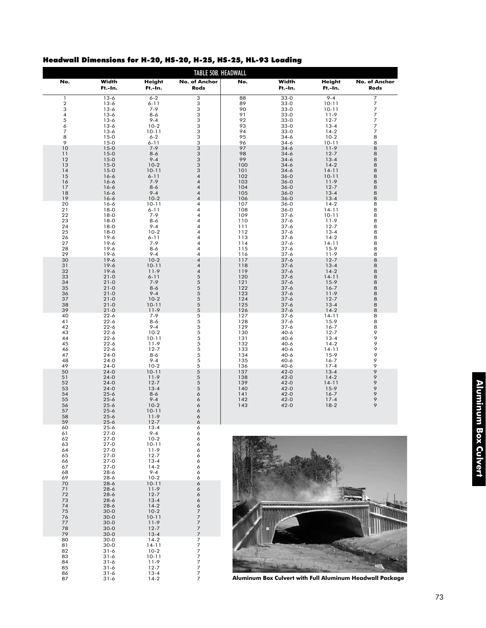| Headwall Dimensions for H-20, HS-20, H-25, HS-25, HL-93 Loading |  |  |  |  |  |
|-----------------------------------------------------------------|--|--|--|--|--|
|-----------------------------------------------------------------|--|--|--|--|--|

| Width<br>Width<br><b>Height</b><br>No. of Anchor<br>No.<br>No.<br>Height<br>Ft.-In.<br>Ft.-In.<br>Rods<br>Ft.-In.<br>Ft.-In.<br>$33-0$<br>$9 - 4$<br>$\mathbf{1}$<br>$13-6$<br>$6 - 2$<br>3<br>88<br>$\sqrt{2}$<br>89<br>$10 - 11$<br>$13-6$<br>$6 - 11$<br>3<br>$33-0$<br>3<br>3<br>$7 - 9$<br>90<br>$13-6$<br>$33-0$<br>$10 - 11$<br>3<br>4<br>$13-6$<br>$8 - 6$<br>91<br>$33-0$<br>$11-9$<br>5<br>$9 - 4$<br>3<br>92<br>$12 - 7$<br>$13-6$<br>$33-0$<br>6<br>$10-2$<br>3<br>$13-6$<br>93<br>$33-0$<br>$13 - 4$<br>$\overline{7}$<br>3<br>$10 - 11$<br>94<br>$33-0$<br>$14-2$<br>$13-6$<br>8<br>$6 - 2$<br>3<br>95<br>$10-2$<br>$15-0$<br>$34-6$<br>9<br>3<br>$15-0$<br>$6 - 11$<br>96<br>$34-6$<br>$10 - 11$<br>10<br>$7 - 9$<br>3<br>97<br>$15-0$<br>$34-6$<br>$11-9$<br>11<br>$8-6$<br>3<br>98<br>$12 - 7$<br>$15-0$<br>$34-6$<br>12<br>$9 - 4$<br>3<br>99<br>$15-0$<br>$34-6$<br>$13 - 4$<br>3<br>13<br>$15-0$<br>$10-2$<br>100<br>$34-6$<br>$14-2$<br>3<br>$14 - 11$<br>14<br>$15-0$<br>$10 - 11$<br>101<br>$34-6$<br>15<br>$6 - 11$<br>4<br>$16-6$<br>102<br>$36 - 0$<br>$10 - 11$<br>16<br>$16 - 6$<br>$7 - 9$<br>4<br>103<br>$36 - 0$<br>$11-9$<br>17<br>$16-6$<br>$8 - 6$<br>$\overline{\mathbf{4}}$<br>104<br>$36 - 0$<br>$12 - 7$<br>18<br>$9 - 4$<br>$16-6$<br>4<br>105<br>$36 - 0$<br>$13 - 4$<br>19<br>$10-2$<br>$16-6$<br>4<br>106<br>$36 - 0$<br>$13 - 4$<br>20<br>$16 - 6$<br>$10 - 11$<br>4<br>107<br>$36 - 0$<br>$14-2$<br>21<br>$18-0$<br>$6 - 11$<br>4<br>108<br>$14 - 11$<br>36-0<br>22<br>$18-0$<br>$7 - 9$<br>4<br>109<br>$37 - 6$<br>$10 - 11$<br>23<br>$18-0$<br>$8 - 6$<br>4<br>110<br>$37 - 6$<br>$11-9$<br>24<br>4<br>$18-0$<br>$9 - 4$<br>111<br>$37 - 6$<br>$12 - 7$<br>25<br>$10-2$<br>4<br>$37 - 6$<br>$18-0$<br>112<br>$13 - 4$<br>26<br>$19-6$<br>$6 - 11$<br>4<br>113<br>$37 - 6$<br>$14-2$<br>27<br>$7 - 9$<br>$19-6$<br>4<br>114<br>$37 - 6$<br>$14 - 11$<br>28<br>$8-6$<br>$19-6$<br>4<br>115<br>$37 - 6$<br>$15-9$<br>29<br>$9 - 4$<br>11-9<br>$19-6$<br>4<br>116<br>$37 - 6$<br>30<br>$19-6$<br>$10-2$<br>$\overline{\mathbf{4}}$<br>117<br>$37 - 6$<br>$12 - 7$<br>31<br>$10 - 11$<br>$19-6$<br>4<br>118<br>$37 - 6$<br>$13 - 4$<br>32<br>4<br>$19-6$<br>$11-9$<br>119<br>$37 - 6$<br>$14-2$<br>5<br>33<br>$21-0$<br>$6 - 11$<br>120<br>$37 - 6$<br>$14 - 11$<br>5<br>34<br>$7 - 9$<br>$21-0$<br>121<br>$37 - 6$<br>$15-9$<br>5<br>35<br>$21-0$<br>$8 - 6$<br>122<br>$37 - 6$<br>$16 - 7$<br>5<br>36<br>$21-0$<br>$9 - 4$<br>123<br>$37 - 6$<br>$11-9$<br>5<br>37<br>$21-0$<br>$10-2$<br>124<br>$37 - 6$<br>$12 - 7$<br>5<br>38<br>$21-0$<br>$10 - 11$<br>125<br>$37 - 6$<br>$13 - 4$<br>39<br>$11-9$<br>5<br>$14-2$<br>$21-0$<br>126<br>$37 - 6$<br>5<br>40<br>$7 - 9$<br>127<br>$37 - 6$<br>$14 - 11$<br>$22 - 6$<br>5<br>41<br>$22 - 6$<br>$8 - 6$<br>128<br>$37 - 6$<br>$15-9$<br>42<br>5<br>$22 - 6$<br>$9 - 4$<br>129<br>$37 - 6$<br>$16 - 7$<br>5<br>43<br>$22 - 6$<br>$10-2$<br>130<br>$40-6$<br>$12 - 7$<br>5<br>44<br>$10 - 11$<br>$40 - 6$<br>$22 - 6$<br>131<br>$13 - 4$<br>5<br>45<br>$22 - 6$<br>$11-9$<br>132<br>$40 - 6$<br>$14-2$<br>5<br>46<br>$22 - 6$<br>$12 - 7$<br>133<br>$40 - 6$<br>$14 - 11$<br>5<br>$40-6$<br>47<br>$24-0$<br>$8 - 6$<br>134<br>$15-9$<br>5<br>48<br>$9 - 4$<br>135<br>$40-6$<br>$16 - 7$<br>$24-0$<br>49<br>$10-2$<br>5<br>$24 - 0$<br>136<br>$40-6$<br>$17 - 4$<br>5<br>50<br>$24-0$<br>$10 - 11$<br>$42 - 0$<br>137<br>$13 - 4$<br>51<br>$11-9$<br>5<br>138<br>$14-2$<br>$24-0$<br>$42 - 0$<br>52<br>5<br>$24-0$<br>$12 - 7$<br>139<br>$42 - 0$<br>$14 - 11$<br>5<br>53<br>$24-0$<br>$13 - 4$<br>140<br>$42 - 0$<br>$15-9$<br>54<br>6<br>$16 - 7$<br>$25 - 6$<br>$8 - 6$<br>141<br>$42 - 0$<br>$9 - 4$<br>55<br>$25 - 6$<br>6<br>142<br>$42 - 0$<br>$17 - 4$<br>56<br>$25 - 6$<br>$10-2$<br>6<br>143<br>$42 - 0$<br>$18-2$<br>57<br>$25 - 6$<br>$10 - 11$<br>6<br>58<br>$25 - 6$<br>$11-9$<br>6<br>59<br>$12 - 7$<br>6<br>$25 - 6$<br>60<br>$25 - 6$<br>$13 - 4$<br>6<br>61<br>$27-0$<br>$9 - 4$<br>6<br>62<br>$27 - 0$<br>$10-2$<br>6<br>$27 - 0$<br>63<br>$10 - 11$<br>6 | No. of Anchor<br>Rods            |
|---------------------------------------------------------------------------------------------------------------------------------------------------------------------------------------------------------------------------------------------------------------------------------------------------------------------------------------------------------------------------------------------------------------------------------------------------------------------------------------------------------------------------------------------------------------------------------------------------------------------------------------------------------------------------------------------------------------------------------------------------------------------------------------------------------------------------------------------------------------------------------------------------------------------------------------------------------------------------------------------------------------------------------------------------------------------------------------------------------------------------------------------------------------------------------------------------------------------------------------------------------------------------------------------------------------------------------------------------------------------------------------------------------------------------------------------------------------------------------------------------------------------------------------------------------------------------------------------------------------------------------------------------------------------------------------------------------------------------------------------------------------------------------------------------------------------------------------------------------------------------------------------------------------------------------------------------------------------------------------------------------------------------------------------------------------------------------------------------------------------------------------------------------------------------------------------------------------------------------------------------------------------------------------------------------------------------------------------------------------------------------------------------------------------------------------------------------------------------------------------------------------------------------------------------------------------------------------------------------------------------------------------------------------------------------------------------------------------------------------------------------------------------------------------------------------------------------------------------------------------------------------------------------------------------------------------------------------------------------------------------------------------------------------------------------------------------------------------------------------------------------------------------------------------------------------------------------------------------------------------------------------------------------------------------------------------------------------------------------------------------------------------------------------------------------------------------------------------------------------------------------------------------------------------------------------------------------------------------------------------------------------------------------------------------------------------------------------------------------------------------------------------------------------------------------------------------------------------------------------------------------------------------------------------------------------------------------------------------------------------------------------------------------------------------------------------|----------------------------------|
|                                                                                                                                                                                                                                                                                                                                                                                                                                                                                                                                                                                                                                                                                                                                                                                                                                                                                                                                                                                                                                                                                                                                                                                                                                                                                                                                                                                                                                                                                                                                                                                                                                                                                                                                                                                                                                                                                                                                                                                                                                                                                                                                                                                                                                                                                                                                                                                                                                                                                                                                                                                                                                                                                                                                                                                                                                                                                                                                                                                                                                                                                                                                                                                                                                                                                                                                                                                                                                                                                                                                                                                                                                                                                                                                                                                                                                                                                                                                                                                                                                                                     |                                  |
|                                                                                                                                                                                                                                                                                                                                                                                                                                                                                                                                                                                                                                                                                                                                                                                                                                                                                                                                                                                                                                                                                                                                                                                                                                                                                                                                                                                                                                                                                                                                                                                                                                                                                                                                                                                                                                                                                                                                                                                                                                                                                                                                                                                                                                                                                                                                                                                                                                                                                                                                                                                                                                                                                                                                                                                                                                                                                                                                                                                                                                                                                                                                                                                                                                                                                                                                                                                                                                                                                                                                                                                                                                                                                                                                                                                                                                                                                                                                                                                                                                                                     | 7                                |
|                                                                                                                                                                                                                                                                                                                                                                                                                                                                                                                                                                                                                                                                                                                                                                                                                                                                                                                                                                                                                                                                                                                                                                                                                                                                                                                                                                                                                                                                                                                                                                                                                                                                                                                                                                                                                                                                                                                                                                                                                                                                                                                                                                                                                                                                                                                                                                                                                                                                                                                                                                                                                                                                                                                                                                                                                                                                                                                                                                                                                                                                                                                                                                                                                                                                                                                                                                                                                                                                                                                                                                                                                                                                                                                                                                                                                                                                                                                                                                                                                                                                     | 7                                |
|                                                                                                                                                                                                                                                                                                                                                                                                                                                                                                                                                                                                                                                                                                                                                                                                                                                                                                                                                                                                                                                                                                                                                                                                                                                                                                                                                                                                                                                                                                                                                                                                                                                                                                                                                                                                                                                                                                                                                                                                                                                                                                                                                                                                                                                                                                                                                                                                                                                                                                                                                                                                                                                                                                                                                                                                                                                                                                                                                                                                                                                                                                                                                                                                                                                                                                                                                                                                                                                                                                                                                                                                                                                                                                                                                                                                                                                                                                                                                                                                                                                                     | $\overline{7}$                   |
|                                                                                                                                                                                                                                                                                                                                                                                                                                                                                                                                                                                                                                                                                                                                                                                                                                                                                                                                                                                                                                                                                                                                                                                                                                                                                                                                                                                                                                                                                                                                                                                                                                                                                                                                                                                                                                                                                                                                                                                                                                                                                                                                                                                                                                                                                                                                                                                                                                                                                                                                                                                                                                                                                                                                                                                                                                                                                                                                                                                                                                                                                                                                                                                                                                                                                                                                                                                                                                                                                                                                                                                                                                                                                                                                                                                                                                                                                                                                                                                                                                                                     | $\overline{7}$                   |
|                                                                                                                                                                                                                                                                                                                                                                                                                                                                                                                                                                                                                                                                                                                                                                                                                                                                                                                                                                                                                                                                                                                                                                                                                                                                                                                                                                                                                                                                                                                                                                                                                                                                                                                                                                                                                                                                                                                                                                                                                                                                                                                                                                                                                                                                                                                                                                                                                                                                                                                                                                                                                                                                                                                                                                                                                                                                                                                                                                                                                                                                                                                                                                                                                                                                                                                                                                                                                                                                                                                                                                                                                                                                                                                                                                                                                                                                                                                                                                                                                                                                     | $\overline{7}$<br>$\overline{7}$ |
|                                                                                                                                                                                                                                                                                                                                                                                                                                                                                                                                                                                                                                                                                                                                                                                                                                                                                                                                                                                                                                                                                                                                                                                                                                                                                                                                                                                                                                                                                                                                                                                                                                                                                                                                                                                                                                                                                                                                                                                                                                                                                                                                                                                                                                                                                                                                                                                                                                                                                                                                                                                                                                                                                                                                                                                                                                                                                                                                                                                                                                                                                                                                                                                                                                                                                                                                                                                                                                                                                                                                                                                                                                                                                                                                                                                                                                                                                                                                                                                                                                                                     | $\overline{7}$                   |
|                                                                                                                                                                                                                                                                                                                                                                                                                                                                                                                                                                                                                                                                                                                                                                                                                                                                                                                                                                                                                                                                                                                                                                                                                                                                                                                                                                                                                                                                                                                                                                                                                                                                                                                                                                                                                                                                                                                                                                                                                                                                                                                                                                                                                                                                                                                                                                                                                                                                                                                                                                                                                                                                                                                                                                                                                                                                                                                                                                                                                                                                                                                                                                                                                                                                                                                                                                                                                                                                                                                                                                                                                                                                                                                                                                                                                                                                                                                                                                                                                                                                     | 8                                |
|                                                                                                                                                                                                                                                                                                                                                                                                                                                                                                                                                                                                                                                                                                                                                                                                                                                                                                                                                                                                                                                                                                                                                                                                                                                                                                                                                                                                                                                                                                                                                                                                                                                                                                                                                                                                                                                                                                                                                                                                                                                                                                                                                                                                                                                                                                                                                                                                                                                                                                                                                                                                                                                                                                                                                                                                                                                                                                                                                                                                                                                                                                                                                                                                                                                                                                                                                                                                                                                                                                                                                                                                                                                                                                                                                                                                                                                                                                                                                                                                                                                                     | 8                                |
|                                                                                                                                                                                                                                                                                                                                                                                                                                                                                                                                                                                                                                                                                                                                                                                                                                                                                                                                                                                                                                                                                                                                                                                                                                                                                                                                                                                                                                                                                                                                                                                                                                                                                                                                                                                                                                                                                                                                                                                                                                                                                                                                                                                                                                                                                                                                                                                                                                                                                                                                                                                                                                                                                                                                                                                                                                                                                                                                                                                                                                                                                                                                                                                                                                                                                                                                                                                                                                                                                                                                                                                                                                                                                                                                                                                                                                                                                                                                                                                                                                                                     | 8                                |
|                                                                                                                                                                                                                                                                                                                                                                                                                                                                                                                                                                                                                                                                                                                                                                                                                                                                                                                                                                                                                                                                                                                                                                                                                                                                                                                                                                                                                                                                                                                                                                                                                                                                                                                                                                                                                                                                                                                                                                                                                                                                                                                                                                                                                                                                                                                                                                                                                                                                                                                                                                                                                                                                                                                                                                                                                                                                                                                                                                                                                                                                                                                                                                                                                                                                                                                                                                                                                                                                                                                                                                                                                                                                                                                                                                                                                                                                                                                                                                                                                                                                     | 8                                |
|                                                                                                                                                                                                                                                                                                                                                                                                                                                                                                                                                                                                                                                                                                                                                                                                                                                                                                                                                                                                                                                                                                                                                                                                                                                                                                                                                                                                                                                                                                                                                                                                                                                                                                                                                                                                                                                                                                                                                                                                                                                                                                                                                                                                                                                                                                                                                                                                                                                                                                                                                                                                                                                                                                                                                                                                                                                                                                                                                                                                                                                                                                                                                                                                                                                                                                                                                                                                                                                                                                                                                                                                                                                                                                                                                                                                                                                                                                                                                                                                                                                                     | 8                                |
|                                                                                                                                                                                                                                                                                                                                                                                                                                                                                                                                                                                                                                                                                                                                                                                                                                                                                                                                                                                                                                                                                                                                                                                                                                                                                                                                                                                                                                                                                                                                                                                                                                                                                                                                                                                                                                                                                                                                                                                                                                                                                                                                                                                                                                                                                                                                                                                                                                                                                                                                                                                                                                                                                                                                                                                                                                                                                                                                                                                                                                                                                                                                                                                                                                                                                                                                                                                                                                                                                                                                                                                                                                                                                                                                                                                                                                                                                                                                                                                                                                                                     | 8                                |
|                                                                                                                                                                                                                                                                                                                                                                                                                                                                                                                                                                                                                                                                                                                                                                                                                                                                                                                                                                                                                                                                                                                                                                                                                                                                                                                                                                                                                                                                                                                                                                                                                                                                                                                                                                                                                                                                                                                                                                                                                                                                                                                                                                                                                                                                                                                                                                                                                                                                                                                                                                                                                                                                                                                                                                                                                                                                                                                                                                                                                                                                                                                                                                                                                                                                                                                                                                                                                                                                                                                                                                                                                                                                                                                                                                                                                                                                                                                                                                                                                                                                     | 8                                |
|                                                                                                                                                                                                                                                                                                                                                                                                                                                                                                                                                                                                                                                                                                                                                                                                                                                                                                                                                                                                                                                                                                                                                                                                                                                                                                                                                                                                                                                                                                                                                                                                                                                                                                                                                                                                                                                                                                                                                                                                                                                                                                                                                                                                                                                                                                                                                                                                                                                                                                                                                                                                                                                                                                                                                                                                                                                                                                                                                                                                                                                                                                                                                                                                                                                                                                                                                                                                                                                                                                                                                                                                                                                                                                                                                                                                                                                                                                                                                                                                                                                                     | 8                                |
|                                                                                                                                                                                                                                                                                                                                                                                                                                                                                                                                                                                                                                                                                                                                                                                                                                                                                                                                                                                                                                                                                                                                                                                                                                                                                                                                                                                                                                                                                                                                                                                                                                                                                                                                                                                                                                                                                                                                                                                                                                                                                                                                                                                                                                                                                                                                                                                                                                                                                                                                                                                                                                                                                                                                                                                                                                                                                                                                                                                                                                                                                                                                                                                                                                                                                                                                                                                                                                                                                                                                                                                                                                                                                                                                                                                                                                                                                                                                                                                                                                                                     | 8<br>8                           |
|                                                                                                                                                                                                                                                                                                                                                                                                                                                                                                                                                                                                                                                                                                                                                                                                                                                                                                                                                                                                                                                                                                                                                                                                                                                                                                                                                                                                                                                                                                                                                                                                                                                                                                                                                                                                                                                                                                                                                                                                                                                                                                                                                                                                                                                                                                                                                                                                                                                                                                                                                                                                                                                                                                                                                                                                                                                                                                                                                                                                                                                                                                                                                                                                                                                                                                                                                                                                                                                                                                                                                                                                                                                                                                                                                                                                                                                                                                                                                                                                                                                                     | 8                                |
|                                                                                                                                                                                                                                                                                                                                                                                                                                                                                                                                                                                                                                                                                                                                                                                                                                                                                                                                                                                                                                                                                                                                                                                                                                                                                                                                                                                                                                                                                                                                                                                                                                                                                                                                                                                                                                                                                                                                                                                                                                                                                                                                                                                                                                                                                                                                                                                                                                                                                                                                                                                                                                                                                                                                                                                                                                                                                                                                                                                                                                                                                                                                                                                                                                                                                                                                                                                                                                                                                                                                                                                                                                                                                                                                                                                                                                                                                                                                                                                                                                                                     | 8                                |
|                                                                                                                                                                                                                                                                                                                                                                                                                                                                                                                                                                                                                                                                                                                                                                                                                                                                                                                                                                                                                                                                                                                                                                                                                                                                                                                                                                                                                                                                                                                                                                                                                                                                                                                                                                                                                                                                                                                                                                                                                                                                                                                                                                                                                                                                                                                                                                                                                                                                                                                                                                                                                                                                                                                                                                                                                                                                                                                                                                                                                                                                                                                                                                                                                                                                                                                                                                                                                                                                                                                                                                                                                                                                                                                                                                                                                                                                                                                                                                                                                                                                     | 8                                |
|                                                                                                                                                                                                                                                                                                                                                                                                                                                                                                                                                                                                                                                                                                                                                                                                                                                                                                                                                                                                                                                                                                                                                                                                                                                                                                                                                                                                                                                                                                                                                                                                                                                                                                                                                                                                                                                                                                                                                                                                                                                                                                                                                                                                                                                                                                                                                                                                                                                                                                                                                                                                                                                                                                                                                                                                                                                                                                                                                                                                                                                                                                                                                                                                                                                                                                                                                                                                                                                                                                                                                                                                                                                                                                                                                                                                                                                                                                                                                                                                                                                                     | 8                                |
|                                                                                                                                                                                                                                                                                                                                                                                                                                                                                                                                                                                                                                                                                                                                                                                                                                                                                                                                                                                                                                                                                                                                                                                                                                                                                                                                                                                                                                                                                                                                                                                                                                                                                                                                                                                                                                                                                                                                                                                                                                                                                                                                                                                                                                                                                                                                                                                                                                                                                                                                                                                                                                                                                                                                                                                                                                                                                                                                                                                                                                                                                                                                                                                                                                                                                                                                                                                                                                                                                                                                                                                                                                                                                                                                                                                                                                                                                                                                                                                                                                                                     | 8                                |
|                                                                                                                                                                                                                                                                                                                                                                                                                                                                                                                                                                                                                                                                                                                                                                                                                                                                                                                                                                                                                                                                                                                                                                                                                                                                                                                                                                                                                                                                                                                                                                                                                                                                                                                                                                                                                                                                                                                                                                                                                                                                                                                                                                                                                                                                                                                                                                                                                                                                                                                                                                                                                                                                                                                                                                                                                                                                                                                                                                                                                                                                                                                                                                                                                                                                                                                                                                                                                                                                                                                                                                                                                                                                                                                                                                                                                                                                                                                                                                                                                                                                     | 8                                |
|                                                                                                                                                                                                                                                                                                                                                                                                                                                                                                                                                                                                                                                                                                                                                                                                                                                                                                                                                                                                                                                                                                                                                                                                                                                                                                                                                                                                                                                                                                                                                                                                                                                                                                                                                                                                                                                                                                                                                                                                                                                                                                                                                                                                                                                                                                                                                                                                                                                                                                                                                                                                                                                                                                                                                                                                                                                                                                                                                                                                                                                                                                                                                                                                                                                                                                                                                                                                                                                                                                                                                                                                                                                                                                                                                                                                                                                                                                                                                                                                                                                                     | 8                                |
|                                                                                                                                                                                                                                                                                                                                                                                                                                                                                                                                                                                                                                                                                                                                                                                                                                                                                                                                                                                                                                                                                                                                                                                                                                                                                                                                                                                                                                                                                                                                                                                                                                                                                                                                                                                                                                                                                                                                                                                                                                                                                                                                                                                                                                                                                                                                                                                                                                                                                                                                                                                                                                                                                                                                                                                                                                                                                                                                                                                                                                                                                                                                                                                                                                                                                                                                                                                                                                                                                                                                                                                                                                                                                                                                                                                                                                                                                                                                                                                                                                                                     | 8                                |
|                                                                                                                                                                                                                                                                                                                                                                                                                                                                                                                                                                                                                                                                                                                                                                                                                                                                                                                                                                                                                                                                                                                                                                                                                                                                                                                                                                                                                                                                                                                                                                                                                                                                                                                                                                                                                                                                                                                                                                                                                                                                                                                                                                                                                                                                                                                                                                                                                                                                                                                                                                                                                                                                                                                                                                                                                                                                                                                                                                                                                                                                                                                                                                                                                                                                                                                                                                                                                                                                                                                                                                                                                                                                                                                                                                                                                                                                                                                                                                                                                                                                     | 8                                |
|                                                                                                                                                                                                                                                                                                                                                                                                                                                                                                                                                                                                                                                                                                                                                                                                                                                                                                                                                                                                                                                                                                                                                                                                                                                                                                                                                                                                                                                                                                                                                                                                                                                                                                                                                                                                                                                                                                                                                                                                                                                                                                                                                                                                                                                                                                                                                                                                                                                                                                                                                                                                                                                                                                                                                                                                                                                                                                                                                                                                                                                                                                                                                                                                                                                                                                                                                                                                                                                                                                                                                                                                                                                                                                                                                                                                                                                                                                                                                                                                                                                                     | 8                                |
|                                                                                                                                                                                                                                                                                                                                                                                                                                                                                                                                                                                                                                                                                                                                                                                                                                                                                                                                                                                                                                                                                                                                                                                                                                                                                                                                                                                                                                                                                                                                                                                                                                                                                                                                                                                                                                                                                                                                                                                                                                                                                                                                                                                                                                                                                                                                                                                                                                                                                                                                                                                                                                                                                                                                                                                                                                                                                                                                                                                                                                                                                                                                                                                                                                                                                                                                                                                                                                                                                                                                                                                                                                                                                                                                                                                                                                                                                                                                                                                                                                                                     | 8                                |
|                                                                                                                                                                                                                                                                                                                                                                                                                                                                                                                                                                                                                                                                                                                                                                                                                                                                                                                                                                                                                                                                                                                                                                                                                                                                                                                                                                                                                                                                                                                                                                                                                                                                                                                                                                                                                                                                                                                                                                                                                                                                                                                                                                                                                                                                                                                                                                                                                                                                                                                                                                                                                                                                                                                                                                                                                                                                                                                                                                                                                                                                                                                                                                                                                                                                                                                                                                                                                                                                                                                                                                                                                                                                                                                                                                                                                                                                                                                                                                                                                                                                     | 8                                |
|                                                                                                                                                                                                                                                                                                                                                                                                                                                                                                                                                                                                                                                                                                                                                                                                                                                                                                                                                                                                                                                                                                                                                                                                                                                                                                                                                                                                                                                                                                                                                                                                                                                                                                                                                                                                                                                                                                                                                                                                                                                                                                                                                                                                                                                                                                                                                                                                                                                                                                                                                                                                                                                                                                                                                                                                                                                                                                                                                                                                                                                                                                                                                                                                                                                                                                                                                                                                                                                                                                                                                                                                                                                                                                                                                                                                                                                                                                                                                                                                                                                                     | 8                                |
|                                                                                                                                                                                                                                                                                                                                                                                                                                                                                                                                                                                                                                                                                                                                                                                                                                                                                                                                                                                                                                                                                                                                                                                                                                                                                                                                                                                                                                                                                                                                                                                                                                                                                                                                                                                                                                                                                                                                                                                                                                                                                                                                                                                                                                                                                                                                                                                                                                                                                                                                                                                                                                                                                                                                                                                                                                                                                                                                                                                                                                                                                                                                                                                                                                                                                                                                                                                                                                                                                                                                                                                                                                                                                                                                                                                                                                                                                                                                                                                                                                                                     | 8<br>8                           |
|                                                                                                                                                                                                                                                                                                                                                                                                                                                                                                                                                                                                                                                                                                                                                                                                                                                                                                                                                                                                                                                                                                                                                                                                                                                                                                                                                                                                                                                                                                                                                                                                                                                                                                                                                                                                                                                                                                                                                                                                                                                                                                                                                                                                                                                                                                                                                                                                                                                                                                                                                                                                                                                                                                                                                                                                                                                                                                                                                                                                                                                                                                                                                                                                                                                                                                                                                                                                                                                                                                                                                                                                                                                                                                                                                                                                                                                                                                                                                                                                                                                                     | 8                                |
|                                                                                                                                                                                                                                                                                                                                                                                                                                                                                                                                                                                                                                                                                                                                                                                                                                                                                                                                                                                                                                                                                                                                                                                                                                                                                                                                                                                                                                                                                                                                                                                                                                                                                                                                                                                                                                                                                                                                                                                                                                                                                                                                                                                                                                                                                                                                                                                                                                                                                                                                                                                                                                                                                                                                                                                                                                                                                                                                                                                                                                                                                                                                                                                                                                                                                                                                                                                                                                                                                                                                                                                                                                                                                                                                                                                                                                                                                                                                                                                                                                                                     | 8                                |
|                                                                                                                                                                                                                                                                                                                                                                                                                                                                                                                                                                                                                                                                                                                                                                                                                                                                                                                                                                                                                                                                                                                                                                                                                                                                                                                                                                                                                                                                                                                                                                                                                                                                                                                                                                                                                                                                                                                                                                                                                                                                                                                                                                                                                                                                                                                                                                                                                                                                                                                                                                                                                                                                                                                                                                                                                                                                                                                                                                                                                                                                                                                                                                                                                                                                                                                                                                                                                                                                                                                                                                                                                                                                                                                                                                                                                                                                                                                                                                                                                                                                     | 8                                |
|                                                                                                                                                                                                                                                                                                                                                                                                                                                                                                                                                                                                                                                                                                                                                                                                                                                                                                                                                                                                                                                                                                                                                                                                                                                                                                                                                                                                                                                                                                                                                                                                                                                                                                                                                                                                                                                                                                                                                                                                                                                                                                                                                                                                                                                                                                                                                                                                                                                                                                                                                                                                                                                                                                                                                                                                                                                                                                                                                                                                                                                                                                                                                                                                                                                                                                                                                                                                                                                                                                                                                                                                                                                                                                                                                                                                                                                                                                                                                                                                                                                                     | 8                                |
|                                                                                                                                                                                                                                                                                                                                                                                                                                                                                                                                                                                                                                                                                                                                                                                                                                                                                                                                                                                                                                                                                                                                                                                                                                                                                                                                                                                                                                                                                                                                                                                                                                                                                                                                                                                                                                                                                                                                                                                                                                                                                                                                                                                                                                                                                                                                                                                                                                                                                                                                                                                                                                                                                                                                                                                                                                                                                                                                                                                                                                                                                                                                                                                                                                                                                                                                                                                                                                                                                                                                                                                                                                                                                                                                                                                                                                                                                                                                                                                                                                                                     | 8                                |
|                                                                                                                                                                                                                                                                                                                                                                                                                                                                                                                                                                                                                                                                                                                                                                                                                                                                                                                                                                                                                                                                                                                                                                                                                                                                                                                                                                                                                                                                                                                                                                                                                                                                                                                                                                                                                                                                                                                                                                                                                                                                                                                                                                                                                                                                                                                                                                                                                                                                                                                                                                                                                                                                                                                                                                                                                                                                                                                                                                                                                                                                                                                                                                                                                                                                                                                                                                                                                                                                                                                                                                                                                                                                                                                                                                                                                                                                                                                                                                                                                                                                     | 8                                |
|                                                                                                                                                                                                                                                                                                                                                                                                                                                                                                                                                                                                                                                                                                                                                                                                                                                                                                                                                                                                                                                                                                                                                                                                                                                                                                                                                                                                                                                                                                                                                                                                                                                                                                                                                                                                                                                                                                                                                                                                                                                                                                                                                                                                                                                                                                                                                                                                                                                                                                                                                                                                                                                                                                                                                                                                                                                                                                                                                                                                                                                                                                                                                                                                                                                                                                                                                                                                                                                                                                                                                                                                                                                                                                                                                                                                                                                                                                                                                                                                                                                                     | 8                                |
|                                                                                                                                                                                                                                                                                                                                                                                                                                                                                                                                                                                                                                                                                                                                                                                                                                                                                                                                                                                                                                                                                                                                                                                                                                                                                                                                                                                                                                                                                                                                                                                                                                                                                                                                                                                                                                                                                                                                                                                                                                                                                                                                                                                                                                                                                                                                                                                                                                                                                                                                                                                                                                                                                                                                                                                                                                                                                                                                                                                                                                                                                                                                                                                                                                                                                                                                                                                                                                                                                                                                                                                                                                                                                                                                                                                                                                                                                                                                                                                                                                                                     | 8                                |
|                                                                                                                                                                                                                                                                                                                                                                                                                                                                                                                                                                                                                                                                                                                                                                                                                                                                                                                                                                                                                                                                                                                                                                                                                                                                                                                                                                                                                                                                                                                                                                                                                                                                                                                                                                                                                                                                                                                                                                                                                                                                                                                                                                                                                                                                                                                                                                                                                                                                                                                                                                                                                                                                                                                                                                                                                                                                                                                                                                                                                                                                                                                                                                                                                                                                                                                                                                                                                                                                                                                                                                                                                                                                                                                                                                                                                                                                                                                                                                                                                                                                     | 8                                |
|                                                                                                                                                                                                                                                                                                                                                                                                                                                                                                                                                                                                                                                                                                                                                                                                                                                                                                                                                                                                                                                                                                                                                                                                                                                                                                                                                                                                                                                                                                                                                                                                                                                                                                                                                                                                                                                                                                                                                                                                                                                                                                                                                                                                                                                                                                                                                                                                                                                                                                                                                                                                                                                                                                                                                                                                                                                                                                                                                                                                                                                                                                                                                                                                                                                                                                                                                                                                                                                                                                                                                                                                                                                                                                                                                                                                                                                                                                                                                                                                                                                                     | 8                                |
|                                                                                                                                                                                                                                                                                                                                                                                                                                                                                                                                                                                                                                                                                                                                                                                                                                                                                                                                                                                                                                                                                                                                                                                                                                                                                                                                                                                                                                                                                                                                                                                                                                                                                                                                                                                                                                                                                                                                                                                                                                                                                                                                                                                                                                                                                                                                                                                                                                                                                                                                                                                                                                                                                                                                                                                                                                                                                                                                                                                                                                                                                                                                                                                                                                                                                                                                                                                                                                                                                                                                                                                                                                                                                                                                                                                                                                                                                                                                                                                                                                                                     | 9                                |
|                                                                                                                                                                                                                                                                                                                                                                                                                                                                                                                                                                                                                                                                                                                                                                                                                                                                                                                                                                                                                                                                                                                                                                                                                                                                                                                                                                                                                                                                                                                                                                                                                                                                                                                                                                                                                                                                                                                                                                                                                                                                                                                                                                                                                                                                                                                                                                                                                                                                                                                                                                                                                                                                                                                                                                                                                                                                                                                                                                                                                                                                                                                                                                                                                                                                                                                                                                                                                                                                                                                                                                                                                                                                                                                                                                                                                                                                                                                                                                                                                                                                     | 9<br>9                           |
|                                                                                                                                                                                                                                                                                                                                                                                                                                                                                                                                                                                                                                                                                                                                                                                                                                                                                                                                                                                                                                                                                                                                                                                                                                                                                                                                                                                                                                                                                                                                                                                                                                                                                                                                                                                                                                                                                                                                                                                                                                                                                                                                                                                                                                                                                                                                                                                                                                                                                                                                                                                                                                                                                                                                                                                                                                                                                                                                                                                                                                                                                                                                                                                                                                                                                                                                                                                                                                                                                                                                                                                                                                                                                                                                                                                                                                                                                                                                                                                                                                                                     | 9                                |
|                                                                                                                                                                                                                                                                                                                                                                                                                                                                                                                                                                                                                                                                                                                                                                                                                                                                                                                                                                                                                                                                                                                                                                                                                                                                                                                                                                                                                                                                                                                                                                                                                                                                                                                                                                                                                                                                                                                                                                                                                                                                                                                                                                                                                                                                                                                                                                                                                                                                                                                                                                                                                                                                                                                                                                                                                                                                                                                                                                                                                                                                                                                                                                                                                                                                                                                                                                                                                                                                                                                                                                                                                                                                                                                                                                                                                                                                                                                                                                                                                                                                     | 9                                |
|                                                                                                                                                                                                                                                                                                                                                                                                                                                                                                                                                                                                                                                                                                                                                                                                                                                                                                                                                                                                                                                                                                                                                                                                                                                                                                                                                                                                                                                                                                                                                                                                                                                                                                                                                                                                                                                                                                                                                                                                                                                                                                                                                                                                                                                                                                                                                                                                                                                                                                                                                                                                                                                                                                                                                                                                                                                                                                                                                                                                                                                                                                                                                                                                                                                                                                                                                                                                                                                                                                                                                                                                                                                                                                                                                                                                                                                                                                                                                                                                                                                                     | 9                                |
|                                                                                                                                                                                                                                                                                                                                                                                                                                                                                                                                                                                                                                                                                                                                                                                                                                                                                                                                                                                                                                                                                                                                                                                                                                                                                                                                                                                                                                                                                                                                                                                                                                                                                                                                                                                                                                                                                                                                                                                                                                                                                                                                                                                                                                                                                                                                                                                                                                                                                                                                                                                                                                                                                                                                                                                                                                                                                                                                                                                                                                                                                                                                                                                                                                                                                                                                                                                                                                                                                                                                                                                                                                                                                                                                                                                                                                                                                                                                                                                                                                                                     | 9                                |
|                                                                                                                                                                                                                                                                                                                                                                                                                                                                                                                                                                                                                                                                                                                                                                                                                                                                                                                                                                                                                                                                                                                                                                                                                                                                                                                                                                                                                                                                                                                                                                                                                                                                                                                                                                                                                                                                                                                                                                                                                                                                                                                                                                                                                                                                                                                                                                                                                                                                                                                                                                                                                                                                                                                                                                                                                                                                                                                                                                                                                                                                                                                                                                                                                                                                                                                                                                                                                                                                                                                                                                                                                                                                                                                                                                                                                                                                                                                                                                                                                                                                     | 9                                |
|                                                                                                                                                                                                                                                                                                                                                                                                                                                                                                                                                                                                                                                                                                                                                                                                                                                                                                                                                                                                                                                                                                                                                                                                                                                                                                                                                                                                                                                                                                                                                                                                                                                                                                                                                                                                                                                                                                                                                                                                                                                                                                                                                                                                                                                                                                                                                                                                                                                                                                                                                                                                                                                                                                                                                                                                                                                                                                                                                                                                                                                                                                                                                                                                                                                                                                                                                                                                                                                                                                                                                                                                                                                                                                                                                                                                                                                                                                                                                                                                                                                                     | 9                                |
|                                                                                                                                                                                                                                                                                                                                                                                                                                                                                                                                                                                                                                                                                                                                                                                                                                                                                                                                                                                                                                                                                                                                                                                                                                                                                                                                                                                                                                                                                                                                                                                                                                                                                                                                                                                                                                                                                                                                                                                                                                                                                                                                                                                                                                                                                                                                                                                                                                                                                                                                                                                                                                                                                                                                                                                                                                                                                                                                                                                                                                                                                                                                                                                                                                                                                                                                                                                                                                                                                                                                                                                                                                                                                                                                                                                                                                                                                                                                                                                                                                                                     | 9                                |
|                                                                                                                                                                                                                                                                                                                                                                                                                                                                                                                                                                                                                                                                                                                                                                                                                                                                                                                                                                                                                                                                                                                                                                                                                                                                                                                                                                                                                                                                                                                                                                                                                                                                                                                                                                                                                                                                                                                                                                                                                                                                                                                                                                                                                                                                                                                                                                                                                                                                                                                                                                                                                                                                                                                                                                                                                                                                                                                                                                                                                                                                                                                                                                                                                                                                                                                                                                                                                                                                                                                                                                                                                                                                                                                                                                                                                                                                                                                                                                                                                                                                     | 9                                |
|                                                                                                                                                                                                                                                                                                                                                                                                                                                                                                                                                                                                                                                                                                                                                                                                                                                                                                                                                                                                                                                                                                                                                                                                                                                                                                                                                                                                                                                                                                                                                                                                                                                                                                                                                                                                                                                                                                                                                                                                                                                                                                                                                                                                                                                                                                                                                                                                                                                                                                                                                                                                                                                                                                                                                                                                                                                                                                                                                                                                                                                                                                                                                                                                                                                                                                                                                                                                                                                                                                                                                                                                                                                                                                                                                                                                                                                                                                                                                                                                                                                                     | 9                                |
|                                                                                                                                                                                                                                                                                                                                                                                                                                                                                                                                                                                                                                                                                                                                                                                                                                                                                                                                                                                                                                                                                                                                                                                                                                                                                                                                                                                                                                                                                                                                                                                                                                                                                                                                                                                                                                                                                                                                                                                                                                                                                                                                                                                                                                                                                                                                                                                                                                                                                                                                                                                                                                                                                                                                                                                                                                                                                                                                                                                                                                                                                                                                                                                                                                                                                                                                                                                                                                                                                                                                                                                                                                                                                                                                                                                                                                                                                                                                                                                                                                                                     | 9<br>9                           |
|                                                                                                                                                                                                                                                                                                                                                                                                                                                                                                                                                                                                                                                                                                                                                                                                                                                                                                                                                                                                                                                                                                                                                                                                                                                                                                                                                                                                                                                                                                                                                                                                                                                                                                                                                                                                                                                                                                                                                                                                                                                                                                                                                                                                                                                                                                                                                                                                                                                                                                                                                                                                                                                                                                                                                                                                                                                                                                                                                                                                                                                                                                                                                                                                                                                                                                                                                                                                                                                                                                                                                                                                                                                                                                                                                                                                                                                                                                                                                                                                                                                                     |                                  |
|                                                                                                                                                                                                                                                                                                                                                                                                                                                                                                                                                                                                                                                                                                                                                                                                                                                                                                                                                                                                                                                                                                                                                                                                                                                                                                                                                                                                                                                                                                                                                                                                                                                                                                                                                                                                                                                                                                                                                                                                                                                                                                                                                                                                                                                                                                                                                                                                                                                                                                                                                                                                                                                                                                                                                                                                                                                                                                                                                                                                                                                                                                                                                                                                                                                                                                                                                                                                                                                                                                                                                                                                                                                                                                                                                                                                                                                                                                                                                                                                                                                                     |                                  |
|                                                                                                                                                                                                                                                                                                                                                                                                                                                                                                                                                                                                                                                                                                                                                                                                                                                                                                                                                                                                                                                                                                                                                                                                                                                                                                                                                                                                                                                                                                                                                                                                                                                                                                                                                                                                                                                                                                                                                                                                                                                                                                                                                                                                                                                                                                                                                                                                                                                                                                                                                                                                                                                                                                                                                                                                                                                                                                                                                                                                                                                                                                                                                                                                                                                                                                                                                                                                                                                                                                                                                                                                                                                                                                                                                                                                                                                                                                                                                                                                                                                                     |                                  |
|                                                                                                                                                                                                                                                                                                                                                                                                                                                                                                                                                                                                                                                                                                                                                                                                                                                                                                                                                                                                                                                                                                                                                                                                                                                                                                                                                                                                                                                                                                                                                                                                                                                                                                                                                                                                                                                                                                                                                                                                                                                                                                                                                                                                                                                                                                                                                                                                                                                                                                                                                                                                                                                                                                                                                                                                                                                                                                                                                                                                                                                                                                                                                                                                                                                                                                                                                                                                                                                                                                                                                                                                                                                                                                                                                                                                                                                                                                                                                                                                                                                                     |                                  |
|                                                                                                                                                                                                                                                                                                                                                                                                                                                                                                                                                                                                                                                                                                                                                                                                                                                                                                                                                                                                                                                                                                                                                                                                                                                                                                                                                                                                                                                                                                                                                                                                                                                                                                                                                                                                                                                                                                                                                                                                                                                                                                                                                                                                                                                                                                                                                                                                                                                                                                                                                                                                                                                                                                                                                                                                                                                                                                                                                                                                                                                                                                                                                                                                                                                                                                                                                                                                                                                                                                                                                                                                                                                                                                                                                                                                                                                                                                                                                                                                                                                                     |                                  |
|                                                                                                                                                                                                                                                                                                                                                                                                                                                                                                                                                                                                                                                                                                                                                                                                                                                                                                                                                                                                                                                                                                                                                                                                                                                                                                                                                                                                                                                                                                                                                                                                                                                                                                                                                                                                                                                                                                                                                                                                                                                                                                                                                                                                                                                                                                                                                                                                                                                                                                                                                                                                                                                                                                                                                                                                                                                                                                                                                                                                                                                                                                                                                                                                                                                                                                                                                                                                                                                                                                                                                                                                                                                                                                                                                                                                                                                                                                                                                                                                                                                                     |                                  |
|                                                                                                                                                                                                                                                                                                                                                                                                                                                                                                                                                                                                                                                                                                                                                                                                                                                                                                                                                                                                                                                                                                                                                                                                                                                                                                                                                                                                                                                                                                                                                                                                                                                                                                                                                                                                                                                                                                                                                                                                                                                                                                                                                                                                                                                                                                                                                                                                                                                                                                                                                                                                                                                                                                                                                                                                                                                                                                                                                                                                                                                                                                                                                                                                                                                                                                                                                                                                                                                                                                                                                                                                                                                                                                                                                                                                                                                                                                                                                                                                                                                                     |                                  |
| 64<br>$27-0$<br>$11-9$<br>6                                                                                                                                                                                                                                                                                                                                                                                                                                                                                                                                                                                                                                                                                                                                                                                                                                                                                                                                                                                                                                                                                                                                                                                                                                                                                                                                                                                                                                                                                                                                                                                                                                                                                                                                                                                                                                                                                                                                                                                                                                                                                                                                                                                                                                                                                                                                                                                                                                                                                                                                                                                                                                                                                                                                                                                                                                                                                                                                                                                                                                                                                                                                                                                                                                                                                                                                                                                                                                                                                                                                                                                                                                                                                                                                                                                                                                                                                                                                                                                                                                         |                                  |
| $12 - 7$<br>65<br>$27-0$<br>6                                                                                                                                                                                                                                                                                                                                                                                                                                                                                                                                                                                                                                                                                                                                                                                                                                                                                                                                                                                                                                                                                                                                                                                                                                                                                                                                                                                                                                                                                                                                                                                                                                                                                                                                                                                                                                                                                                                                                                                                                                                                                                                                                                                                                                                                                                                                                                                                                                                                                                                                                                                                                                                                                                                                                                                                                                                                                                                                                                                                                                                                                                                                                                                                                                                                                                                                                                                                                                                                                                                                                                                                                                                                                                                                                                                                                                                                                                                                                                                                                                       |                                  |
| 66<br>$27-0$<br>$13 - 4$<br>6                                                                                                                                                                                                                                                                                                                                                                                                                                                                                                                                                                                                                                                                                                                                                                                                                                                                                                                                                                                                                                                                                                                                                                                                                                                                                                                                                                                                                                                                                                                                                                                                                                                                                                                                                                                                                                                                                                                                                                                                                                                                                                                                                                                                                                                                                                                                                                                                                                                                                                                                                                                                                                                                                                                                                                                                                                                                                                                                                                                                                                                                                                                                                                                                                                                                                                                                                                                                                                                                                                                                                                                                                                                                                                                                                                                                                                                                                                                                                                                                                                       |                                  |
| $14-2$<br>67<br>$27-0$<br>6                                                                                                                                                                                                                                                                                                                                                                                                                                                                                                                                                                                                                                                                                                                                                                                                                                                                                                                                                                                                                                                                                                                                                                                                                                                                                                                                                                                                                                                                                                                                                                                                                                                                                                                                                                                                                                                                                                                                                                                                                                                                                                                                                                                                                                                                                                                                                                                                                                                                                                                                                                                                                                                                                                                                                                                                                                                                                                                                                                                                                                                                                                                                                                                                                                                                                                                                                                                                                                                                                                                                                                                                                                                                                                                                                                                                                                                                                                                                                                                                                                         |                                  |
| $9 - 4$<br>$28-6$<br>68<br>6<br>69<br>$28-6$<br>$10-2$<br>6                                                                                                                                                                                                                                                                                                                                                                                                                                                                                                                                                                                                                                                                                                                                                                                                                                                                                                                                                                                                                                                                                                                                                                                                                                                                                                                                                                                                                                                                                                                                                                                                                                                                                                                                                                                                                                                                                                                                                                                                                                                                                                                                                                                                                                                                                                                                                                                                                                                                                                                                                                                                                                                                                                                                                                                                                                                                                                                                                                                                                                                                                                                                                                                                                                                                                                                                                                                                                                                                                                                                                                                                                                                                                                                                                                                                                                                                                                                                                                                                         |                                  |
| 70<br>$28-6$<br>$10 - 11$<br>6                                                                                                                                                                                                                                                                                                                                                                                                                                                                                                                                                                                                                                                                                                                                                                                                                                                                                                                                                                                                                                                                                                                                                                                                                                                                                                                                                                                                                                                                                                                                                                                                                                                                                                                                                                                                                                                                                                                                                                                                                                                                                                                                                                                                                                                                                                                                                                                                                                                                                                                                                                                                                                                                                                                                                                                                                                                                                                                                                                                                                                                                                                                                                                                                                                                                                                                                                                                                                                                                                                                                                                                                                                                                                                                                                                                                                                                                                                                                                                                                                                      |                                  |
| $11-9$<br>71<br>$28-6$<br>6                                                                                                                                                                                                                                                                                                                                                                                                                                                                                                                                                                                                                                                                                                                                                                                                                                                                                                                                                                                                                                                                                                                                                                                                                                                                                                                                                                                                                                                                                                                                                                                                                                                                                                                                                                                                                                                                                                                                                                                                                                                                                                                                                                                                                                                                                                                                                                                                                                                                                                                                                                                                                                                                                                                                                                                                                                                                                                                                                                                                                                                                                                                                                                                                                                                                                                                                                                                                                                                                                                                                                                                                                                                                                                                                                                                                                                                                                                                                                                                                                                         |                                  |
| 72<br>$12 - 7$<br>$28-6$<br>6                                                                                                                                                                                                                                                                                                                                                                                                                                                                                                                                                                                                                                                                                                                                                                                                                                                                                                                                                                                                                                                                                                                                                                                                                                                                                                                                                                                                                                                                                                                                                                                                                                                                                                                                                                                                                                                                                                                                                                                                                                                                                                                                                                                                                                                                                                                                                                                                                                                                                                                                                                                                                                                                                                                                                                                                                                                                                                                                                                                                                                                                                                                                                                                                                                                                                                                                                                                                                                                                                                                                                                                                                                                                                                                                                                                                                                                                                                                                                                                                                                       |                                  |
| 73<br>$28-6$<br>$13 - 4$<br>6                                                                                                                                                                                                                                                                                                                                                                                                                                                                                                                                                                                                                                                                                                                                                                                                                                                                                                                                                                                                                                                                                                                                                                                                                                                                                                                                                                                                                                                                                                                                                                                                                                                                                                                                                                                                                                                                                                                                                                                                                                                                                                                                                                                                                                                                                                                                                                                                                                                                                                                                                                                                                                                                                                                                                                                                                                                                                                                                                                                                                                                                                                                                                                                                                                                                                                                                                                                                                                                                                                                                                                                                                                                                                                                                                                                                                                                                                                                                                                                                                                       |                                  |
| $28-6$<br>$14-2$<br>74<br>6                                                                                                                                                                                                                                                                                                                                                                                                                                                                                                                                                                                                                                                                                                                                                                                                                                                                                                                                                                                                                                                                                                                                                                                                                                                                                                                                                                                                                                                                                                                                                                                                                                                                                                                                                                                                                                                                                                                                                                                                                                                                                                                                                                                                                                                                                                                                                                                                                                                                                                                                                                                                                                                                                                                                                                                                                                                                                                                                                                                                                                                                                                                                                                                                                                                                                                                                                                                                                                                                                                                                                                                                                                                                                                                                                                                                                                                                                                                                                                                                                                         |                                  |
| $\overline{7}$<br>75<br>$30 - 0$<br>$10-2$                                                                                                                                                                                                                                                                                                                                                                                                                                                                                                                                                                                                                                                                                                                                                                                                                                                                                                                                                                                                                                                                                                                                                                                                                                                                                                                                                                                                                                                                                                                                                                                                                                                                                                                                                                                                                                                                                                                                                                                                                                                                                                                                                                                                                                                                                                                                                                                                                                                                                                                                                                                                                                                                                                                                                                                                                                                                                                                                                                                                                                                                                                                                                                                                                                                                                                                                                                                                                                                                                                                                                                                                                                                                                                                                                                                                                                                                                                                                                                                                                          |                                  |
| 7<br>76<br>$30 - 0$<br>$10 - 11$                                                                                                                                                                                                                                                                                                                                                                                                                                                                                                                                                                                                                                                                                                                                                                                                                                                                                                                                                                                                                                                                                                                                                                                                                                                                                                                                                                                                                                                                                                                                                                                                                                                                                                                                                                                                                                                                                                                                                                                                                                                                                                                                                                                                                                                                                                                                                                                                                                                                                                                                                                                                                                                                                                                                                                                                                                                                                                                                                                                                                                                                                                                                                                                                                                                                                                                                                                                                                                                                                                                                                                                                                                                                                                                                                                                                                                                                                                                                                                                                                                    |                                  |
| $\overline{\phantom{a}}$<br>$11-9$<br>77<br>$30 - 0$                                                                                                                                                                                                                                                                                                                                                                                                                                                                                                                                                                                                                                                                                                                                                                                                                                                                                                                                                                                                                                                                                                                                                                                                                                                                                                                                                                                                                                                                                                                                                                                                                                                                                                                                                                                                                                                                                                                                                                                                                                                                                                                                                                                                                                                                                                                                                                                                                                                                                                                                                                                                                                                                                                                                                                                                                                                                                                                                                                                                                                                                                                                                                                                                                                                                                                                                                                                                                                                                                                                                                                                                                                                                                                                                                                                                                                                                                                                                                                                                                |                                  |
| $\overline{\phantom{a}}$<br>$12 - 7$<br>78<br>$30 - 0$                                                                                                                                                                                                                                                                                                                                                                                                                                                                                                                                                                                                                                                                                                                                                                                                                                                                                                                                                                                                                                                                                                                                                                                                                                                                                                                                                                                                                                                                                                                                                                                                                                                                                                                                                                                                                                                                                                                                                                                                                                                                                                                                                                                                                                                                                                                                                                                                                                                                                                                                                                                                                                                                                                                                                                                                                                                                                                                                                                                                                                                                                                                                                                                                                                                                                                                                                                                                                                                                                                                                                                                                                                                                                                                                                                                                                                                                                                                                                                                                              |                                  |
| 79<br>$\overline{7}$<br>$30-0$<br>$13 - 4$                                                                                                                                                                                                                                                                                                                                                                                                                                                                                                                                                                                                                                                                                                                                                                                                                                                                                                                                                                                                                                                                                                                                                                                                                                                                                                                                                                                                                                                                                                                                                                                                                                                                                                                                                                                                                                                                                                                                                                                                                                                                                                                                                                                                                                                                                                                                                                                                                                                                                                                                                                                                                                                                                                                                                                                                                                                                                                                                                                                                                                                                                                                                                                                                                                                                                                                                                                                                                                                                                                                                                                                                                                                                                                                                                                                                                                                                                                                                                                                                                          |                                  |
| $\frac{7}{7}$<br>80<br>$14-2$<br>$30-0$                                                                                                                                                                                                                                                                                                                                                                                                                                                                                                                                                                                                                                                                                                                                                                                                                                                                                                                                                                                                                                                                                                                                                                                                                                                                                                                                                                                                                                                                                                                                                                                                                                                                                                                                                                                                                                                                                                                                                                                                                                                                                                                                                                                                                                                                                                                                                                                                                                                                                                                                                                                                                                                                                                                                                                                                                                                                                                                                                                                                                                                                                                                                                                                                                                                                                                                                                                                                                                                                                                                                                                                                                                                                                                                                                                                                                                                                                                                                                                                                                             |                                  |
| 81<br>$30-0$<br>14-11<br>$\overline{\phantom{a}}$                                                                                                                                                                                                                                                                                                                                                                                                                                                                                                                                                                                                                                                                                                                                                                                                                                                                                                                                                                                                                                                                                                                                                                                                                                                                                                                                                                                                                                                                                                                                                                                                                                                                                                                                                                                                                                                                                                                                                                                                                                                                                                                                                                                                                                                                                                                                                                                                                                                                                                                                                                                                                                                                                                                                                                                                                                                                                                                                                                                                                                                                                                                                                                                                                                                                                                                                                                                                                                                                                                                                                                                                                                                                                                                                                                                                                                                                                                                                                                                                                   |                                  |
| 82<br>$31 - 6$<br>$10-2$<br>7<br>$10 - 11$<br>83<br>$31 - 6$                                                                                                                                                                                                                                                                                                                                                                                                                                                                                                                                                                                                                                                                                                                                                                                                                                                                                                                                                                                                                                                                                                                                                                                                                                                                                                                                                                                                                                                                                                                                                                                                                                                                                                                                                                                                                                                                                                                                                                                                                                                                                                                                                                                                                                                                                                                                                                                                                                                                                                                                                                                                                                                                                                                                                                                                                                                                                                                                                                                                                                                                                                                                                                                                                                                                                                                                                                                                                                                                                                                                                                                                                                                                                                                                                                                                                                                                                                                                                                                                        |                                  |
| 7<br>84<br>$11-9$<br>$31-6$                                                                                                                                                                                                                                                                                                                                                                                                                                                                                                                                                                                                                                                                                                                                                                                                                                                                                                                                                                                                                                                                                                                                                                                                                                                                                                                                                                                                                                                                                                                                                                                                                                                                                                                                                                                                                                                                                                                                                                                                                                                                                                                                                                                                                                                                                                                                                                                                                                                                                                                                                                                                                                                                                                                                                                                                                                                                                                                                                                                                                                                                                                                                                                                                                                                                                                                                                                                                                                                                                                                                                                                                                                                                                                                                                                                                                                                                                                                                                                                                                                         |                                  |
| 7<br>85<br>$31 - 6$<br>$12 - 7$                                                                                                                                                                                                                                                                                                                                                                                                                                                                                                                                                                                                                                                                                                                                                                                                                                                                                                                                                                                                                                                                                                                                                                                                                                                                                                                                                                                                                                                                                                                                                                                                                                                                                                                                                                                                                                                                                                                                                                                                                                                                                                                                                                                                                                                                                                                                                                                                                                                                                                                                                                                                                                                                                                                                                                                                                                                                                                                                                                                                                                                                                                                                                                                                                                                                                                                                                                                                                                                                                                                                                                                                                                                                                                                                                                                                                                                                                                                                                                                                                                     |                                  |
| $\overline{7}$<br>86<br>$31 - 6$<br>$13 - 4$                                                                                                                                                                                                                                                                                                                                                                                                                                                                                                                                                                                                                                                                                                                                                                                                                                                                                                                                                                                                                                                                                                                                                                                                                                                                                                                                                                                                                                                                                                                                                                                                                                                                                                                                                                                                                                                                                                                                                                                                                                                                                                                                                                                                                                                                                                                                                                                                                                                                                                                                                                                                                                                                                                                                                                                                                                                                                                                                                                                                                                                                                                                                                                                                                                                                                                                                                                                                                                                                                                                                                                                                                                                                                                                                                                                                                                                                                                                                                                                                                        |                                  |
| Aluminum Box Culvert with Full Aluminum Headwall Package<br>$\overline{\phantom{a}}$<br>87<br>$31 - 6$<br>$14-2$                                                                                                                                                                                                                                                                                                                                                                                                                                                                                                                                                                                                                                                                                                                                                                                                                                                                                                                                                                                                                                                                                                                                                                                                                                                                                                                                                                                                                                                                                                                                                                                                                                                                                                                                                                                                                                                                                                                                                                                                                                                                                                                                                                                                                                                                                                                                                                                                                                                                                                                                                                                                                                                                                                                                                                                                                                                                                                                                                                                                                                                                                                                                                                                                                                                                                                                                                                                                                                                                                                                                                                                                                                                                                                                                                                                                                                                                                                                                                    |                                  |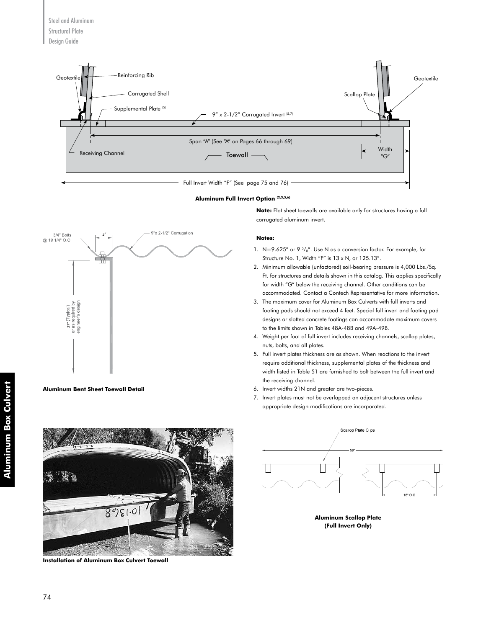

#### **Aluminum Full Invert Option (2,3,5,6)**



**Aluminum Bent Sheet Toewall Detail**

**Note:** Flat sheet toewalls are available only for structures having a full corrugated aluminum invert.

#### **Notes:**

- 1. N=9.625" or 9 $\frac{5}{8}$ ". Use N as a conversion factor. For example, for Structure No. 1, Width "F" is 13 x N, or 125.13".
- 2. Minimum allowable (unfactored) soil-bearing pressure is 4,000 Lbs./Sq. Ft. for structures and details shown in this catalog. This applies specifically for width "G" below the receiving channel. Other conditions can be accommodated. Contact a Contech Representative for more information.
- 3. The maximum cover for Aluminum Box Culverts with full inverts and footing pads should not exceed 4 feet. Special full invert and footing pad designs or slotted concrete footings can accommodate maximum covers to the limits shown in Tables 48A-48B and 49A-49B.
- 4. Weight per foot of full invert includes receiving channels, scallop plates, nuts, bolts, and all plates.
- 5. Full invert plates thickness are as shown. When reactions to the invert require additional thickness, supplemental plates of the thickness and width listed in Table 51 are furnished to bolt between the full invert and the receiving channel.
- 6. Invert widths 21N and greater are two-pieces.
- 7. Invert plates must not be overlapped on adjacent structures unless appropriate design modifications are incorporated.



**Installation of Aluminum Box Culvert Toewall**



**Aluminum Scallop Plate (Full Invert Only)**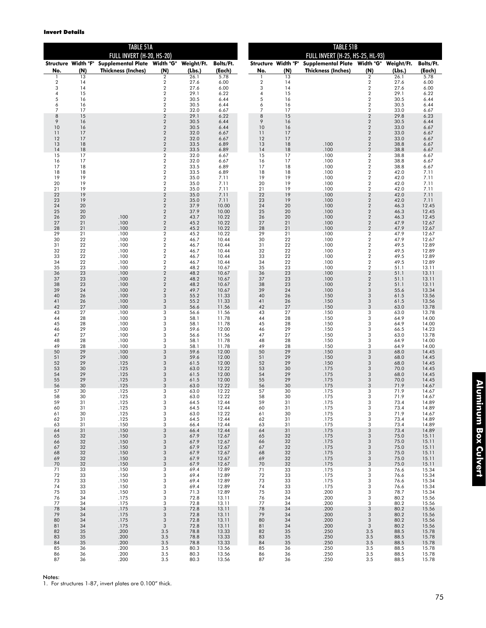|                       |          | TABLE 51A                                                                                |                                           |              | <b>TABLE 51B</b>    |                            |          |                                                                      |                                                    |              |                     |  |
|-----------------------|----------|------------------------------------------------------------------------------------------|-------------------------------------------|--------------|---------------------|----------------------------|----------|----------------------------------------------------------------------|----------------------------------------------------|--------------|---------------------|--|
|                       |          | FULL INVERT (H-20, HS-20)                                                                |                                           |              |                     |                            |          | FULL INVERT (H-25, HS-25, HL-93)                                     |                                                    |              |                     |  |
| No.                   | (N)      | Structure Width "F" Supplemental Plate Width "G" Weight/Ft.<br><b>Thickness (Inches)</b> | (N)                                       | (Lbs.)       | Bolts/Ft.<br>(Each) | Structure Width "F"<br>No. | (N)      | Supplemental Plate Width "G" Weight/Ft.<br><b>Thickness (Inches)</b> | (N)                                                | (Lbs.)       | Bolts/Ft.<br>(Each) |  |
|                       | 13       |                                                                                          | $\overline{2}$                            | 26.1         | 5.78                |                            | 13       |                                                                      | $\overline{2}$                                     | 26.1         | 5.78                |  |
| $\boldsymbol{2}$<br>3 | 14<br>14 |                                                                                          | $\sqrt{2}$<br>$\sqrt{2}$                  | 27.6<br>27.6 | 6.00<br>6.00        | $\sqrt{2}$<br>3            | 14<br>14 |                                                                      | $\overline{2}$<br>$\sqrt{2}$                       | 27.6<br>27.6 | 6.00<br>6.00        |  |
| 4<br>5                | 15<br>16 |                                                                                          | $\overline{2}$<br>$\sqrt{2}$              | 29.1         | 6.22<br>6.44        | 4<br>5                     | 15       |                                                                      | $\overline{2}$<br>$\overline{2}$                   | 29.1<br>30.5 | 6.22                |  |
| 6                     | 16       |                                                                                          | $\sqrt{2}$                                | 30.5<br>30.5 | 6.44                | 6                          | 16<br>16 |                                                                      | $\overline{2}$                                     | 30.5         | 6.44<br>6.44        |  |
| 7<br>8                | 17       |                                                                                          | $\overline{2}$                            | 32.0         | 6.67                | $\overline{7}$<br>$\,8\,$  | 17<br>15 |                                                                      | $\overline{2}$                                     | 33.0         | 6.67                |  |
| 9                     | 15<br>16 |                                                                                          | $\sqrt{2}$<br>$\sqrt{2}$                  | 29.1<br>30.5 | 6.22<br>6.44        | 9                          | 16       |                                                                      | $\overline{2}$<br>$\overline{c}$                   | 29.8<br>30.5 | 6.23<br>6.44        |  |
| 10                    | 16       |                                                                                          | $\sqrt{2}$                                | 30.5         | 6.44                | 10                         | 16       |                                                                      | $\sqrt{2}$                                         | 33.0         | 6.67                |  |
| 11<br>12              | 17<br>17 |                                                                                          | $\sqrt{2}$<br>$\overline{2}$              | 32.0<br>32.0 | 6.67<br>6.67        | 11<br>12                   | 17<br>17 |                                                                      | $\overline{2}$<br>$\overline{2}$                   | 33.0<br>33.0 | 6.67<br>6.67        |  |
| 13                    | 18       |                                                                                          | $\sqrt{2}$                                | 33.5         | 6.89                | 13                         | 18       | .100                                                                 | $\overline{2}$                                     | 38.8         | 6.67                |  |
| 14<br>15              | 18<br>17 |                                                                                          | $\overline{2}$<br>$\overline{\mathbf{c}}$ | 33.5<br>32.0 | 6.89<br>6.67        | 14<br>15                   | 18<br>17 | .100<br>.100                                                         | $\overline{2}$<br>$\overline{\mathbf{c}}$          | 38.8<br>38.8 | 6.67<br>6.67        |  |
| 16<br>17              | 17<br>18 |                                                                                          | $\sqrt{2}$<br>$\sqrt{2}$                  | 32.0         | 6.67<br>6.89        | 16<br>17                   | 17<br>18 | .100<br>.100                                                         | $\overline{\mathbf{2}}$<br>$\overline{\mathbf{2}}$ | 38.8         | 6.67                |  |
| 18                    | 18       |                                                                                          | $\overline{2}$                            | 33.5<br>33.5 | 6.89                | 18                         | 18       | .100                                                                 | $\overline{\mathbf{2}}$                            | 38.8<br>42.0 | 6.67<br>7.11        |  |
| 19                    | 19<br>19 |                                                                                          | $\sqrt{2}$                                | 35.0         | 7.11                | 19                         | 19<br>19 | .100                                                                 | $\overline{\mathbf{2}}$                            | 42.0         | 7.11                |  |
| 20<br>21              | 19       |                                                                                          | $\sqrt{2}$<br>$\sqrt{2}$                  | 35.0<br>35.0 | 7.11<br>7.11        | 20<br>21                   | 19       | .100<br>.100                                                         | $\overline{\mathbf{c}}$<br>$\sqrt{2}$              | 42.0<br>42.0 | 7.11<br>7.11        |  |
| 22<br>23              | 19<br>19 |                                                                                          | $\sqrt{2}$<br>$\sqrt{2}$                  | 35.0         | 7.11                | 22<br>23                   | 19       | .100                                                                 | $\overline{2}$<br>$\overline{2}$                   | 42.0         | 7.11                |  |
| 24                    | 20       |                                                                                          | $\overline{2}$                            | 35.0<br>37.9 | 7.11<br>10.00       | 24                         | 19<br>20 | .100<br>.100                                                         | $\overline{2}$                                     | 42.0<br>46.3 | 7.11<br>12.45       |  |
| 25                    | 20       |                                                                                          | $\sqrt{2}$                                | 37.9         | 10.00               | 25                         | 20       | .100                                                                 | $\overline{2}$                                     | 46.3         | 12.45               |  |
| 26<br>27              | 20<br>21 | .100<br>.100                                                                             | $\sqrt{2}$<br>$\sqrt{2}$                  | 43.7<br>45.2 | 10.22<br>10.22      | 26<br>27                   | 20<br>21 | .100<br>.100                                                         | $\sqrt{2}$<br>$\sqrt{2}$                           | 46.3<br>47.9 | 12.45<br>12.67      |  |
| 28                    | 21       | .100                                                                                     | $\overline{2}$                            | 45.2         | 10.22               | 28                         | 21       | .100                                                                 | $\overline{2}$                                     | 47.9         | 12.67               |  |
| 29<br>30              | 21<br>22 | .100<br>.100                                                                             | $\sqrt{2}$<br>$\overline{2}$              | 45.2<br>46.7 | 10.22<br>10.44      | 29<br>30                   | 21<br>22 | .100<br>.100                                                         | $\overline{2}$<br>$\overline{2}$                   | 47.9<br>47.9 | 12.67<br>12.67      |  |
| 31                    | 22<br>22 | .100<br>.100                                                                             | $\sqrt{2}$<br>$\sqrt{2}$                  | 46.7         | 10.44               | 31<br>32                   | 22       | .100                                                                 | $\sqrt{2}$                                         | 49.5         | 12.89               |  |
| 32<br>33              | 22       | .100                                                                                     | $\sqrt{2}$                                | 46.7<br>46.7 | 10.44<br>10.44      | 33                         | 22<br>22 | .100<br>.100                                                         | $\overline{2}$<br>$\overline{2}$                   | 49.5<br>49.5 | 12.89<br>12.89      |  |
| 34                    | 22<br>23 | .100                                                                                     | $\sqrt{2}$<br>$\overline{2}$              | 46.7         | 10.44<br>10.67      | 34<br>35                   | 22<br>23 | .100                                                                 | $\overline{\mathbf{c}}$<br>$\overline{2}$          | 49.5         | 12.89               |  |
| 35<br>36              | 23       | .100<br>.100                                                                             | $\sqrt{2}$                                | 48.2<br>48.2 | 10.67               | 36                         | 23       | .100<br>.100                                                         | $\overline{2}$                                     | 51.1<br>51.1 | 13.11<br>13.11      |  |
| 37                    | 23       | .100                                                                                     | $\sqrt{2}$<br>$\sqrt{2}$                  | 48.2         | 10.67               | 37                         | 23<br>23 | .100                                                                 | $\sqrt{2}$                                         | 51.1         | 13.11               |  |
| 38<br>39              | 23<br>24 | .100<br>.100                                                                             | $\sqrt{2}$                                | 48.2<br>49.7 | 10.67<br>10.67      | 38<br>39                   | 24       | .100<br>.100                                                         | $\sqrt{2}$<br>3                                    | 51.1<br>55.6 | 13.11<br>13.34      |  |
| 40<br>41              | 26<br>26 | .100<br>.100                                                                             | 3<br>3                                    | 55.2<br>55.2 | 11.33<br>11.33      | 40<br>41                   | 26<br>26 | .150<br>.150                                                         | 3<br>3                                             | 61.5         | 13.56<br>13.56      |  |
| 42                    | 27       | .100                                                                                     | 3                                         | 56.6         | 11.56               | 42                         | 27       | .150                                                                 | 3                                                  | 61.5<br>63.0 | 13.78               |  |
| 43<br>44              | 27<br>28 | .100<br>.100                                                                             | 3<br>3                                    | 56.6<br>58.1 | 11.56<br>11.78      | 43<br>44                   | 27<br>28 | .150<br>.150                                                         | 3<br>3                                             | 63.0<br>64.9 | 13.78<br>14.00      |  |
| 45                    | 28       | .100                                                                                     | 3                                         | 58.1         | 11.78               | 45                         | 28       | .150                                                                 | 3                                                  | 64.9         | 14.00               |  |
| 46<br>47              | 29<br>27 | .100<br>.100                                                                             | 3<br>3                                    | 59.6<br>56.6 | 12.00<br>11.56      | 46<br>47                   | 29<br>27 | .150<br>.150                                                         | 3<br>3                                             | 66.5<br>63.0 | 14.23<br>13.78      |  |
| 48                    | 28       | .100                                                                                     | 3                                         | 58.1         | 11.78               | 48                         | 28       | .150                                                                 | 3                                                  | 64.9         | 14.00               |  |
| 49<br>50              | 28<br>29 | .100<br>.100                                                                             | 3<br>3                                    | 58.1<br>59.6 | 11.78<br>12.00      | 49<br>50                   | 28<br>29 | .150<br>.150                                                         | 3<br>3                                             | 64.9<br>68.0 | 14.00<br>14.45      |  |
| 51                    | 29       | .100                                                                                     | 3                                         | 59.6         | 12.00               | 51                         | 29       | .150                                                                 | 3                                                  | 68.0         | 14.45               |  |
| 52<br>53              | 29<br>30 | .125<br>.125                                                                             | 3<br>3                                    | 61.5<br>63.0 | 12.00<br>12.22      | 52<br>53                   | 29<br>30 | .150<br>.175                                                         | 3<br>3                                             | 68.0<br>70.0 | 14.45<br>14.45      |  |
| 54                    | 29       | .125                                                                                     | 3                                         | 61.5         | 12.00               | 54                         | 29       | .175                                                                 | 3                                                  | 68.0         | 14.45               |  |
| 55<br>56              | 29<br>30 | .125<br>.125                                                                             | 3<br>3                                    | 61.5<br>63.0 | 12.00<br>12.22      | 55<br>56                   | 29<br>30 | .175<br>.175                                                         | 3<br>3                                             | 70.0<br>71.9 | 14.45<br>14.67      |  |
| 57                    | 30       | .125                                                                                     | 3                                         | 63.0         | 12.22               | 57                         | 30       | .175                                                                 | 3                                                  | 71.9         | 14.67               |  |
| 58<br>59              | 30<br>31 | .125<br>.125                                                                             | 3<br>3                                    | 63.0<br>64.5 | 12.22<br>12.44      | 58<br>59                   | 30<br>31 | .175<br>.175                                                         | 3<br>3                                             | 71.9<br>73.4 | 14.67<br>14.89      |  |
| 60                    | 31       | .125                                                                                     | 3                                         | 64.5         | 12.44               | 60                         | 31       | .175                                                                 | 3                                                  | 73.4         | 14.89               |  |
| 61<br>62              | 30<br>31 | .125<br>.125                                                                             | 3<br>3                                    | 63.0<br>64.5 | 12.22<br>12.44      | 61<br>62                   | 30<br>31 | .175<br>.175                                                         | 3<br>3                                             | 71.9<br>73.4 | 14.67<br>14.89      |  |
| 63                    | 31       | .150                                                                                     | 3                                         | 66.4         | 12.44               | 63                         | 31       | .175                                                                 | 3                                                  | 73.4         | 14.89               |  |
| 64<br>65              | 31<br>32 | .150<br>.150                                                                             | 3<br>3                                    | 66.4<br>67.9 | 12.44<br>12.67      | 64<br>65                   | 31<br>32 | .175<br>.175                                                         | 3<br>3                                             | 73.4<br>75.0 | 14.89<br>15.11      |  |
| 66                    | 32       | .150                                                                                     | $\sqrt{3}$                                | 67.9         | 12.67               | 66                         | 32       | .175                                                                 | 3                                                  | 75.0         | 15.11               |  |
| 67<br>68              | 32<br>32 | .150<br>.150                                                                             | $\sqrt{3}$<br>3                           | 67.9<br>67.9 | 12.67<br>12.67      | 67<br>68                   | 32<br>32 | .175<br>.175                                                         | 3<br>3                                             | 75.0<br>75.0 | 15.11<br>15.11      |  |
| 69                    | 32       | .150                                                                                     | 3                                         | 67.9         | 12.67               | 69                         | 32       | .175                                                                 | 3                                                  | 75.0         | 15.11               |  |
| 70<br>71              | 32<br>33 | .150<br>.150                                                                             | 3<br>3                                    | 67.9<br>69.4 | 12.67<br>12.89      | 70<br>71                   | 32<br>33 | .175<br>.175                                                         | 3<br>3                                             | 75.0<br>76.6 | 15.11<br>15.34      |  |
| 72                    | 33       | .150                                                                                     | 3                                         | 69.4         | 12.89               | 72                         | 33       | .175                                                                 | 3                                                  | 76.6         | 15.34               |  |
| 73<br>74              | 33<br>33 | .150<br>.150                                                                             | 3<br>3                                    | 69.4<br>69.4 | 12.89<br>12.89      | 73<br>74                   | 33<br>33 | .175<br>.175                                                         | 3<br>3                                             | 76.6<br>76.6 | 15.34<br>15.34      |  |
| 75                    | 33       | .150                                                                                     | 3                                         | 71.3         | 12.89               | 75                         | 33       | .200                                                                 | 3                                                  | 78.7         | 15.34               |  |
| 76<br>77              | 34<br>34 | .175<br>.175                                                                             | 3<br>3                                    | 72.8<br>72.8 | 13.11<br>13.11      | 76<br>77                   | 34<br>34 | .200<br>.200                                                         | 3<br>3                                             | 80.2<br>80.2 | 15.56<br>15.56      |  |
| 78                    | 34       | .175                                                                                     | 3                                         | 72.8         | 13.11               | 78                         | 34       | .200                                                                 | 3                                                  | 80.2         | 15.56               |  |
| 79<br>80              | 34<br>34 | .175<br>.175                                                                             | 3<br>3                                    | 72.8<br>72.8 | 13.11<br>13.11      | 79<br>80                   | 34<br>34 | .200<br>.200                                                         | 3<br>3                                             | 80.2<br>80.2 | 15.56<br>15.56      |  |
| 81                    | 34       | .175                                                                                     | $\sqrt{3}$                                | 72.8         | 13.11               | 81                         | 34       | .200                                                                 | 3                                                  | 80.2         | 15.56               |  |
| 82<br>83              | 35<br>35 | .200<br>.200                                                                             | 3.5<br>3.5                                | 78.8<br>78.8 | 13.33<br>13.33      | 82<br>83                   | 35<br>35 | .250<br>.250                                                         | 3.5<br>3.5                                         | 88.5<br>88.5 | 15.78<br>15.78      |  |
| 84                    | 35       | .200                                                                                     | 3.5                                       | 78.8         | 13.33               | 84                         | 35       | .250                                                                 | 3.5                                                | 88.5         | 15.78               |  |
| 85<br>86              | 36<br>36 | .200<br>.200                                                                             | 3.5<br>3.5                                | 80.3<br>80.3 | 13.56<br>13.56      | 85<br>86                   | 36<br>36 | .250<br>.250                                                         | 3.5<br>3.5                                         | 88.5<br>88.5 | 15.78<br>15.78      |  |
| 87                    | 36       | .200                                                                                     | 3.5                                       | 80.3         | 13.56               | 87                         | 36       | .250                                                                 | 3.5                                                | 88.5         | 15.78               |  |

Notes:

1. For structures 1-87, invert plates are 0.100" thick.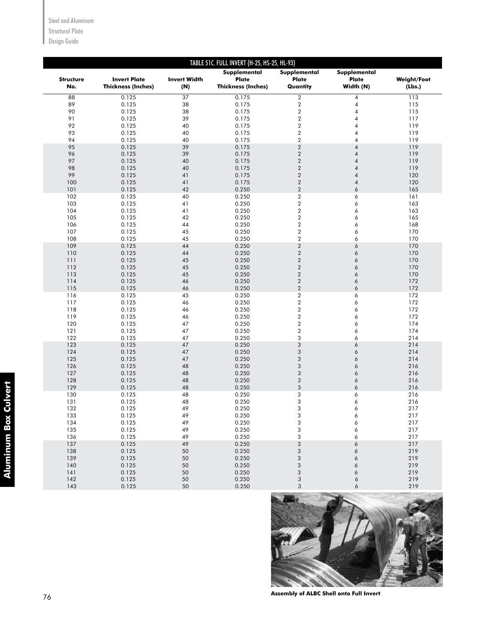Steel and Aluminum

Structural Plate

Design Guide

|                         |                                                  |                            | TABLE 51C. FULL INVERT (H-25, HS-25, HL-93)        |                                          |                                    |                              |
|-------------------------|--------------------------------------------------|----------------------------|----------------------------------------------------|------------------------------------------|------------------------------------|------------------------------|
| <b>Structure</b><br>No. | <b>Invert Plate</b><br><b>Thickness (Inches)</b> | <b>Invert Width</b><br>(N) | Supplemental<br>Plate<br><b>Thickness (Inches)</b> | Supplemental<br><b>Plate</b><br>Quantity | Supplemental<br>Plate<br>Width (N) | <b>Weight/Foot</b><br>(Lbs.) |
| 88                      | 0.125                                            | 37                         | 0.175                                              | $\boldsymbol{2}$                         | $\pmb{4}$                          | 113                          |
| 89                      | 0.125                                            | 38                         | 0.175                                              | $\sqrt{2}$                               | $\sqrt{4}$                         | 115                          |
| 90                      | 0.125                                            | 38                         | 0.175                                              | $\boldsymbol{2}$                         | 4                                  | 115                          |
| 91                      | 0.125                                            | 39                         | 0.175                                              | $\sqrt{2}$                               | $\overline{4}$                     | 117                          |
| 92                      | 0.125                                            | 40                         | 0.175                                              | $\sqrt{2}$                               | $\overline{4}$                     | 119                          |
| 93                      | 0.125                                            | 40                         | 0.175                                              | $\boldsymbol{2}$                         | 4                                  | 119                          |
| 94                      | 0.125                                            | 40                         | 0.175                                              | $\sqrt{2}$                               | $\overline{4}$                     | 119                          |
| 95                      | 0.125                                            | 39                         | 0.175                                              | $\sqrt{2}$                               | $\overline{4}$                     | 119                          |
| 96                      | 0.125                                            | 39                         | 0.175                                              | $\sqrt{2}$                               | $\sqrt{4}$                         | 119                          |
| 97                      | 0.125                                            | 40                         | 0.175                                              | $\sqrt{2}$                               | $\sqrt{4}$                         | 119                          |
| 98<br>99                | 0.125<br>0.125                                   | 40<br>41                   | 0.175<br>0.175                                     | $\sqrt{2}$<br>$\sqrt{2}$                 | $\sqrt{4}$<br>$\sqrt{4}$           | 119<br>120                   |
| 100                     | 0.125                                            | 41                         | 0.175                                              | $\sqrt{2}$                               | $\sqrt{4}$                         | 120                          |
| 101                     | 0.125                                            | 42                         | 0.250                                              | $\sqrt{2}$                               | 6                                  | 165                          |
| 102                     | 0.125                                            | 40                         | 0.250                                              | $\overline{2}$                           | 6                                  | 161                          |
| 103                     | 0.125                                            | 41                         | 0.250                                              | $\overline{2}$                           | 6                                  | 163                          |
| 104                     | 0.125                                            | 41                         | 0.250                                              | $\overline{2}$                           | 6                                  | 163                          |
| 105                     | 0.125                                            | 42                         | 0.250                                              | $\overline{2}$                           | 6                                  | 165                          |
| 106                     | 0.125                                            | 44                         | 0.250                                              | $\overline{2}$                           | 6                                  | 168                          |
| 107                     | 0.125                                            | 45                         | 0.250                                              | $\overline{2}$                           | 6                                  | 170                          |
| 108                     | 0.125                                            | 45                         | 0.250                                              | $\sqrt{2}$                               | 6                                  | 170                          |
| 109                     | 0.125                                            | 44                         | 0.250                                              | $\sqrt{2}$                               | 6                                  | 170                          |
| 110                     | 0.125                                            | 44                         | 0.250                                              | $\sqrt{2}$                               | 6                                  | 170                          |
| 111                     | 0.125                                            | 45                         | 0.250                                              | $\boldsymbol{2}$                         | 6                                  | 170                          |
| 112<br>113              | 0.125<br>0.125                                   | 45<br>45                   | 0.250<br>0.250                                     | $\sqrt{2}$<br>$\sqrt{2}$                 | 6<br>6                             | 170<br>170                   |
| 114                     | 0.125                                            | 46                         | 0.250                                              | $\sqrt{2}$                               | 6                                  | 172                          |
| 115                     | 0.125                                            | 46                         | 0.250                                              | $\overline{2}$                           | 6                                  | 172                          |
| 116                     | 0.125                                            | 45                         | 0.250                                              | $\boldsymbol{2}$                         | 6                                  | 172                          |
| 117                     | 0.125                                            | 46                         | 0.250                                              | $\boldsymbol{2}$                         | 6                                  | 172                          |
| 118                     | 0.125                                            | 46                         | 0.250                                              | $\overline{\mathbf{c}}$                  | 6                                  | 172                          |
| 119                     | 0.125                                            | 46                         | 0.250                                              | $\overline{\mathbf{c}}$                  | 6                                  | 172                          |
| 120                     | 0.125                                            | 47                         | 0.250                                              | $\overline{\mathbf{c}}$                  | 6                                  | 174                          |
| 121                     | 0.125                                            | 47                         | 0.250                                              | $\overline{\mathbf{c}}$                  | 6                                  | 174                          |
| 122                     | 0.125                                            | 47                         | 0.250                                              | 3                                        | 6                                  | 214                          |
| 123                     | 0.125                                            | 47                         | 0.250                                              | 3                                        | 6                                  | 214                          |
| 124<br>125              | 0.125<br>0.125                                   | 47<br>47                   | 0.250<br>0.250                                     | 3<br>3                                   | 6<br>6                             | 214<br>214                   |
| 126                     | 0.125                                            | 48                         | 0.250                                              | 3                                        | 6                                  | 216                          |
| 127                     | 0.125                                            | 48                         | 0.250                                              | 3                                        | 6                                  | 216                          |
| 128                     | 0.125                                            | 48                         | 0.250                                              | 3                                        | 6                                  | 216                          |
| 129                     | 0.125                                            | 48                         | 0.250                                              | 3                                        | 6                                  | 216                          |
| 130                     | 0.125                                            | 48                         | 0.250                                              | 3                                        | 6                                  | 216                          |
| 131                     | 0.125                                            | 48                         | 0.250                                              | 3                                        | 6                                  | 216                          |
| 132                     | 0.125                                            | 49                         | 0.250                                              | 3                                        | 6                                  | 217                          |
| 133                     | 0.125                                            | 49                         | 0.250                                              | 3                                        | 6                                  | 217                          |
| 134                     | 0.125                                            | 49                         | 0.250                                              | 3                                        | 6                                  | 217                          |
| 135                     | 0.125                                            | 49                         | 0.250                                              | 3                                        | 6                                  | 217                          |
| 136<br>137              | 0.125<br>0.125                                   | 49<br>49                   | 0.250<br>0.250                                     | 3<br>3                                   | 6<br>6                             | 217<br>217                   |
| 138                     | 0.125                                            | 50                         | 0.250                                              | 3                                        | 6                                  | 219                          |
| 139                     | 0.125                                            | $50\,$                     | 0.250                                              | 3                                        | 6                                  | 219                          |
| 140                     | 0.125                                            | 50                         | 0.250                                              | 3                                        | 6                                  | 219                          |
| 141                     | 0.125                                            | 50                         | 0.250                                              | 3                                        | 6                                  | 219                          |
| 142                     | 0.125                                            | 50                         | 0.250                                              | $\sqrt{3}$                               | 6                                  | 219                          |
| 143                     | 0.125                                            | 50                         | 0.250                                              | 3                                        | 6                                  | 219                          |



**Assembly of ALBC Shell onto Full Invert**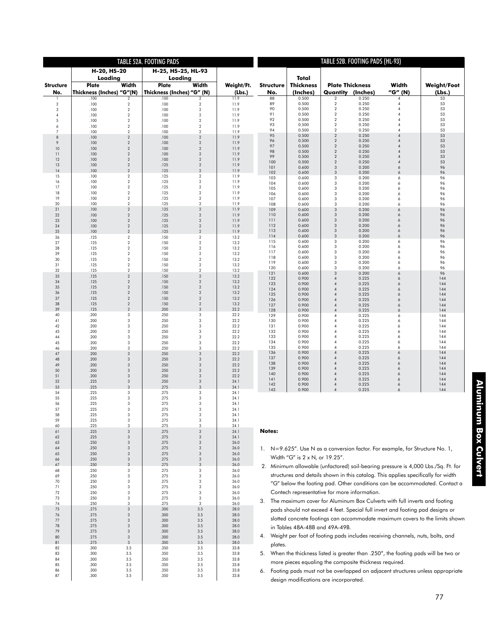|                     |              |                                      | TABLE 52A. FOOTING PADS            |                                    |                |                                                                                                                                 |                                                        |                                                    | TABLE 52B. FOOTING PADS (HL-93) |                                                                                   |                                                                                     |  |  |  |  |
|---------------------|--------------|--------------------------------------|------------------------------------|------------------------------------|----------------|---------------------------------------------------------------------------------------------------------------------------------|--------------------------------------------------------|----------------------------------------------------|---------------------------------|-----------------------------------------------------------------------------------|-------------------------------------------------------------------------------------|--|--|--|--|
|                     |              | H-20, HS-20                          |                                    | H-25, HS-25, HL-93                 |                |                                                                                                                                 |                                                        |                                                    |                                 |                                                                                   |                                                                                     |  |  |  |  |
|                     |              | Loading                              |                                    | Loadina                            |                |                                                                                                                                 | Total                                                  |                                                    |                                 |                                                                                   |                                                                                     |  |  |  |  |
| <b>Structure</b>    | Plate        | Width                                | Plate                              | Width                              | Weight/Ft.     | <b>Structure</b>                                                                                                                | <b>Thickness</b>                                       | <b>Plate Thickness</b>                             |                                 | Width<br>"G" (N)                                                                  | <b>Weight/Foot</b>                                                                  |  |  |  |  |
| No.<br>1            | .100         | Thickness (Inches) "G"(N)<br>2       | Thickness (Inches) "G" (N)<br>.100 | $\overline{2}$                     | (Lbs.)<br>11.9 | No.<br>88                                                                                                                       | (Inches)<br>0.500                                      | <b>Quantity (Inches)</b><br>2                      | 0.250                           | 4                                                                                 | (Lbs.)<br>53                                                                        |  |  |  |  |
| $\overline{2}$      | .100         | $\overline{2}$                       | .100                               | $\,2$                              | 11.9           | 89                                                                                                                              | 0.500                                                  | $\sqrt{2}$                                         | 0.250                           | 4                                                                                 | 53                                                                                  |  |  |  |  |
| 3<br>4              | .100<br>.100 | $\overline{2}$<br>$\overline{2}$     | .100<br>.100                       | $\boldsymbol{2}$<br>$\overline{2}$ | 11.9<br>11.9   | 90<br>91                                                                                                                        | 0.500<br>0.500                                         | $\sqrt{2}$<br>$\boldsymbol{2}$                     | 0.250<br>0.250                  | 4<br>$\overline{4}$                                                               | 53<br>53                                                                            |  |  |  |  |
| 5                   | .100         | $\overline{2}$                       | .100                               | $\overline{2}$                     | 11.9           | 92                                                                                                                              | 0.500                                                  | $\boldsymbol{2}$                                   | 0.250                           | $\overline{4}$                                                                    | 53                                                                                  |  |  |  |  |
| 6<br>$\overline{7}$ | .100<br>.100 | $\overline{2}$<br>$\overline{2}$     | .100<br>.100                       | $\overline{2}$<br>$\sqrt{2}$       | 11.9<br>11.9   | 93<br>94                                                                                                                        | 0.500<br>0.500                                         | $\overline{2}$<br>$\overline{2}$                   | 0.250<br>0.250                  | $\overline{4}$<br>$\Delta$                                                        | 53<br>53                                                                            |  |  |  |  |
| $\,$ 8 $\,$         | .100         | $\sqrt{2}$                           | .100                               | $\sqrt{2}$                         | 11.9           | 95                                                                                                                              | 0.500                                                  | $\overline{2}$                                     | 0.250                           | $\overline{4}$<br>$\overline{4}$                                                  | 53                                                                                  |  |  |  |  |
| 9<br>10             | .100<br>.100 | $\sqrt{2}$<br>$\sqrt{2}$             | .100<br>.100                       | $\overline{2}$<br>$\sqrt{2}$       | 11.9<br>11.9   | 96<br>97                                                                                                                        | 0.500<br>0.500                                         | $\overline{\mathbf{2}}$<br>$\overline{\mathbf{c}}$ | 0.250<br>0.250                  | $\overline{4}$                                                                    | 53<br>53                                                                            |  |  |  |  |
| 11                  | .100         | $\sqrt{2}$                           | .100                               | $\overline{2}$                     | 11.9           | 98<br>99                                                                                                                        | 0.500<br>0.500                                         | $\overline{\mathbf{2}}$<br>$\overline{\mathbf{c}}$ | 0.250<br>0.250                  | $\overline{4}$<br>$\overline{4}$                                                  | 53<br>53                                                                            |  |  |  |  |
| 12<br>13            | .100<br>.100 | $\sqrt{2}$<br>$\sqrt{2}$             | .100<br>.125                       | $\overline{2}$<br>$\sqrt{2}$       | 11.9<br>11.9   | 100                                                                                                                             | 0.500                                                  | $\overline{2}$                                     | 0.250                           | $\overline{4}$                                                                    | 53                                                                                  |  |  |  |  |
| 14                  | .100         | $\sqrt{2}$                           | .125                               | $\overline{2}$                     | 11.9           | 101<br>102                                                                                                                      | 0.600<br>0.600                                         | $\mathbf{3}$<br>3                                  | 0.200<br>0.200                  | 6<br>6                                                                            | 96<br>96                                                                            |  |  |  |  |
| 15<br>16            | .100<br>.100 | $\overline{2}$<br>$\,2$              | .125<br>.125                       | $\boldsymbol{2}$<br>$\,2$          | 11.9<br>11.9   | 103                                                                                                                             | 0.600                                                  | 3                                                  | 0.200                           | 6                                                                                 | 96                                                                                  |  |  |  |  |
| 17                  | .100         | $\,2$                                | .125                               | $\,2$                              | 11.9           | 104<br>105                                                                                                                      | 0.600<br>0.600                                         | 3<br>3                                             | 0.200<br>0.200                  | 6<br>6                                                                            | 96<br>96                                                                            |  |  |  |  |
| 18<br>19            | .100         | $\overline{2}$<br>$\overline{2}$     | .125<br>.125                       | $\,2$<br>$\,2$                     | 11.9           | 106                                                                                                                             | 0.600                                                  | 3                                                  | 0.200                           | 6                                                                                 | 96                                                                                  |  |  |  |  |
| 20                  | .100<br>.100 | $\overline{2}$                       | .125                               | $\,2$                              | 11.9<br>11.9   | 107<br>108                                                                                                                      | 0.600<br>0.600                                         | 3<br>3                                             | 0.200<br>0.200                  | 6<br>6                                                                            | 96<br>96                                                                            |  |  |  |  |
| 21                  | .100         | $\sqrt{2}$<br>$\sqrt{2}$             | .125<br>.125                       | $\overline{2}$<br>$\overline{2}$   | 11.9           | 109                                                                                                                             | 0.600                                                  | 3<br>3                                             | 0.200                           | 6<br>6                                                                            | 96                                                                                  |  |  |  |  |
| 22<br>23            | .100<br>.100 | $\sqrt{2}$                           | .125                               | $\overline{2}$                     | 11.9<br>11.9   | 110<br>111                                                                                                                      | 0.600<br>0.600                                         | 3                                                  | 0.200<br>0.200                  | 6                                                                                 | 96<br>96                                                                            |  |  |  |  |
| 24                  | .100         | $\sqrt{2}$<br>$\sqrt{2}$             | .125                               | $\sqrt{2}$<br>$\sqrt{2}$           | 11.9           | 112<br>113                                                                                                                      | 0.600<br>0.600                                         | 3<br>3                                             | 0.200<br>0.200                  | 6<br>6                                                                            | 96<br>96                                                                            |  |  |  |  |
| 25<br>26            | .100<br>.125 | $\boldsymbol{2}$                     | .125<br>.150                       | $\,2$                              | 11.9<br>13.2   | 114                                                                                                                             | 0.600                                                  | 3                                                  | 0.200                           | 6                                                                                 | 96                                                                                  |  |  |  |  |
| 27                  | .125         | $\boldsymbol{2}$<br>$\boldsymbol{2}$ | .150                               | $\boldsymbol{2}$<br>$\overline{2}$ | 13.2           | 115<br>116                                                                                                                      | 0.600<br>0.600                                         | 3<br>3                                             | 0.200<br>0.200                  | 6<br>6                                                                            | 96<br>96                                                                            |  |  |  |  |
| 28<br>29            | .125<br>.125 | $\boldsymbol{2}$                     | .150<br>.150                       | $\,2$                              | 13.2<br>13.2   | 117                                                                                                                             | 0.600                                                  | 3                                                  | 0.200                           | 6                                                                                 | 96                                                                                  |  |  |  |  |
| 30                  | .125         | $\overline{2}$<br>$\,2$              | .150                               | $\,2$<br>$\sqrt{2}$                | 13.2           | 3<br>118<br>0.600<br>0.200<br>96<br>6<br>3<br>96<br>119<br>0.600<br>0.200<br>6<br>13.2<br>3<br>120<br>0.600<br>0.200<br>6<br>96 |                                                        |                                                    |                                 |                                                                                   |                                                                                     |  |  |  |  |
| 31<br>32            | .125<br>.125 | $\overline{2}$                       | .150<br>.150                       | $\overline{2}$                     | 13.2           | 3<br>121<br>0.600<br>96<br>0.200<br>6                                                                                           |                                                        |                                                    |                                 |                                                                                   |                                                                                     |  |  |  |  |
| 33                  | .125         | $\sqrt{2}$<br>$\sqrt{2}$             | .150                               | $\overline{2}$<br>$\overline{2}$   | 13.2           | 122<br>0.900<br>$\overline{4}$<br>0.225<br>6<br>144<br>13.2                                                                     |                                                        |                                                    |                                 |                                                                                   |                                                                                     |  |  |  |  |
| 34<br>35            | .125<br>.125 | $\sqrt{2}$                           | .150<br>.150                       | $\overline{2}$                     | 13.2           | 123<br>0.900<br>$\overline{4}$<br>0.225<br>144<br>6<br>124<br>0.900<br>$\overline{4}$<br>0.225<br>144<br>6                      |                                                        |                                                    |                                 |                                                                                   |                                                                                     |  |  |  |  |
| 36                  | .125         | $\overline{2}$<br>$\sqrt{2}$         | .150                               | $\sqrt{2}$                         | 13.2           | 125<br>0.900<br>$\overline{4}$<br>0.225<br>6<br>144                                                                             |                                                        |                                                    |                                 |                                                                                   |                                                                                     |  |  |  |  |
| 37<br>38            | .125<br>.125 | $\sqrt{2}$                           | .150<br>.150                       | $\sqrt{2}$<br>$\sqrt{2}$           | 13.2<br>13.2   | 126<br>127                                                                                                                      | 0.900<br>0.900                                         | $\overline{4}$<br>$\overline{4}$                   | 0.225<br>0.225                  | 6<br>6                                                                            | 144<br>144                                                                          |  |  |  |  |
| 39                  | .125         | $\mathfrak{p}$<br>3                  | .200                               | 3<br>3                             | 22.2           | 128                                                                                                                             | 0.900                                                  | $\overline{4}$                                     | 0.225                           | 6                                                                                 | 144                                                                                 |  |  |  |  |
| 40<br>41            | .200<br>.200 | 3                                    | .250<br>.250                       | $\sqrt{3}$                         | 22.2<br>22.2   | 129<br>130                                                                                                                      | 0.900<br>0.900                                         | $\overline{4}$<br>$\overline{4}$                   | 0.225<br>0.225                  | 6<br>6                                                                            | 144<br>144                                                                          |  |  |  |  |
| 42                  | .200         | 3<br>3                               | .250                               | 3                                  | 22.2           | 131                                                                                                                             | 0.900                                                  | $\overline{4}$                                     | 0.225                           | 6                                                                                 | 144                                                                                 |  |  |  |  |
| 43<br>44            | .200<br>.200 | 3                                    | .250<br>.250                       | 3<br>3                             | 22.2<br>22.2   | 132<br>133                                                                                                                      | 0.900<br>0.900                                         | $\overline{4}$<br>$\overline{4}$                   | 0.225<br>0.225                  | 6<br>6                                                                            | 144<br>144                                                                          |  |  |  |  |
| 45<br>46            | .200<br>.200 | 3<br>3                               | .250<br>.250                       | 3<br>3                             | 22.2<br>22.2   | 134<br>135                                                                                                                      | 0.900<br>0.900                                         | $\overline{4}$<br>$\overline{4}$                   | 0.225<br>0.225                  | 6<br>6                                                                            | 144<br>144                                                                          |  |  |  |  |
| 47                  | .200         | 3                                    | .250                               | 3                                  | 22.2           | 136                                                                                                                             | 0.900                                                  | $\overline{4}$                                     | 0.225                           | 6                                                                                 | 144                                                                                 |  |  |  |  |
| 48<br>49            | .200<br>.200 | 3<br>3                               | .250<br>.250                       | $\sqrt{3}$<br>$\sqrt{3}$           | 22.2<br>22.2   | 137<br>138                                                                                                                      | 0.900<br>0.900                                         | $\overline{4}$<br>$\overline{4}$                   | 0.225<br>0.225                  | 6<br>6                                                                            | 144<br>144                                                                          |  |  |  |  |
| 50                  | .200         | 3                                    | .250                               | 3                                  | 22.2           | 139<br>140                                                                                                                      | 0.900<br>0.900                                         | $\overline{4}$<br>$\overline{4}$                   | 0.225<br>0.225                  | 6                                                                                 | 144<br>144                                                                          |  |  |  |  |
| 51<br>52            | .200<br>.225 | 3<br>$\sqrt{3}$                      | .250<br>.250                       | 3<br>$\sqrt{3}$                    | 22.2<br>24.1   | 141                                                                                                                             | 0.900                                                  | $\sqrt{4}$                                         | 0.225                           | 6<br>6                                                                            | 144                                                                                 |  |  |  |  |
| 53                  | .225         | 3                                    | .275                               | 3                                  | 24.1           | 142<br>143                                                                                                                      | 0.900<br>0.900                                         | $\overline{4}$<br>$\overline{4}$                   | 0.225<br>0.225                  | 6<br>6                                                                            | 144<br>144                                                                          |  |  |  |  |
| 54<br>55            | .225<br>.225 | 3<br>3                               | .275<br>.275                       | 3<br>3                             | 24.1<br>24.1   |                                                                                                                                 |                                                        |                                                    |                                 |                                                                                   |                                                                                     |  |  |  |  |
| 56                  | .225         | 3                                    | .275                               | 3                                  | 24.1           |                                                                                                                                 |                                                        |                                                    |                                 |                                                                                   |                                                                                     |  |  |  |  |
| 57<br>58            | .225<br>.225 | 3<br>3                               | .275<br>.275                       | 3<br>$\sqrt{3}$                    | 24.1<br>24.1   |                                                                                                                                 |                                                        |                                                    |                                 |                                                                                   |                                                                                     |  |  |  |  |
| 59                  | .225         | 3                                    | .275                               | $\sqrt{3}$                         | 24.1           |                                                                                                                                 |                                                        |                                                    |                                 |                                                                                   |                                                                                     |  |  |  |  |
| 60<br>61            | .225<br>.225 | 3<br>$\sqrt{3}$                      | .275<br>.275                       | 3<br>$\mathbf{3}$                  | 24.1<br>24.1   | Notes:                                                                                                                          |                                                        |                                                    |                                 |                                                                                   |                                                                                     |  |  |  |  |
| 62                  | .225         | $\sqrt{3}$                           | .275                               | $\sqrt{3}$                         | 24.1           |                                                                                                                                 |                                                        |                                                    |                                 |                                                                                   |                                                                                     |  |  |  |  |
| 63<br>64            | .250<br>.250 | $\sqrt{3}$<br>$\sqrt{3}$             | .275<br>.275                       | $\sqrt{3}$<br>$\sqrt{3}$           | 26.0<br>26.0   |                                                                                                                                 |                                                        |                                                    |                                 | 1. N=9.625". Use N as a conversion factor. For example, for Structure No. 1,      |                                                                                     |  |  |  |  |
| 65                  | .250         | $\sqrt{3}$                           | .275                               | $\sqrt{3}$                         | 26.0           |                                                                                                                                 | Width "G" is 2 x N, or 19.25".                         |                                                    |                                 |                                                                                   |                                                                                     |  |  |  |  |
| 66<br>67            | .250<br>.250 | $\sqrt{3}$<br>3                      | .275<br>.275                       | $\sqrt{3}$<br>3                    | 26.0<br>26.0   |                                                                                                                                 |                                                        |                                                    |                                 |                                                                                   |                                                                                     |  |  |  |  |
| 68                  | .250         | 3                                    | .275                               | 3                                  | 26.0           |                                                                                                                                 |                                                        |                                                    |                                 |                                                                                   | 2. Minimum allowable (unfactored) soil-bearing pressure is 4,000 Lbs./Sq. Ft. for   |  |  |  |  |
| 69<br>70            | .250<br>.250 | 3<br>3                               | .275<br>.275                       | $\sqrt{3}$<br>3                    | 26.0<br>26.0   |                                                                                                                                 |                                                        |                                                    |                                 | structures and details shown in this catalog. This applies specifically for width |                                                                                     |  |  |  |  |
| 71                  | .250         | 3                                    | .275                               | 3                                  | 26.0           |                                                                                                                                 |                                                        |                                                    |                                 |                                                                                   | "G" below the footing pad. Other conditions can be accommodated. Contact a          |  |  |  |  |
| $72\,$<br>73        | .250<br>.250 | 3<br>3                               | .275<br>.275                       | 3<br>3                             | 26.0<br>26.0   |                                                                                                                                 | Contech representative for more information.           |                                                    |                                 |                                                                                   |                                                                                     |  |  |  |  |
| 74                  | .250         | 3                                    | .275                               | $\mathbf{3}$                       | 26.0           |                                                                                                                                 |                                                        |                                                    |                                 | 3. The maximum cover for Aluminum Box Culverts with full inverts and footing      |                                                                                     |  |  |  |  |
| 75<br>76            | .275<br>.275 | $\sqrt{3}$<br>$\sqrt{3}$             | .300<br>.300                       | $3.5\,$<br>3.5                     | 28.0<br>28.0   |                                                                                                                                 |                                                        |                                                    |                                 | pads should not exceed 4 feet. Special full invert and footing pad designs or     |                                                                                     |  |  |  |  |
| 77                  | .275         | $\sqrt{3}$                           | .300                               | $3.5\,$                            | 28.0           |                                                                                                                                 |                                                        |                                                    |                                 |                                                                                   | slotted concrete footings can accommodate maximum covers to the limits shown        |  |  |  |  |
| 78<br>79            | .275<br>.275 | $\sqrt{3}$<br>$\sqrt{3}$             | .300<br>.300                       | 3.5<br>3.5                         | 28.0<br>28.0   |                                                                                                                                 | in Tables 48A-48B and 49A-49B.                         |                                                    |                                 |                                                                                   |                                                                                     |  |  |  |  |
| 80                  | .275         | $\sqrt{3}$                           | .300                               | $3.5\,$                            | 28.0           | 4.                                                                                                                              |                                                        |                                                    |                                 | Weight per foot of footing pads includes receiving channels, nuts, bolts, and     |                                                                                     |  |  |  |  |
| 81<br>82            | .275<br>.300 | 3<br>3.5                             | .300<br>.350                       | 3.5<br>3.5                         | 28.0<br>33.8   | plates.                                                                                                                         |                                                        |                                                    |                                 |                                                                                   |                                                                                     |  |  |  |  |
| 83                  | .300         | 3.5                                  | .350                               | 3.5                                | 33.8           |                                                                                                                                 |                                                        |                                                    |                                 |                                                                                   | 5. When the thickness listed is greater than .250", the footing pads will be two or |  |  |  |  |
| 84<br>85            | .300<br>.300 | 3.5<br>3.5                           | .350<br>.350                       | 3.5<br>3.5                         | 33.8<br>33.8   |                                                                                                                                 | more pieces equaling the composite thickness required. |                                                    |                                 |                                                                                   |                                                                                     |  |  |  |  |
| 86                  | .300         | 3.5                                  | .350                               | $3.5\,$                            | 33.8           | 6.                                                                                                                              |                                                        |                                                    |                                 |                                                                                   | Footing pads must not be overlapped on adjacent structures unless appropriate       |  |  |  |  |
| 87                  | .300         | 3.5                                  | .350                               | 3.5                                | 33.8           |                                                                                                                                 | design modifications are incorporated.                 |                                                    |                                 |                                                                                   |                                                                                     |  |  |  |  |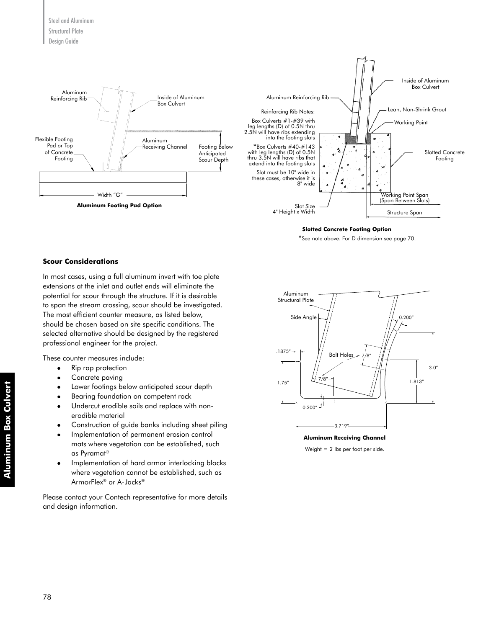

#### **Slotted Concrete Footing Option**

\*See note above. For D dimension see page 70.

#### **Scour Considerations**

In most cases, using a full aluminum invert with toe plate extensions at the inlet and outlet ends will eliminate the potential for scour through the structure. If it is desirable to span the stream crossing, scour should be investigated. The most efficient counter measure, as listed below, should be chosen based on site specific conditions. The selected alternative should be designed by the registered professional engineer for the project.

These counter measures include:

- Rip rap protection
- Concrete paving
- Lower footings below anticipated scour depth
- Bearing foundation on competent rock
- Undercut erodible soils and replace with nonerodible material
- Construction of guide banks including sheet piling
- <sup>l</sup> Implementation of permanent erosion control mats where vegetation can be established, such as Pyramat®
- Implementation of hard armor interlocking blocks where vegetation cannot be established, such as ArmorFlex® or A-Jacks®

Please contact your Contech representative for more details and design information.



**Aluminum Receiving Channel** Weight = 2 lbs per foot per side.

**Aluminum Box Culvert**

**Aluminum Box Culvert**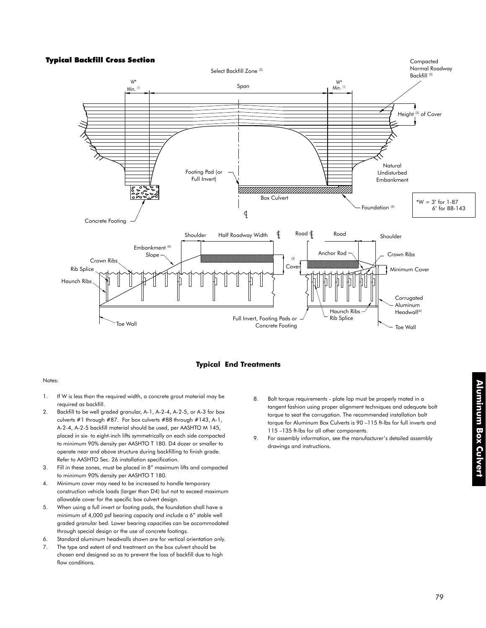

### **Typical End Treatments**

#### Notes:

- 1. If W is less than the required width, a concrete grout material may be required as backfill.
- 2. Backfill to be well graded granular, A-1, A-2-4, A-2-5, or A-3 for box culverts #1 through #87. For box culverts #88 through #143, A-1, A-2-4, A-2-5 backfill material should be used, per AASHTO M 145, placed in six- to eight-inch lifts symmetrically on each side compacted to minimum 90% density per AASHTO T 180. D4 dozer or smaller to operate near and above structure during backfilling to finish grade. Refer to AASHTO Sec. 26 installation specification.
- 3. Fill in these zones, must be placed in 8" maximum lifts and compacted to minimum 90% density per AASHTO T 180.
- 4. Minimum cover may need to be increased to handle temporary construction vehicle loads (larger than D4) but not to exceed maximum allowable cover for the specific box culvert design.
- 5. When using a full invert or footing pads, the foundation shall have a minimum of 4,000 psf bearing capacity and include a 6" stable well graded granular bed. Lower bearing capacities can be accommodated through special design or the use of concrete footings.
- 6. Standard aluminum headwalls shown are for vertical orientation only.
- 7. The type and extent of end treatment on the box culvert should be chosen and designed so as to prevent the loss of backfill due to high flow conditions.
- 8. Bolt torque requirements plate lap must be properly mated in a tangent fashion using proper alignment techniques and adequate bolt torque to seat the corrugation. The recommended installation bolt torque for Aluminum Box Culverts is 90 –115 ft-lbs for full inverts and 115 –135 ft-lbs for all other components.
- 9. For assembly information, see the manufacturer's detailed assembly drawings and instructions.